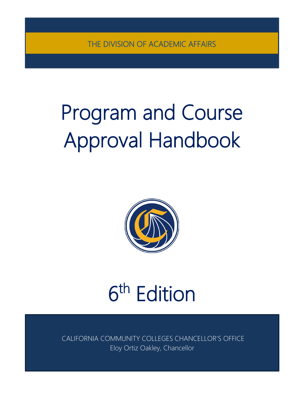THE DIVISION OF ACADEMIC AFFAIRS

# Program and Course Approval Handbook



# 6th Edition

CALIFORNIA COMMUNITY COLLEGES CHANCELLOR'S OFFICE Eloy Ortiz Oakley, Chancellor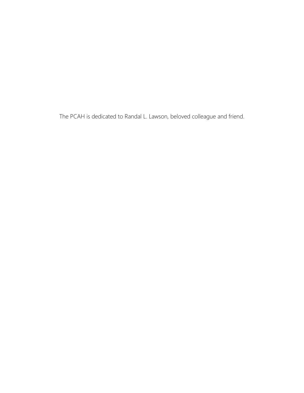The PCAH is dedicated to Randal L. Lawson, beloved colleague and friend.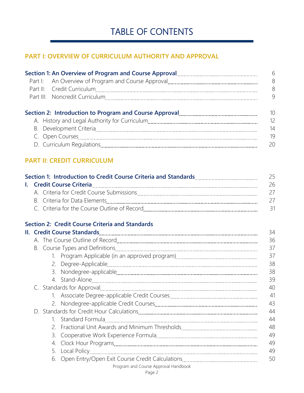# TABLE OF CONTENTS

# **PART I: OVERVIEW OF CURRICULUM AUTHORITY AND APPROVAL**

| Section 1: An Overview of Program and Course Approval [1001] [1001] [1001] [1001] [1001] [1001] [1001] [1001] [ | - 6 |
|-----------------------------------------------------------------------------------------------------------------|-----|
|                                                                                                                 | 8   |
|                                                                                                                 | 8   |
|                                                                                                                 | 9   |
|                                                                                                                 |     |
|                                                                                                                 | 10  |
|                                                                                                                 | 12  |
|                                                                                                                 | 14  |
|                                                                                                                 | 19  |

## **PART II: CREDIT CURRICULUM**

| Section 1: Introduction to Credit Course Criteria and Standards<br>25 |                                              |    |
|-----------------------------------------------------------------------|----------------------------------------------|----|
|                                                                       |                                              | 26 |
|                                                                       | A. Criteria for Credit Course Submissions    | 2/ |
|                                                                       |                                              | 27 |
|                                                                       | C. Criteria for the Course Outline of Record |    |

# **Section 2: Credit Course Criteria and Standards**

|                                                                                                                                                                                                                                |  |                                      | 37 |  |
|--------------------------------------------------------------------------------------------------------------------------------------------------------------------------------------------------------------------------------|--|--------------------------------------|----|--|
|                                                                                                                                                                                                                                |  |                                      | 38 |  |
|                                                                                                                                                                                                                                |  |                                      | 38 |  |
|                                                                                                                                                                                                                                |  |                                      | 39 |  |
| C. Standards for Approval [11] [12] The Standards for Approval [11] [12] C. Standards for Approval [11] [12] The Standards for Approval [12] The Standards for Approval [12] The Standards for Approval [12] The Standards for |  |                                      | 40 |  |
|                                                                                                                                                                                                                                |  |                                      | 41 |  |
|                                                                                                                                                                                                                                |  |                                      | 43 |  |
|                                                                                                                                                                                                                                |  |                                      | 44 |  |
|                                                                                                                                                                                                                                |  |                                      | 44 |  |
|                                                                                                                                                                                                                                |  |                                      | 48 |  |
|                                                                                                                                                                                                                                |  |                                      | 49 |  |
|                                                                                                                                                                                                                                |  |                                      | 49 |  |
|                                                                                                                                                                                                                                |  |                                      | 49 |  |
|                                                                                                                                                                                                                                |  |                                      | 50 |  |
|                                                                                                                                                                                                                                |  | Program and Course Approval Handbook |    |  |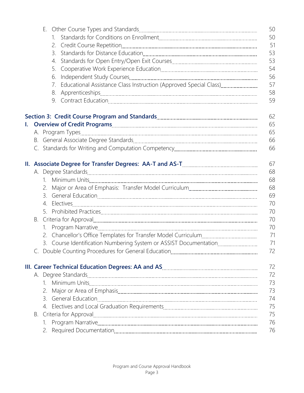|    |    |                                                                                                                                                                                                                                | 50 |
|----|----|--------------------------------------------------------------------------------------------------------------------------------------------------------------------------------------------------------------------------------|----|
|    | 1. |                                                                                                                                                                                                                                | 50 |
|    |    |                                                                                                                                                                                                                                | 51 |
|    | 3. |                                                                                                                                                                                                                                | 53 |
|    | 4. |                                                                                                                                                                                                                                | 53 |
|    | 5. |                                                                                                                                                                                                                                | 54 |
|    | 6. |                                                                                                                                                                                                                                | 56 |
|    | 7. | Educational Assistance Class Instruction (Approved Special Class)                                                                                                                                                              | 57 |
|    |    |                                                                                                                                                                                                                                | 58 |
|    |    |                                                                                                                                                                                                                                | 59 |
|    |    |                                                                                                                                                                                                                                | 62 |
| I. |    |                                                                                                                                                                                                                                | 65 |
|    |    |                                                                                                                                                                                                                                | 65 |
|    |    |                                                                                                                                                                                                                                | 66 |
|    |    |                                                                                                                                                                                                                                | 66 |
|    |    | II. Associate Degree for Transfer Degrees: AA-T and AS-T [111] Massociate Degree in Transelling                                                                                                                                | 67 |
|    |    |                                                                                                                                                                                                                                | 68 |
|    |    |                                                                                                                                                                                                                                | 68 |
|    | 2. |                                                                                                                                                                                                                                | 68 |
|    | 3. |                                                                                                                                                                                                                                | 69 |
|    | 4. |                                                                                                                                                                                                                                | 70 |
|    |    |                                                                                                                                                                                                                                | 70 |
|    |    |                                                                                                                                                                                                                                | 70 |
|    |    |                                                                                                                                                                                                                                | 70 |
|    | 2. |                                                                                                                                                                                                                                | 71 |
|    |    | 3. Course Identification Numbering System or ASSIST Documentation                                                                                                                                                              | 71 |
|    |    |                                                                                                                                                                                                                                | 72 |
|    |    |                                                                                                                                                                                                                                | 72 |
|    |    |                                                                                                                                                                                                                                | 72 |
|    |    |                                                                                                                                                                                                                                | 73 |
|    | 2. |                                                                                                                                                                                                                                | 73 |
|    |    |                                                                                                                                                                                                                                | 74 |
|    |    |                                                                                                                                                                                                                                | 75 |
|    |    |                                                                                                                                                                                                                                | 75 |
|    |    | B. Criteria for Approval [11] The Context of the Criteria of Approval [11] The Criteria of Approval [11] The Criteria of The Criteria of The Criteria of The Criteria of The Criteria of The Criteria of The Criteria of The C | 76 |
|    |    |                                                                                                                                                                                                                                | 76 |
|    |    |                                                                                                                                                                                                                                |    |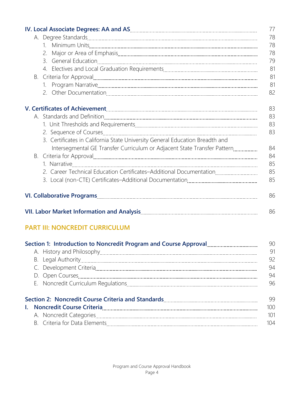|  |    |                                                                                                                                                                                                                                | 77 |
|--|----|--------------------------------------------------------------------------------------------------------------------------------------------------------------------------------------------------------------------------------|----|
|  |    |                                                                                                                                                                                                                                | 78 |
|  |    |                                                                                                                                                                                                                                | 78 |
|  |    |                                                                                                                                                                                                                                | 78 |
|  |    |                                                                                                                                                                                                                                | 79 |
|  |    |                                                                                                                                                                                                                                | 81 |
|  |    |                                                                                                                                                                                                                                | 81 |
|  |    |                                                                                                                                                                                                                                | 81 |
|  |    |                                                                                                                                                                                                                                | 82 |
|  |    |                                                                                                                                                                                                                                | 83 |
|  |    |                                                                                                                                                                                                                                | 83 |
|  |    |                                                                                                                                                                                                                                | 83 |
|  |    |                                                                                                                                                                                                                                | 83 |
|  |    | 3. Certificates in California State University General Education Breadth and                                                                                                                                                   |    |
|  |    | Intersegmental GE Transfer Curriculum or Adjacent State Transfer Pattern                                                                                                                                                       | 84 |
|  | В. |                                                                                                                                                                                                                                | 84 |
|  |    |                                                                                                                                                                                                                                | 85 |
|  |    | 2. Career Technical Education Certificates-Additional Documentation                                                                                                                                                            | 85 |
|  |    |                                                                                                                                                                                                                                | 85 |
|  |    |                                                                                                                                                                                                                                | 86 |
|  |    | VII. Labor Market Information and Analysis [11] Martin Martin Martin Market Information and Analysis [11] Market Information and Analysis [11] Market Information and Analysis [11] Market Information and Analysis [11] Marke | 86 |

# **PART III: NONCREDIT CURRICULUM**

| Section 1: Introduction to Noncredit Program and Course Approval <b>Common Contact Act</b><br>90                |                  |
|-----------------------------------------------------------------------------------------------------------------|------------------|
|                                                                                                                 | 91               |
|                                                                                                                 | 92               |
|                                                                                                                 | 94               |
|                                                                                                                 | 94               |
|                                                                                                                 | 96               |
| Section 2: Noncredit Course Criteria and Standards [11] [12] Section 2: Noncredit Course Criteria and Standards | -99              |
| I. Noncredit Course Criteria 2000 and 2000 and 2000 and 2000 and 2000 and 2000 and 2000 and 2000 and 2000 and   | 100 <sup>°</sup> |
|                                                                                                                 | 101              |
|                                                                                                                 | 104              |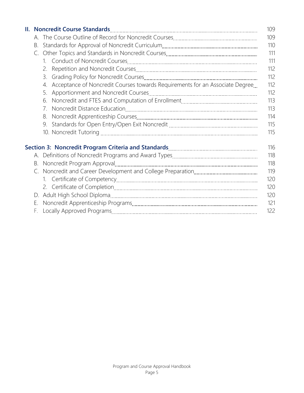|  | 109                                                                                                                                           |     |  |
|--|-----------------------------------------------------------------------------------------------------------------------------------------------|-----|--|
|  | 109                                                                                                                                           |     |  |
|  | 110<br>В.                                                                                                                                     |     |  |
|  |                                                                                                                                               | 111 |  |
|  |                                                                                                                                               | 111 |  |
|  |                                                                                                                                               | 112 |  |
|  | 3.                                                                                                                                            | 112 |  |
|  | Acceptance of Noncredit Courses towards Requirements for an Associate Degree<br>$\overline{4}$ .                                              | 112 |  |
|  | 5.                                                                                                                                            | 112 |  |
|  | 6.                                                                                                                                            | 113 |  |
|  | 7 <sub>1</sub>                                                                                                                                | 113 |  |
|  | 8.                                                                                                                                            | 114 |  |
|  | 9.                                                                                                                                            | 115 |  |
|  |                                                                                                                                               | 115 |  |
|  | Section 3: Noncredit Program Criteria and Standards <b>Manual Access 2: Access 2: Access</b> 3: Noncredit Program Criteria and Standards 2000 | 116 |  |
|  |                                                                                                                                               | 118 |  |
|  |                                                                                                                                               | 118 |  |
|  |                                                                                                                                               | 119 |  |
|  |                                                                                                                                               | 120 |  |
|  |                                                                                                                                               | 120 |  |
|  |                                                                                                                                               | 120 |  |
|  | Е.                                                                                                                                            | 121 |  |
|  | F.                                                                                                                                            | 122 |  |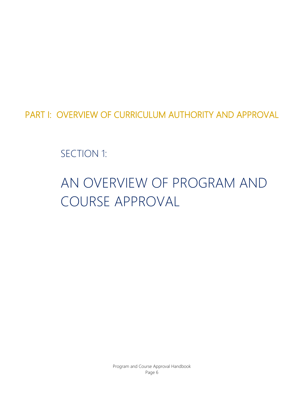PART I: OVERVIEW OF CURRICULUM AUTHORITY AND APPROVAL

SECTION 1:

# AN OVERVIEW OF PROGRAM AND COURSE APPROVAL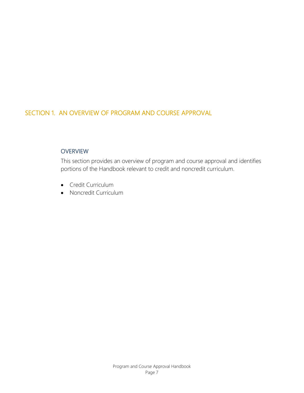# SECTION 1. AN OVERVIEW OF PROGRAM AND COURSE APPROVAL

### **OVERVIEW**

This section provides an overview of program and course approval and identifies portions of the Handbook relevant to credit and noncredit curriculum.

- Credit Curriculum
- Noncredit Curriculum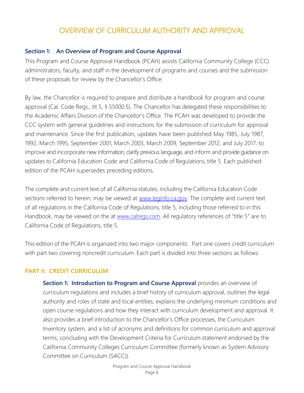# OVERVIEW OF CURRICULUM AUTHORITY AND APPROVAL

### **Section 1: An Overview of Program and Course Approval**

This Program and Course Approval Handbook (PCAH) assists California Community College (CCC) administrators, faculty, and staff in the development of programs and courses and the submission of these proposals for review by the Chancellor's Office.

By law, the Chancellor is required to prepare and distribute a handbook for program and course approval (Cal. Code Regs., tit 5, § 55000.5). The Chancellor has delegated these responsibilities to the Academic Affairs Division of the Chancellor's Office. The PCAH was developed to provide the CCC system with general guidelines and instructions for the submission of curriculum for approval and maintenance. Since the first publication, updates have been published May 1985, July 1987, 1992, March 1995, September 2001, March 2003, March 2009, September 2012, and July 2017, to improve and incorporate new information, clarify previous language, and inform and provide guidance on updates to California Education Code and California Code of Regulations, title 5. Each published edition of the PCAH supersedes preceding editions.

The complete and current text of all California statutes, including the California Education Code sections referred to herein, may be viewed at [www.leginfo.ca.gov. T](http://www.leginfo.ca.gov/)he complete and current text of all regulations in the California Code of Regulations, title 5, including those referred to in this Handbook, may be viewed on the at [www.calregs.com.](http://www.calregs.com/) All regulatory references of "title 5" are to California Code of Regulations, title 5.

This edition of the PCAH is organized into two major components: Part one covers credit curriculum with part two covering noncredit curriculum. Each part is divided into three sections as follows:

### **PART II: CREDIT CURRICULUM**

**Section 1: Introduction to Program and Course Approval** provides an overview of curriculum regulations and includes a brief history of curriculum approval, outlines the legal authority and roles of state and local entities, explains the underlying minimum conditions and open course regulations and how they interact with curriculum development and approval. It also provides a brief introduction to the Chancellor's Office processes, the Curriculum Inventory system, and a list of acronyms and definitions for common curriculum and approval terms, concluding with the Development Criteria for Curriculum statement endorsed by the California Community Colleges Curriculum Committee (formerly known as System Advisory Committee on Curriculum (SACC)).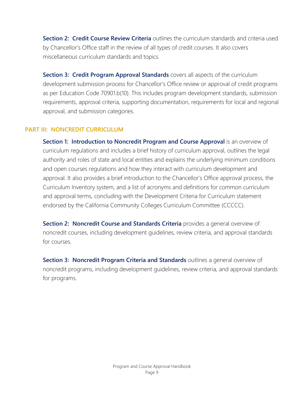**Section 2: Credit Course Review Criteria** outlines the curriculum standards and criteria used by Chancellor's Office staff in the review of all types of credit courses. It also covers miscellaneous curriculum standards and topics.

**Section 3: Credit Program Approval Standards** covers all aspects of the curriculum development submission process for Chancellor's Office review or approval of credit programs as per Education Code 70901.b(10). This includes program development standards, submission requirements, approval criteria, supporting documentation, requirements for local and regional approval, and submission categories.

### **PART III: NONCREDIT CURRICULUM**

**Section 1: Introduction to Noncredit Program and Course Approval** is an overview of curriculum regulations and includes a brief history of curriculum approval, outlines the legal authority and roles of state and local entities and explains the underlying minimum conditions and open courses regulations and how they interact with curriculum development and approval. It also provides a brief introduction to the Chancellor's Office approval process, the Curriculum Inventory system, and a list of acronyms and definitions for common curriculum and approval terms, concluding with the Development Criteria for Curriculum statement endorsed by the California Community Colleges Curriculum Committee (CCCCC).

**Section 2: Noncredit Course and Standards Criteria** provides a general overview of noncredit courses, including development guidelines, review criteria, and approval standards for courses.

**Section 3: Noncredit Program Criteria and Standards** outlines a general overview of noncredit programs, including development guidelines, review criteria, and approval standards for programs.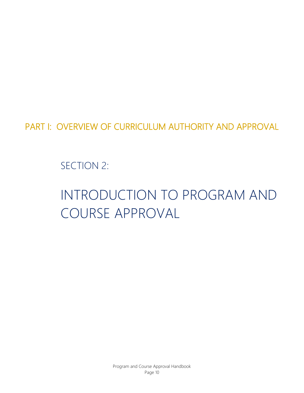PART I: OVERVIEW OF CURRICULUM AUTHORITY AND APPROVAL

SECTION 2:

# INTRODUCTION TO PROGRAM AND COURSE APPROVAL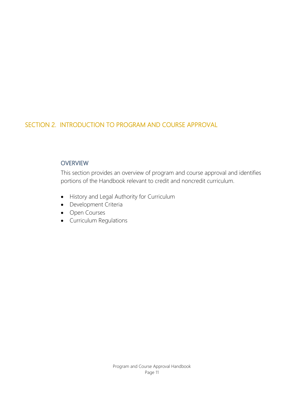# SECTION 2. INTRODUCTION TO PROGRAM AND COURSE APPROVAL

### **OVERVIEW**

This section provides an overview of program and course approval and identifies portions of the Handbook relevant to credit and noncredit curriculum.

- History and Legal Authority for Curriculum
- Development Criteria
- Open Courses
- Curriculum Regulations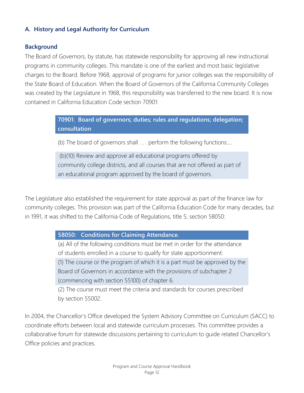### **A. History and Legal Authority for Curriculum**

### **Background**

The Board of Governors, by statute, has statewide responsibility for approving all new instructional programs in community colleges. This mandate is one of the earliest and most basic legislative charges to the Board. Before 1968, approval of programs for junior colleges was the responsibility of the State Board of Education. When the Board of Governors of the California Community Colleges was created by the Legislature in 1968, this responsibility was transferred to the new board. It is now contained in California Education Code section 70901:

> **70901: Board of governors; duties; rules and regulations; delegation; consultation**

(b) The board of governors shall . . . perform the following functions:…

(b)(10) Review and approve all educational programs offered by community college districts, and all courses that are not offered as part of an educational program approved by the board of governors.

The Legislature also established the requirement for state approval as part of the finance law for community colleges. This provision was part of the California Education Code for many decades, but in 1991, it was shifted to the California Code of Regulations, title 5, section 58050:

### **58050: Conditions for Claiming Attendance.**

(a) All of the following conditions must be met in order for the attendance of students enrolled in a course to qualify for state apportionment: (1) The course or the program of which it is a part must be approved by the Board of Governors in accordance with the provisions of subchapter 2 (commencing with section 55100) of chapter 6.

(2) The course must meet the criteria and standards for courses prescribed by section 55002.

In 2004, the Chancellor's Office developed the System Advisory Committee on Curriculum (SACC) to coordinate efforts between local and statewide curriculum processes. This committee provides a collaborative forum for statewide discussions pertaining to curriculum to guide related Chancellor's Office policies and practices.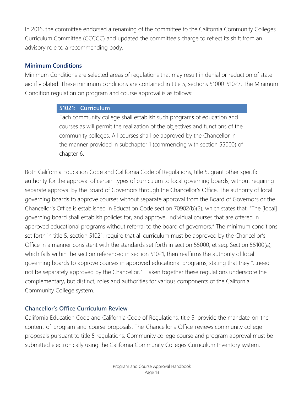In 2016, the committee endorsed a renaming of the committee to the California Community Colleges Curriculum Committee (CCCCC) and updated the committee's charge to reflect its shift from an advisory role to a recommending body.

### **Minimum Conditions**

Minimum Conditions are selected areas of regulations that may result in denial or reduction of state aid if violated. These minimum conditions are contained in title 5, sections 51000-51027. The Minimum Condition regulation on program and course approval is as follows:

### **51021: Curriculum**

Each community college shall establish such programs of education and courses as will permit the realization of the objectives and functions of the community colleges. All courses shall be approved by the Chancellor in the manner provided in subchapter 1 (commencing with section 55000) of chapter 6.

Both California Education Code and California Code of Regulations, title 5, grant other specific authority for the approval of certain types of curriculum to local governing boards, without requiring separate approval by the Board of Governors through the Chancellor's Office. The authority of local governing boards to approve courses without separate approval from the Board of Governors or the Chancellor's Office is established in Education Code section 70902(b)(2), which states that, "The [local] governing board shall establish policies for, and approve, individual courses that are offered in approved educational programs without referral to the board of governors." The minimum conditions set forth in title 5, section 51021, require that all curriculum must be approved by the Chancellor's Office in a manner consistent with the standards set forth in section 55000, et seq. Section 55100(a), which falls within the section referenced in section 51021, then reaffirms the authority of local governing boards to approve courses in approved educational programs, stating that they "…need not be separately approved by the Chancellor." Taken together these regulations underscore the complementary, but distinct, roles and authorities for various components of the California Community College system.

### **Chancellor's Office Curriculum Review**

California Education Code and California Code of Regulations, title 5, provide the mandate on the content of program and course proposals. The Chancellor's Office reviews community college proposals pursuant to title 5 regulations. Community college course and program approval must be submitted electronically using the California Community Colleges Curriculum Inventory system.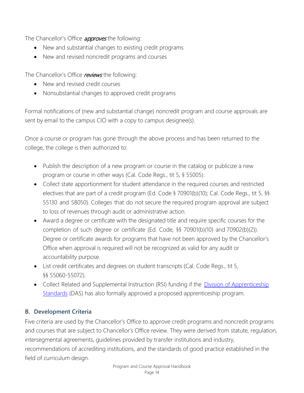The Chancellor's Office **approves** the following:

- New and substantial changes to existing credit programs
- New and revised noncredit programs and courses

The Chancellor's Office reviews the following:

- New and revised credit courses
- Nonsubstantial changes to approved credit programs

Formal notifications of (new and substantial change) noncredit program and course approvals are sent by email to the campus CIO with a copy to campus designee(s).

Once a course or program has gone through the above process and has been returned to the college, the college is then authorized to:

- Publish the description of a new program or course in the catalog or publicize a new program or course in other ways (Cal. Code Regs., tit 5, § 55005).
- Collect state apportionment for student attendance in the required courses and restricted electives that are part of a credit program (Ed. Code § 70901(b)(10); Cal. Code Regs., tit 5, §§ 55130 and 58050). Colleges that do not secure the required program approval are subject to loss of revenues through audit or administrative action.
- Award a degree or certificate with the designated title and require specific courses for the completion of such degree or certificate (Ed. Code, §§ 70901(b)(10) and 70902(b)(2)). Degree or certificate awards for programs that have not been approved by the Chancellor's Office when approval is required will not be recognized as valid for any audit or accountability purpose.
- List credit certificates and degrees on student transcripts (Cal. Code Regs., tit 5, §§ 55060-55072).
- Collect Related and Supplemental Instruction (RSI) funding if the *[Division of Apprenticeship](http://www.dir.ca.gov/das/das.html)* [Standards](http://www.dir.ca.gov/das/das.html) (DAS) has also formally approved a proposed apprenticeship program.

## **B. Development Criteria**

Five criteria are used by the Chancellor's Office to approve credit programs and noncredit programs and courses that are subject to Chancellor's Office review. They were derived from statute, regulation, intersegmental agreements, guidelines provided by transfer institutions and industry, recommendations of accrediting institutions, and the standards of good practice established in the field of curriculum design.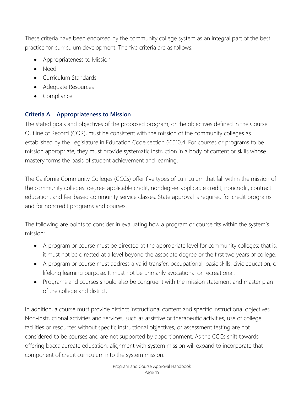These criteria have been endorsed by the community college system as an integral part of the best practice for curriculum development. The five criteria are as follows:

- Appropriateness to Mission
- Need
- Curriculum Standards
- Adequate Resources
- **Compliance**

# **Criteria A. Appropriateness to Mission**

The stated goals and objectives of the proposed program, or the objectives defined in the Course Outline of Record (COR), must be consistent with the mission of the community colleges as established by the Legislature in Education Code section 66010.4. For courses or programs to be mission appropriate, they must provide systematic instruction in a body of content or skills whose mastery forms the basis of student achievement and learning.

The California Community Colleges (CCCs) offer five types of curriculum that fall within the mission of the community colleges: degree-applicable credit, nondegree-applicable credit, noncredit, contract education, and fee-based community service classes. State approval is required for credit programs and for noncredit programs and courses.

The following are points to consider in evaluating how a program or course fits within the system's mission:

- A program or course must be directed at the appropriate level for community colleges; that is, it must not be directed at a level beyond the associate degree or the first two years of college.
- A program or course must address a valid transfer, occupational, basic skills, civic education, or lifelong learning purpose. It must not be primarily avocational or recreational.
- Programs and courses should also be congruent with the mission statement and master plan of the college and district.

In addition, a course must provide distinct instructional content and specific instructional objectives. Non-instructional activities and services, such as assistive or therapeutic activities, use of college facilities or resources without specific instructional objectives, or assessment testing are not considered to be courses and are not supported by apportionment. As the CCCs shift towards offering baccalaureate education, alignment with system mission will expand to incorporate that component of credit curriculum into the system mission.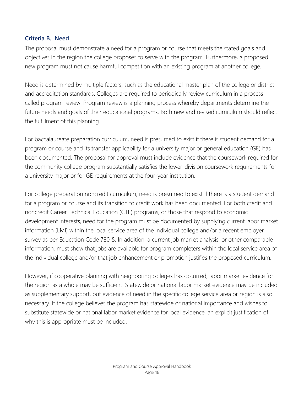### **Criteria B. Need**

The proposal must demonstrate a need for a program or course that meets the stated goals and objectives in the region the college proposes to serve with the program. Furthermore, a proposed new program must not cause harmful competition with an existing program at another college.

Need is determined by multiple factors, such as the educational master plan of the college or district and accreditation standards. Colleges are required to periodically review curriculum in a process called program review. Program review is a planning process whereby departments determine the future needs and goals of their educational programs. Both new and revised curriculum should reflect the fulfillment of this planning.

For baccalaureate preparation curriculum, need is presumed to exist if there is student demand for a program or course and its transfer applicability for a university major or general education (GE) has been documented. The proposal for approval must include evidence that the coursework required for the community college program substantially satisfies the lower-division coursework requirements for a university major or for GE requirements at the four-year institution.

For college preparation noncredit curriculum, need is presumed to exist if there is a student demand for a program or course and its transition to credit work has been documented. For both credit and noncredit Career Technical Education (CTE) programs, or those that respond to economic development interests, need for the program must be documented by supplying current labor market information (LMI) within the local service area of the individual college and/or a recent employer survey as per Education Code 78015. In addition, a current job market analysis, or other comparable information, must show that jobs are available for program completers within the local service area of the individual college and/or that job enhancement or promotion justifies the proposed curriculum.

However, if cooperative planning with neighboring colleges has occurred, labor market evidence for the region as a whole may be sufficient. Statewide or national labor market evidence may be included as supplementary support, but evidence of need in the specific college service area or region is also necessary. If the college believes the program has statewide or national importance and wishes to substitute statewide or national labor market evidence for local evidence, an explicit justification of why this is appropriate must be included.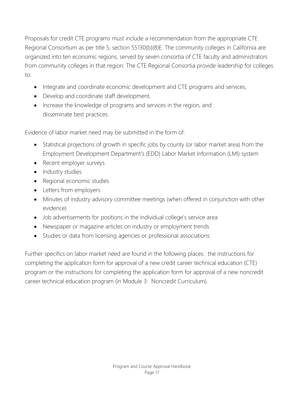Proposals for credit CTE programs must include a recommendation from the appropriate CTE Regional Consortium as per title 5, section 55130(b)(8)E. The community colleges in California are organized into ten economic regions, served by seven consortia of CTE faculty and administrators from community colleges in that region. The CTE Regional Consortia provide leadership for colleges to:

- Integrate and coordinate economic development and CTE programs and services,
- Develop and coordinate staff development,
- Increase the knowledge of programs and services in the region, and disseminate best practices.

Evidence of labor market need may be submitted in the form of:

- Statistical projections of growth in specific jobs by county (or labor market area) from the Employment Development Department's (EDD) Labor Market Information (LMI) system
- Recent employer surveys
- Industry studies
- Regional economic studies
- Letters from employers
- Minutes of industry advisory committee meetings (when offered in conjunction with other evidence)
- Job advertisements for positions in the individual college's service area
- Newspaper or magazine articles on industry or employment trends
- Studies or data from licensing agencies or professional associations

Further specifics on labor market need are found in the following places: the instructions for completing the application form for approval of a new credit career technical education (CTE) program or the instructions for completing the application form for approval of a new noncredit career technical education program (in Module 3: Noncredit Curriculum).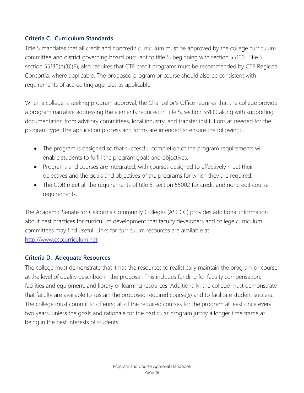### **Criteria C. Curriculum Standards**

Title 5 mandates that all credit and noncredit curriculum must be approved by the college curriculum committee and district governing board pursuant to title 5, beginning with section 55100. Title 5, section 55130(b)(8)(E), also requires that CTE credit programs must be recommended by CTE Regional Consortia, where applicable. The proposed program or course should also be consistent with requirements of accrediting agencies as applicable.

When a college is seeking program approval, the Chancellor's Office requires that the college provide a program narrative addressing the elements required in title 5, section 55130 along with supporting documentation from advisory committees, local industry, and transfer institutions as needed for the program type. The application process and forms are intended to ensure the following:

- The program is designed so that successful completion of the program requirements will enable students to fulfill the program goals and objectives.
- Programs and courses are integrated, with courses designed to effectively meet their objectives and the goals and objectives of the programs for which they are required.
- The COR meet all the requirements of title 5, section 55002 for credit and noncredit course requirements.

The Academic Senate for California Community Colleges (ASCCC) provides additional information about best practices for curriculum development that faculty developers and college curriculum committees may find useful. Links for curriculum resources are available at [http://www.ccccurriculum.net.](http://www.ccccurriculum.net/)

### **Criteria D. Adequate Resources**

The college must demonstrate that it has the resources to realistically maintain the program or course at the level of quality described in the proposal. This includes funding for faculty compensation, facilities and equipment, and library or learning resources. Additionally, the college must demonstrate that faculty are available to sustain the proposed required course(s) and to facilitate student success. The college must commit to offering all of the required courses for the program at least once every two years, unless the goals and rationale for the particular program justify a longer time frame as being in the best interests of students.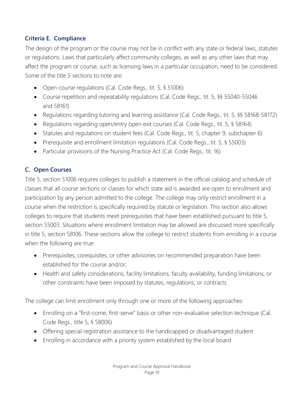### **Criteria E. Compliance**

The design of the program or the course may not be in conflict with any state or federal laws, statutes or regulations. Laws that particularly affect community colleges, as well as any other laws that may affect the program or course, such as licensing laws in a particular occupation, need to be considered. Some of the title 5 sections to note are:

- Open course regulations (Cal. Code Regs., tit. 5, § 51006)
- Course repetition and repeatability regulations (Cal. Code Regs., tit. 5, §§ 55040-55046 and 58161)
- Regulations regarding tutoring and learning assistance (Cal. Code Regs., tit. 5, §§ 58168-58172)
- Regulations regarding open/entry open exit courses (Cal. Code Regs., tit. 5, § 58164)
- Statutes and regulations on student fees (Cal. Code Regs., tit. 5, chapter 9, subchapter 6)
- Prerequisite and enrollment limitation regulations (Cal. Code Regs., tit. 5, § 55003)
- Particular provisions of the Nursing Practice Act (Cal. Code Regs., tit. 16)

## **C. Open Courses**

Title 5, section 51006 requires colleges to publish a statement in the official catalog and schedule of classes that all course sections or classes for which state aid is awarded are open to enrollment and participation by any person admitted to the college. The college may only restrict enrollment in a course when the restriction is specifically required by statute or legislation. This section also allows colleges to require that students meet prerequisites that have been established pursuant to title 5, section 55003. Situations where enrollment limitation may be allowed are discussed more specifically in title 5, section 58106. These sections allow the college to restrict students from enrolling in a course when the following are true:

- Prerequisites, corequisites, or other advisories on recommended preparation have been established for the course and/or;
- Health and safety considerations, facility limitations, faculty availability, funding limitations, or other constraints have been imposed by statutes, regulations, or contracts.

The college can limit enrollment only through one or more of the following approaches:

- Enrolling on a "first-come, first-serve" basis or other non-evaluative selection technique (Cal. Code Regs., title 5, § 58006)
- Offering special registration assistance to the handicapped or disadvantaged student
- Enrolling in accordance with a priority system established by the local board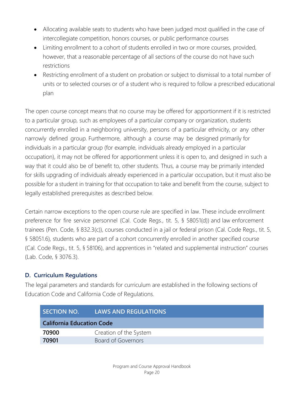- Allocating available seats to students who have been judged most qualified in the case of intercollegiate competition, honors courses, or public performance courses
- Limiting enrollment to a cohort of students enrolled in two or more courses, provided, however, that a reasonable percentage of all sections of the course do not have such restrictions
- Restricting enrollment of a student on probation or subject to dismissal to a total number of units or to selected courses or of a student who is required to follow a prescribed educational plan

The open course concept means that no course may be offered for apportionment if it is restricted to a particular group, such as employees of a particular company or organization, students concurrently enrolled in a neighboring university, persons of a particular ethnicity, or any other narrowly defined group. Furthermore, although a course may be designed primarily for individuals in a particular group (for example, individuals already employed in a particular occupation), it may not be offered for apportionment unless it is open to, and designed in such a way that it could also be of benefit to, other students. Thus, a course may be primarily intended for skills upgrading of individuals already experienced in a particular occupation, but it must also be possible for a student in training for that occupation to take and benefit from the course, subject to legally established prerequisites as described below.

Certain narrow exceptions to the open course rule are specified in law. These include enrollment preference for fire service personnel (Cal. Code Regs., tit. 5, § 58051(d)) and law enforcement trainees (Pen. Code, § 832.3(c)), courses conducted in a jail or federal prison (Cal. Code Regs., tit. 5, § 58051.6), students who are part of a cohort concurrently enrolled in another specified course (Cal. Code Regs., tit. 5, § 58106), and apprentices in "related and supplemental instruction" courses (Lab. Code, § 3076.3).

## **D. Curriculum Regulations**

The legal parameters and standards for curriculum are established in the following sections of Education Code and California Code of Regulations.

| <b>SECTION NO.</b>               | <b>LAWS AND REGULATIONS</b> |
|----------------------------------|-----------------------------|
| <b>California Education Code</b> |                             |
| 70900                            | Creation of the System      |
| 70901                            | Board of Governors          |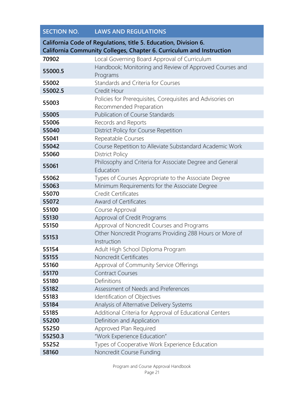| <b>SECTION NO.</b>                                                                                                                      | <b>LAWS AND REGULATIONS</b>                                                           |  |
|-----------------------------------------------------------------------------------------------------------------------------------------|---------------------------------------------------------------------------------------|--|
| California Code of Regulations, title 5. Education, Division 6.<br>California Community Colleges, Chapter 6. Curriculum and Instruction |                                                                                       |  |
| 70902                                                                                                                                   | Local Governing Board Approval of Curriculum                                          |  |
| 55000.5                                                                                                                                 | Handbook; Monitoring and Review of Approved Courses and<br>Programs                   |  |
| 55002                                                                                                                                   | Standards and Criteria for Courses                                                    |  |
| 55002.5                                                                                                                                 | Credit Hour                                                                           |  |
| 55003                                                                                                                                   | Policies for Prerequisites, Corequisites and Advisories on<br>Recommended Preparation |  |
| 55005                                                                                                                                   | <b>Publication of Course Standards</b>                                                |  |
| 55006                                                                                                                                   | Records and Reports                                                                   |  |
| 55040                                                                                                                                   | District Policy for Course Repetition                                                 |  |
| 55041                                                                                                                                   | Repeatable Courses                                                                    |  |
| 55042                                                                                                                                   | Course Repetition to Alleviate Substandard Academic Work                              |  |
| 55060                                                                                                                                   | <b>District Policy</b>                                                                |  |
| 55061                                                                                                                                   | Philosophy and Criteria for Associate Degree and General<br>Education                 |  |
| 55062                                                                                                                                   | Types of Courses Appropriate to the Associate Degree                                  |  |
| 55063                                                                                                                                   | Minimum Requirements for the Associate Degree                                         |  |
| 55070                                                                                                                                   | <b>Credit Certificates</b>                                                            |  |
| 55072                                                                                                                                   | Award of Certificates                                                                 |  |
| 55100                                                                                                                                   | Course Approval                                                                       |  |
| 55130                                                                                                                                   | Approval of Credit Programs                                                           |  |
| 55150                                                                                                                                   | Approval of Noncredit Courses and Programs                                            |  |
| 55153                                                                                                                                   | Other Noncredit Programs Providing 288 Hours or More of<br>Instruction                |  |
| 55154                                                                                                                                   | Adult High School Diploma Program                                                     |  |
| 55155                                                                                                                                   | Noncredit Certificates                                                                |  |
| 55160                                                                                                                                   | Approval of Community Service Offerings                                               |  |
| 55170                                                                                                                                   | <b>Contract Courses</b>                                                               |  |
| 55180                                                                                                                                   | Definitions                                                                           |  |
| 55182                                                                                                                                   | Assessment of Needs and Preferences                                                   |  |
| 55183                                                                                                                                   | Identification of Objectives                                                          |  |
| 55184                                                                                                                                   | Analysis of Alternative Delivery Systems                                              |  |
| 55185                                                                                                                                   | Additional Criteria for Approval of Educational Centers                               |  |
| 55200                                                                                                                                   | Definition and Application                                                            |  |
| 55250                                                                                                                                   | Approved Plan Required                                                                |  |
| 55250.3                                                                                                                                 | "Work Experience Education"                                                           |  |
| 55252                                                                                                                                   | Types of Cooperative Work Experience Education                                        |  |
| 58160                                                                                                                                   | Noncredit Course Funding                                                              |  |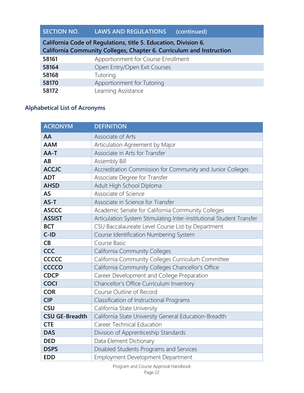# **SECTION NO. LAWS AND REGULATIONS (continued)**

| California Code of Regulations, title 5. Education, Division 6.      |                                     |  |
|----------------------------------------------------------------------|-------------------------------------|--|
| California Community Colleges, Chapter 6. Curriculum and Instruction |                                     |  |
| 58161                                                                | Apportionment for Course Enrollment |  |
| 58164                                                                | Open Entry/Open Exit Courses        |  |
| 58168                                                                | Tutoring                            |  |
| 58170                                                                | Apportionment for Tutoring          |  |
| 58172                                                                | Learning Assistance                 |  |

# **Alphabetical List of Acronyms**

| <b>ACRONYM</b>        | <b>DEFINITION</b>                                                    |
|-----------------------|----------------------------------------------------------------------|
| AA                    | Associate of Arts                                                    |
| <b>AAM</b>            | Articulation Agreement by Major                                      |
| AA-T                  | Associate in Arts for Transfer                                       |
| AB                    | Assembly Bill                                                        |
| <b>ACCJC</b>          | Accreditation Commission for Community and Junior Colleges           |
| <b>ADT</b>            | Associate Degree for Transfer                                        |
| <b>AHSD</b>           | Adult High School Diploma                                            |
| <b>AS</b>             | Associate of Science                                                 |
| AS-T                  | Associate in Science for Transfer                                    |
| <b>ASCCC</b>          | Academic Senate for California Community Colleges                    |
| <b>ASSIST</b>         | Articulation System Stimulating Inter-institutional Student Transfer |
| <b>BCT</b>            | CSU Baccalaureate Level Course List by Department                    |
| $C-ID$                | Course Identification Numbering System                               |
| CB                    | Course Basic                                                         |
| CCC                   | <b>California Community Colleges</b>                                 |
| <b>CCCCC</b>          | California Community Colleges Curriculum Committee                   |
| <b>CCCCO</b>          | California Community Colleges Chancellor's Office                    |
| <b>CDCP</b>           | Career Development and College Preparation                           |
| <b>COCI</b>           | Chancellor's Office Curriculum Inventory                             |
| <b>COR</b>            | Course Outline of Record                                             |
| <b>CIP</b>            | Classification of Instructional Programs                             |
| <b>CSU</b>            | California State University                                          |
| <b>CSU GE-Breadth</b> | California State University General Education-Breadth                |
| <b>CTE</b>            | Career Technical Education                                           |
| <b>DAS</b>            | Division of Apprenticeship Standards                                 |
| <b>DED</b>            | Data Element Dictionary                                              |
| <b>DSPS</b>           | Disabled Students Programs and Services                              |
| <b>EDD</b>            | Employment Development Department                                    |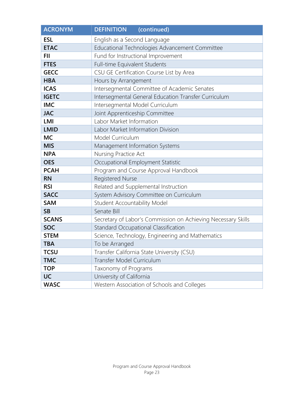| <b>ACRONYM</b> | <b>DEFINITION</b><br>(continued)                              |
|----------------|---------------------------------------------------------------|
| <b>ESL</b>     | English as a Second Language                                  |
| <b>ETAC</b>    | Educational Technologies Advancement Committee                |
| <b>FII</b>     | Fund for Instructional Improvement                            |
| <b>FTES</b>    | Full-time Equivalent Students                                 |
| <b>GECC</b>    | CSU GE Certification Course List by Area                      |
| <b>HBA</b>     | Hours by Arrangement                                          |
| <b>ICAS</b>    | Intersegmental Committee of Academic Senates                  |
| <b>IGETC</b>   | Intersegmental General Education Transfer Curriculum          |
| <b>IMC</b>     | Intersegmental Model Curriculum                               |
| <b>JAC</b>     | Joint Apprenticeship Committee                                |
| <b>LMI</b>     | Labor Market Information                                      |
| <b>LMID</b>    | Labor Market Information Division                             |
| <b>MC</b>      | Model Curriculum                                              |
| <b>MIS</b>     | Management Information Systems                                |
| <b>NPA</b>     | Nursing Practice Act                                          |
| <b>OES</b>     | Occupational Employment Statistic                             |
| <b>PCAH</b>    | Program and Course Approval Handbook                          |
| <b>RN</b>      | <b>Registered Nurse</b>                                       |
| <b>RSI</b>     | Related and Supplemental Instruction                          |
| <b>SACC</b>    | System Advisory Committee on Curriculum                       |
| <b>SAM</b>     | Student Accountability Model                                  |
| <b>SB</b>      | Senate Bill                                                   |
| <b>SCANS</b>   | Secretary of Labor's Commission on Achieving Necessary Skills |
| <b>SOC</b>     | Standard Occupational Classification                          |
| <b>STEM</b>    | Science, Technology, Engineering and Mathematics              |
| <b>TBA</b>     | To be Arranged                                                |
| <b>TCSU</b>    | Transfer California State University (CSU)                    |
| <b>TMC</b>     | Transfer Model Curriculum                                     |
| <b>TOP</b>     | Taxonomy of Programs                                          |
| <b>UC</b>      | University of California                                      |
| <b>WASC</b>    | Western Association of Schools and Colleges                   |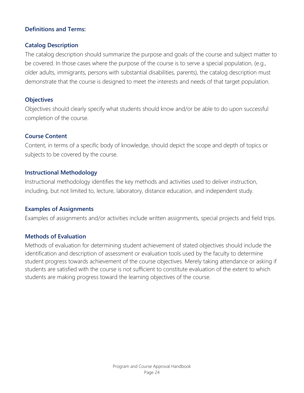### **Definitions and Terms:**

### **Catalog Description**

The catalog description should summarize the purpose and goals of the course and subject matter to be covered. In those cases where the purpose of the course is to serve a special population, (e.g., older adults, immigrants, persons with substantial disabilities, parents), the catalog description must demonstrate that the course is designed to meet the interests and needs of that target population.

### **Objectives**

Objectives should clearly specify what students should know and/or be able to do upon successful completion of the course.

### **Course Content**

Content, in terms of a specific body of knowledge, should depict the scope and depth of topics or subjects to be covered by the course.

### **Instructional Methodology**

Instructional methodology identifies the key methods and activities used to deliver instruction, including, but not limited to, lecture, laboratory, distance education, and independent study.

### **Examples of Assignments**

Examples of assignments and/or activities include written assignments, special projects and field trips.

### **Methods of Evaluation**

Methods of evaluation for determining student achievement of stated objectives should include the identification and description of assessment or evaluation tools used by the faculty to determine student progress towards achievement of the course objectives. Merely taking attendance or asking if students are satisfied with the course is not sufficient to constitute evaluation of the extent to which students are making progress toward the learning objectives of the course.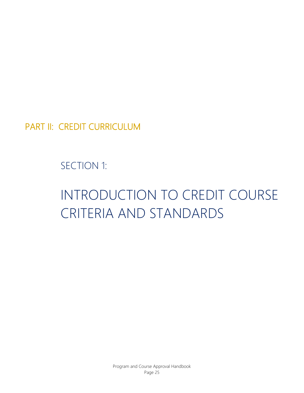PART II: CREDIT CURRICULUM

SECTION 1:

# INTRODUCTION TO CREDIT COURSE CRITERIA AND STANDARDS

Program and Course Approval Handbook Page 25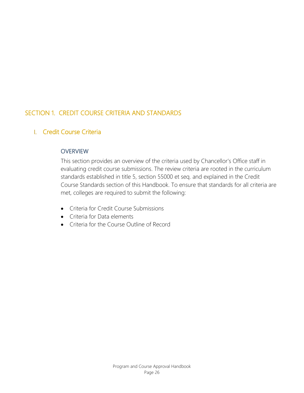# SECTION 1. CREDIT COURSE CRITERIA AND STANDARDS

## I. Credit Course Criteria

### **OVERVIEW**

This section provides an overview of the criteria used by Chancellor's Office staff in evaluating credit course submissions. The review criteria are rooted in the curriculum standards established in title 5, section 55000 et seq. and explained in the Credit Course Standards section of this Handbook. To ensure that standards for all criteria are met, colleges are required to submit the following:

- Criteria for Credit Course Submissions
- Criteria for Data elements
- Criteria for the Course Outline of Record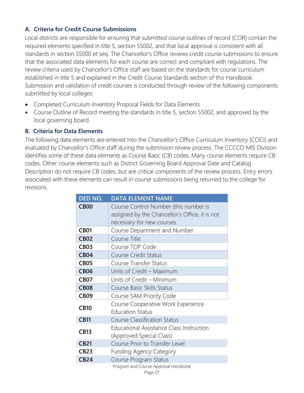### **A. Criteria for Credit Course Submissions**

Local districts are responsible for ensuring that submitted course outlines of record (COR) contain the required elements specified in title 5, section 55002, and that local approval is consistent with all standards in section 55000 et seq. The Chancellor's Office reviews credit course submissions to ensure that the associated data elements for each course are correct and compliant with regulations. The review criteria used by Chancellor's Office staff are based on the standards for course curriculum established in title 5 and explained in the Credit Course Standards section of this Handbook. Submission and validation of credit courses is conducted through review of the following components submitted by local colleges:

- Completed Curriculum Inventory Proposal Fields for Data Elements
- Course Outline of Record meeting the standards in title 5, section 55002, and approved by the local governing board.

### **B. Criteria for Data Elements**

The following data elements are entered into the Chancellor's Office Curriculum Inventory (COCI) and evaluated by Chancellor's Office staff during the submission review process. The CCCCO MIS Division identifies some of these data elements as Course Basic (CB) codes. Many course elements require CB codes. Other course elements such as District Governing Board Approval Date and Catalog Description do not require CB codes, but are critical components of the review process. Entry errors associated with these elements can result in course submissions being returned to the college for revisions.

| DED NO.     | <b>DATA ELEMENT NAME</b>                        |
|-------------|-------------------------------------------------|
| <b>CB00</b> | Course Control Number (this number is           |
|             | assigned by the Chancellor's Office, it is not  |
|             | necessary for new courses.                      |
| <b>CB01</b> | Course Department and Number                    |
| <b>CB02</b> | Course Title                                    |
| <b>CB03</b> | Course TOP Code                                 |
| <b>CB04</b> | <b>Course Credit Status</b>                     |
| <b>CB05</b> | Course Transfer Status                          |
| <b>CB06</b> | Units of Credit - Maximum                       |
| <b>CB07</b> | Units of Credit - Minimum                       |
| <b>CB08</b> | Course Basic Skills Status                      |
| <b>CB09</b> | Course SAM Priority Code                        |
| <b>CB10</b> | Course Cooperative Work Experience              |
|             | <b>Education Status</b>                         |
| <b>CB11</b> | <b>Course Classification Status</b>             |
| <b>CB13</b> | <b>Educational Assistance Class Instruction</b> |
|             | (Approved Special Class)                        |
| <b>CB21</b> | Course Prior to Transfer Level                  |
| <b>CB23</b> | <b>Funding Agency Category</b>                  |
| <b>CB24</b> | Course Program Status                           |
|             | Program and Course Approval Handbook<br>Page 27 |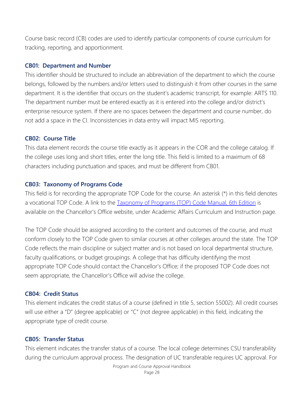Course basic record (CB) codes are used to identify particular components of course curriculum for tracking, reporting, and apportionment.

### **CB01: Department and Number**

This identifier should be structured to include an abbreviation of the department to which the course belongs, followed by the numbers and/or letters used to distinguish it from other courses in the same department. It is the identifier that occurs on the student's academic transcript, for example: ARTS 110. The department number must be entered exactly as it is entered into the college and/or district's enterprise resource system. If there are no spaces between the department and course number, do not add a space in the CI. Inconsistencies in data entry will impact MIS reporting.

### **CB02: Course Title**

This data element records the course title exactly as it appears in the COR and the college catalog. If the college uses long and short titles, enter the long title. This field is limited to a maximum of 68 characters including punctuation and spaces, and must be different from CB01.

### **CB03: Taxonomy of Programs Code**

This field is for recording the appropriate TOP Code for the course. An asterisk (\*) in this field denotes a vocational TOP Code. A link to the [Taxonomy of Programs \(TOP\) Code Manual, 6th Edition](http://extranet.cccco.edu/Portals/1/AA/Credit/2013Files/TOPmanual6_2009_09corrected_12.5.13.pdf) is available on the Chancellor's Office website, under Academic Affairs Curriculum and Instruction page.

The TOP Code should be assigned according to the content and outcomes of the course, and must conform closely to the TOP Code given to similar courses at other colleges around the state. The TOP Code reflects the main discipline or subject matter and is not based on local departmental structure, faculty qualifications, or budget groupings. A college that has difficulty identifying the most appropriate TOP Code should contact the Chancellor's Office; if the proposed TOP Code does not seem appropriate, the Chancellor's Office will advise the college.

#### **CB04: Credit Status**

This element indicates the credit status of a course (defined in title 5, section 55002). All credit courses will use either a "D" (degree applicable) or "C" (not degree applicable) in this field, indicating the appropriate type of credit course.

#### **CB05: Transfer Status**

This element indicates the transfer status of a course. The local college determines CSU transferability during the curriculum approval process. The designation of UC transferable requires UC approval. For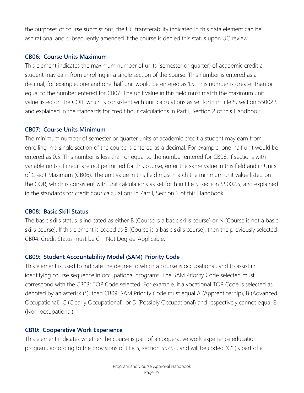the purposes of course submissions, the UC transferability indicated in this data element can be aspirational and subsequently amended if the course is denied this status upon UC review.

#### **CB06: Course Units Maximum**

This element indicates the maximum number of units (semester or quarter) of academic credit a student may earn from enrolling in a single section of the course. This number is entered as a decimal, for example, one and one-half unit would be entered as 1.5. This number is greater than or equal to the number entered for CB07. The unit value in this field must match the maximum unit value listed on the COR, which is consistent with unit calculations as set forth in title 5, section 55002.5 and explained in the standards for credit hour calculations in Part l, Section 2 of this Handbook.

### **CB07: Course Units Minimum**

The minimum number of semester or quarter units of academic credit a student may earn from enrolling in a single section of the course is entered as a decimal. For example, one-half unit would be entered as 0.5. This number is less than or equal to the number entered for CB06. If sections with variable units of credit are not permitted for this course, enter the same value in this field and in Units of Credit Maximum (CB06). The unit value in this field must match the minimum unit value listed on the COR, which is consistent with unit calculations as set forth in title 5, section 55002.5, and explained in the standards for credit hour calculations in Part l, Section 2 of this Handbook.

### **CB08: Basic Skill Status**

The basic skills status is indicated as either B (Course is a basic skills course) or N (Course is not a basic skills course). If this element is coded as B (Course is a basic skills course), then the previously selected CB04: Credit Status must be C – Not Degree-Applicable.

### **CB09: Student Accountability Model (SAM) Priority Code**

This element is used to indicate the degree to which a course is occupational, and to assist in identifying course sequence in occupational programs. The SAM Priority Code selected must correspond with the CB03: TOP Code selected. For example, if a vocational TOP Code is selected as denoted by an asterisk (\*), then CB09: SAM Priority Code must equal A (Apprenticeship), B (Advanced Occupational), C (Clearly Occupational), or D (Possibly Occupational) and respectively cannot equal E (Non-occupational).

### **CB10: Cooperative Work Experience**

This element indicates whether the course is part of a cooperative work experience education program, according to the provisions of title 5, section 55252, and will be coded "C" (Is part of a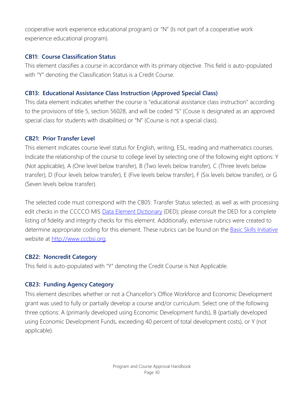cooperative work experience educational program) or "N" (Is not part of a cooperative work experience educational program).

### **CB11: Course Classification Status**

This element classifies a course in accordance with its primary objective. This field is auto-populated with "Y" denoting the Classification Status is a Credit Course.

### **CB13: Educational Assistance Class Instruction (Approved Special Class)**

This data element indicates whether the course is "educational assistance class instruction" according to the provisions of title 5, section 56028, and will be coded "S" (Couse is designated as an approved special class for students with disabilities) or "N" (Course is not a special class).

### **CB21: Prior Transfer Level**

This element indicates course level status for English, writing, ESL, reading and mathematics courses. Indicate the relationship of the course to college level by selecting one of the following eight options: Y (Not applicable), A (One level below transfer), B (Two levels below transfer), C (Three levels below transfer), D (Four levels below transfer), E (Five levels below transfer), F (Six levels below transfer), or G (Seven levels below transfer).

The selected code must correspond with the CB05: Transfer Status selected, as well as with processing edit checks in the CCCCO MIS Data Element [Dictionary](http://extranet.cccco.edu/Divisions/TechResearchInfoSys/MIS/DED.aspx) (DED); please consult the DED for a complete listing of fidelity and integrity checks for this element. Additionally, extensive rubrics were created to determine appropriate coding for this element. These rubrics can be found on the [Basic Skills Initiative](http://www.cccbsi.org/) website at [http://www.cccbsi.org.](http://www.cccbsi.org/)

### **CB22: Noncredit Category**

This field is auto-populated with "Y" denoting the Credit Course is Not Applicable.

### **CB23: Funding Agency Category**

This element describes whether or not a Chancellor's Office Workforce and Economic Development grant was used to fully or partially develop a course and/or curriculum. Select one of the following three options: A (primarily developed using Economic Development funds), B (partially developed using Economic Development Funds, exceeding 40 percent of total development costs), or Y (not applicable).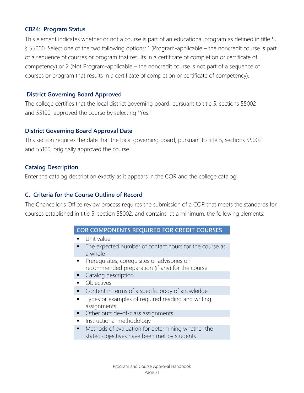### **CB24: Program Status**

This element indicates whether or not a course is part of an educational program as defined in title 5, § 55000. Select one of the two following options: 1 (Program-applicable – the noncredit course is part of a sequence of courses or program that results in a certificate of completion or certificate of competency) or 2 (Not Program-applicable – the noncredit course is not part of a sequence of courses or program that results in a certificate of completion or certificate of competency).

### **District Governing Board Approved**

The college certifies that the local district governing board, pursuant to title 5, sections 55002 and 55100, approved the course by selecting "Yes."

### **District Governing Board Approval Date**

This section requires the date that the local governing board, pursuant to title 5, sections 55002 and 55100, originally approved the course.

### **Catalog Description**

Enter the catalog description exactly as it appears in the COR and the college catalog.

### **C. Criteria for the Course Outline of Record**

The Chancellor's Office review process requires the submission of a COR that meets the standards for courses established in title 5, section 55002, and contains, at a minimum, the following elements:

### **COR COMPONENTS REQUIRED FOR CREDIT COURSES**

- **Unit value**
- The expected number of contact hours for the course as a whole
- **Prerequisites, corequisites or advisories on** recommended preparation (if any) for the course
- Catalog description
- Objectives
- Content in terms of a specific body of knowledge
- **Types or examples of required reading and writing** assignments
- **•** Other outside-of-class assignments
- **I** Instructional methodology
- Methods of evaluation for determining whether the stated objectives have been met by students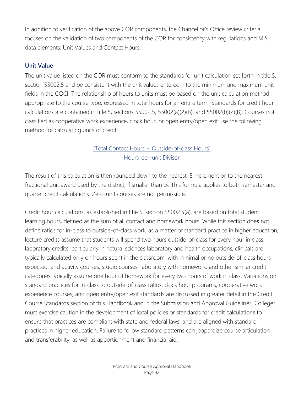In addition to verification of the above COR components, the Chancellor's Office review criteria focuses on the validation of two components of the COR for consistency with regulations and MIS data elements: Unit Values and Contact Hours.

### **Unit Value**

The unit value listed on the COR must conform to the standards for unit calculation set forth in title 5, section 55002.5 and be consistent with the unit values entered into the minimum and maximum unit fields in the COCI. The relationship of hours to units must be based on the unit calculation method appropriate to the course type, expressed in total hours for an entire term. Standards for credit hour calculations are contained in title 5, sections 55002.5, 55002(a)(2)(B), and 55002(b)(2)(B). Courses not classified as cooperative work experience, clock hour, or open entry/open exit use the following method for calculating units of credit:

# [Total Contact Hours + Outside-of-class Hours] Hours-per-unit Divisor

The result of this calculation is then rounded down to the nearest .5 increment or to the nearest fractional unit award used by the district, if smaller than .5. This formula applies to both semester and quarter credit calculations. Zero-unit courses are not permissible.

Credit hour calculations, as established in title 5, section 55002.5(a), are based on total student learning hours, defined as the sum of all contact and homework hours. While this section does not define ratios for in-class to outside-of-class work, as a matter of standard practice in higher education, lecture credits assume that students will spend two hours outside-of-class for every hour in class; laboratory credits, particularly in natural sciences laboratory and health occupations, clinicals are typically calculated only on hours spent in the classroom, with minimal or no outside-of-class hours expected; and activity courses, studio courses, laboratory with homework, and other similar credit categories typically assume one hour of homework for every two hours of work in class. Variations on standard practices for in-class to outside-of-class ratios, clock hour programs, cooperative work experience courses, and open entry/open exit standards are discussed in greater detail in the Credit Course Standards section of this Handbook and in the Submission and Approval Guidelines. Colleges must exercise caution in the development of local policies or standards for credit calculations to ensure that practices are compliant with state and federal laws, and are aligned with standard practices in higher education. Failure to follow standard patterns can jeopardize course articulation and transferability, as well as apportionment and financial aid.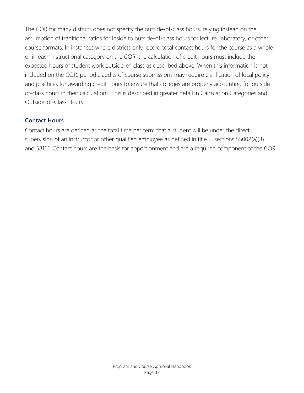The COR for many districts does not specify the outside-of-class hours, relying instead on the assumption of traditional ratios for inside to outside-of-class hours for lecture, laboratory, or other course formats. In instances where districts only record total contact hours for the course as a whole or in each instructional category on the COR, the calculation of credit hours must include the expected hours of student work outside-of-class as described above. When this information is not included on the COR, periodic audits of course submissions may require clarification of local policy and practices for awarding credit hours to ensure that colleges are properly accounting for outsideof-class hours in their calculations. This is described in greater detail in Calculation Categories and Outside-of-Class Hours.

### **Contact Hours**

Contact hours are defined as the total time per term that a student will be under the direct supervision of an instructor or other qualified employee as defined in title 5, sections 55002(a)(3) and 58161. Contact hours are the basis for apportionment and are a required component of the COR.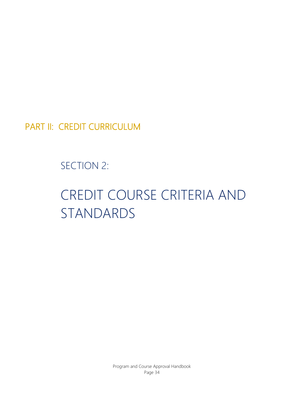PART II: CREDIT CURRICULUM

SECTION 2:

# CREDIT COURSE CRITERIA AND STANDARDS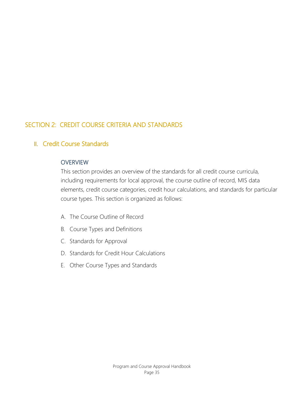# SECTION 2: CREDIT COURSE CRITERIA AND STANDARDS

## II. Credit Course Standards

### **OVERVIEW**

This section provides an overview of the standards for all credit course curricula, including requirements for local approval, the course outline of record, MIS data elements, credit course categories, credit hour calculations, and standards for particular course types. This section is organized as follows:

- A. The Course Outline of Record
- B. Course Types and Definitions
- C. Standards for Approval
- D. Standards for Credit Hour Calculations
- E. Other Course Types and Standards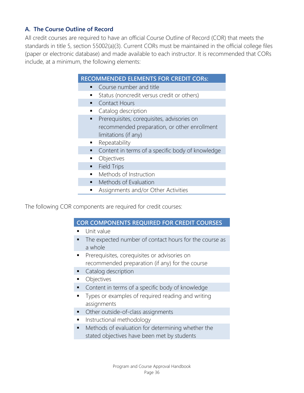## **A. The Course Outline of Record**

All credit courses are required to have an official Course Outline of Record (COR) that meets the standards in title 5, section 55002(a)(3). Current CORs must be maintained in the official college files (paper or electronic database) and made available to each instructor. It is recommended that CORs include, at a minimum, the following elements:

## **RECOMMENDED ELEMENTS FOR CREDIT CORs:**

- **Course number and title** 
	- **Status (noncredit versus credit or others)**
- Contact Hours
- **Catalog description**
- **Prerequisites, corequisites, advisories on** recommended preparation, or other enrollment limitations (if any)
- **Repeatability**
- **Content in terms of a specific body of knowledge**
- Objectives
- **Field Trips**
- Methods of Instruction
- Methods of Evaluation
- **Assignments and/or Other Activities**

The following COR components are required for credit courses:

#### **COR COMPONENTS REQUIRED FOR CREDIT COURSES**

- Unit value
- The expected number of contact hours for the course as a whole
- **Prerequisites, corequisites or advisories on** recommended preparation (if any) for the course
- **Catalog description**
- **•** Objectives
- **Content in terms of a specific body of knowledge**
- **Types or examples of required reading and writing** assignments
- Other outside-of-class assignments
- **Instructional methodology**
- Methods of evaluation for determining whether the stated objectives have been met by students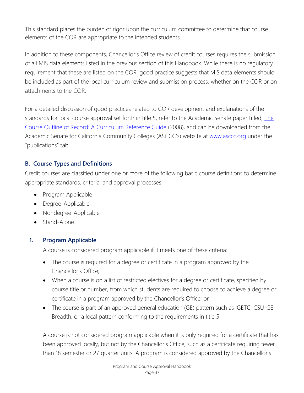This standard places the burden of rigor upon the curriculum committee to determine that course elements of the COR are appropriate to the intended students.

In addition to these components, Chancellor's Office review of credit courses requires the submission of all MIS data elements listed in the previous section of this Handbook. While there is no regulatory requirement that these are listed on the COR, good practice suggests that MIS data elements should be included as part of the local curriculum review and submission process, whether on the COR or on attachments to the COR.

For a detailed discussion of good practices related to COR development and explanations of the standards for local course approval set forth in title 5, refer to the Academic Senate paper titled, *The* [Course Outline of Record: A Curriculum Reference Guide](http://www.asccc.org/sites/default/files/publications/Curriculum-paper_0.pdf) (2008), and can be downloaded from the Academic Senate for California Community Colleges (ASCCC's) website at [www.asccc.org](http://www.asccc.org/) under the "publications" tab.

# **B. Course Types and Definitions**

Credit courses are classified under one or more of the following basic course definitions to determine appropriate standards, criteria, and approval processes:

- Program Applicable
- Degree-Applicable
- Nondegree-Applicable
- Stand-Alone

# **1. Program Applicable**

A course is considered program applicable if it meets one of these criteria:

- The course is required for a degree or certificate in a program approved by the Chancellor's Office;
- When a course is on a list of restricted electives for a degree or certificate, specified by course title or number, from which students are required to choose to achieve a degree or certificate in a program approved by the Chancellor's Office; or
- The course is part of an approved general education (GE) pattern such as IGETC, CSU-GE Breadth, or a local pattern conforming to the requirements in title 5.

A course is not considered program applicable when it is only required for a certificate that has been approved locally, but not by the Chancellor's Office, such as a certificate requiring fewer than 18 semester or 27 quarter units. A program is considered approved by the Chancellor's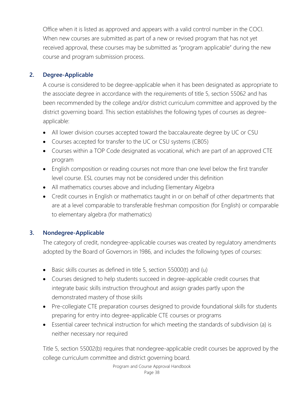Office when it is listed as approved and appears with a valid control number in the COCI. When new courses are submitted as part of a new or revised program that has not yet received approval, these courses may be submitted as "program applicable" during the new course and program submission process.

# **2. Degree-Applicable**

A course is considered to be degree-applicable when it has been designated as appropriate to the associate degree in accordance with the requirements of title 5, section 55062 and has been recommended by the college and/or district curriculum committee and approved by the district governing board. This section establishes the following types of courses as degreeapplicable:

- All lower division courses accepted toward the baccalaureate degree by UC or CSU
- Courses accepted for transfer to the UC or CSU systems (CB05)
- Courses within a TOP Code designated as vocational, which are part of an approved CTE program
- English composition or reading courses not more than one level below the first transfer level course. ESL courses may not be considered under this definition
- All mathematics courses above and including Elementary Algebra
- Credit courses in English or mathematics taught in or on behalf of other departments that are at a level comparable to transferable freshman composition (for English) or comparable to elementary algebra (for mathematics)

# **3. Nondegree-Applicable**

The category of credit, nondegree-applicable courses was created by regulatory amendments adopted by the Board of Governors in 1986, and includes the following types of courses:

- Basic skills courses as defined in title 5, section 55000(t) and (u)
- Courses designed to help students succeed in degree-applicable credit courses that integrate basic skills instruction throughout and assign grades partly upon the demonstrated mastery of those skills
- Pre-collegiate CTE preparation courses designed to provide foundational skills for students preparing for entry into degree-applicable CTE courses or programs
- Essential career technical instruction for which meeting the standards of subdivision (a) is neither necessary nor required

Title 5, section 55002(b) requires that nondegree-applicable credit courses be approved by the college curriculum committee and district governing board.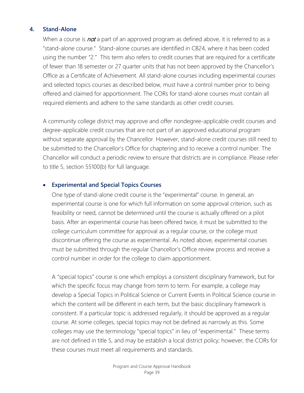#### **4. Stand-Alone**

When a course is **not** a part of an approved program as defined above, it is referred to as a "stand-alone course." Stand-alone courses are identified in CB24, where it has been coded using the number "2." This term also refers to credit courses that are required for a certificate of fewer than 18 semester or 27 quarter units that has not been approved by the Chancellor's Office as a Certificate of Achievement. All stand-alone courses including experimental courses and selected topics courses as described below, must have a control number prior to being offered and claimed for apportionment. The CORs for stand-alone courses must contain all required elements and adhere to the same standards as other credit courses.

A community college district may approve and offer nondegree-applicable credit courses and degree-applicable credit courses that are not part of an approved educational program without separate approval by the Chancellor. However, stand-alone credit courses still need to be submitted to the Chancellor's Office for chaptering and to receive a control number. The Chancellor will conduct a periodic review to ensure that districts are in compliance. Please refer to title 5, section 55100(b) for full language.

#### • **Experimental and Special Topics Courses**

One type of stand-alone credit course is the "experimental" course. In general, an experimental course is one for which full information on some approval criterion, such as feasibility or need, cannot be determined until the course is actually offered on a pilot basis. After an experimental course has been offered twice, it must be submitted to the college curriculum committee for approval as a regular course, or the college must discontinue offering the course as experimental. As noted above, experimental courses must be submitted through the regular Chancellor's Office review process and receive a control number in order for the college to claim apportionment.

A "special topics" course is one which employs a consistent disciplinary framework, but for which the specific focus may change from term to term. For example, a college may develop a Special Topics in Political Science or Current Events in Political Science course in which the content will be different in each term, but the basic disciplinary framework is consistent. If a particular topic is addressed regularly, it should be approved as a regular course. At some colleges, special topics may not be defined as narrowly as this. Some colleges may use the terminology "special topics" in lieu of "experimental." These terms are not defined in title 5, and may be establish a local district policy; however, the CORs for these courses must meet all requirements and standards.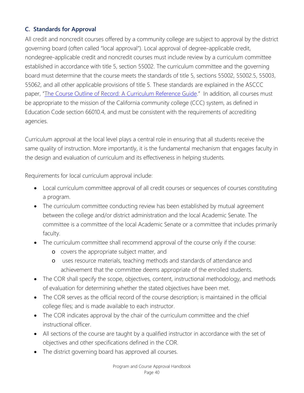# **C. Standards for Approval**

All credit and noncredit courses offered by a community college are subject to approval by the district governing board (often called "local approval"). Local approval of degree-applicable credit, nondegree-applicable credit and noncredit courses must include review by a curriculum committee established in accordance with title 5, section 55002. The curriculum committee and the governing board must determine that the course meets the standards of title 5, sections 55002, 55002.5, 55003, 55062, and all other applicable provisions of title 5. These standards are explained in the ASCCC paper, ["The Course Outline of Record: A Curriculum Reference Guide.](http://www.asccc.org/sites/default/files/publications/Curriculum-paper_0.pdf)" In addition, all courses must be appropriate to the mission of the California community college (CCC) system, as defined in Education Code section 66010.4, and must be consistent with the requirements of accrediting agencies.

Curriculum approval at the local level plays a central role in ensuring that all students receive the same quality of instruction. More importantly, it is the fundamental mechanism that engages faculty in the design and evaluation of curriculum and its effectiveness in helping students.

Requirements for local curriculum approval include:

- Local curriculum committee approval of all credit courses or sequences of courses constituting a program.
- The curriculum committee conducting review has been established by mutual agreement between the college and/or district administration and the local Academic Senate. The committee is a committee of the local Academic Senate or a committee that includes primarily faculty.
- The curriculum committee shall recommend approval of the course only if the course:
	- o covers the appropriate subject matter, and
	- o uses resource materials, teaching methods and standards of attendance and achievement that the committee deems appropriate of the enrolled students.
- The COR shall specify the scope, objectives, content, instructional methodology, and methods of evaluation for determining whether the stated objectives have been met.
- The COR serves as the official record of the course description; is maintained in the official college files; and is made available to each instructor.
- The COR indicates approval by the chair of the curriculum committee and the chief instructional officer.
- All sections of the course are taught by a qualified instructor in accordance with the set of objectives and other specifications defined in the COR.
- The district governing board has approved all courses.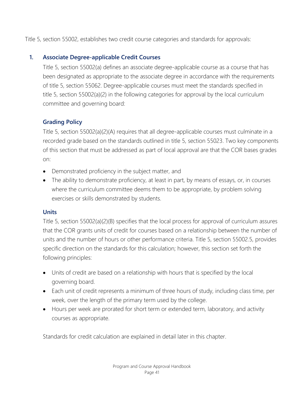Title 5, section 55002, establishes two credit course categories and standards for approvals:

# **1. Associate Degree-applicable Credit Courses**

Title 5, section 55002(a) defines an associate degree-applicable course as a course that has been designated as appropriate to the associate degree in accordance with the requirements of title 5, section 55062. Degree-applicable courses must meet the standards specified in title 5, section 55002(a)(2) in the following categories for approval by the local curriculum committee and governing board:

# **Grading Policy**

Title 5, section 55002(a)(2)(A) requires that all degree-applicable courses must culminate in a recorded grade based on the standards outlined in title 5, section 55023. Two key components of this section that must be addressed as part of local approval are that the COR bases grades on:

- Demonstrated proficiency in the subject matter, and
- The ability to demonstrate proficiency, at least in part, by means of essays, or, in courses where the curriculum committee deems them to be appropriate, by problem solving exercises or skills demonstrated by students.

# **Units**

Title 5, section 55002(a)(2)(B) specifies that the local process for approval of curriculum assures that the COR grants units of credit for courses based on a relationship between the number of units and the number of hours or other performance criteria. Title 5, section 55002.5, provides specific direction on the standards for this calculation; however, this section set forth the following principles:

- Units of credit are based on a relationship with hours that is specified by the local governing board.
- Each unit of credit represents a minimum of three hours of study, including class time, per week, over the length of the primary term used by the college.
- Hours per week are prorated for short term or extended term, laboratory, and activity courses as appropriate.

Standards for credit calculation are explained in detail later in this chapter.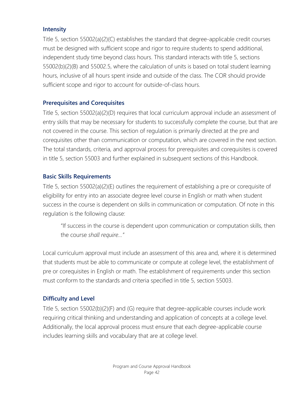#### **Intensity**

Title 5, section 55002(a)(2)(C) establishes the standard that degree-applicable credit courses must be designed with sufficient scope and rigor to require students to spend additional, independent study time beyond class hours. This standard interacts with title 5, sections 55002(b)(2)(B) and 55002.5, where the calculation of units is based on total student learning hours, inclusive of all hours spent inside and outside of the class. The COR should provide sufficient scope and rigor to account for outside-of-class hours.

## **Prerequisites and Corequisites**

Title 5, section 55002(a)(2)(D) requires that local curriculum approval include an assessment of entry skills that may be necessary for students to successfully complete the course, but that are not covered in the course. This section of regulation is primarily directed at the pre and corequisites other than communication or computation, which are covered in the next section. The total standards, criteria, and approval process for prerequisites and corequisites is covered in title 5, section 55003 and further explained in subsequent sections of this Handbook.

## **Basic Skills Requirements**

Title 5, section 55002(a)(2)(E) outlines the requirement of establishing a pre or corequisite of eligibility for entry into an associate degree level course in English or math when student success in the course is dependent on skills in communication or computation. Of note in this regulation is the following clause:

"If success in the course is dependent upon communication or computation skills, then the course *shall require…"*

Local curriculum approval must include an assessment of this area and, where it is determined that students must be able to communicate or compute at college level, the establishment of pre or corequisites in English or math. The establishment of requirements under this section must conform to the standards and criteria specified in title 5, section 55003.

## **Difficulty and Level**

Title 5, section 55002(b)(2)(F) and (G) require that degree-applicable courses include work requiring critical thinking and understanding and application of concepts at a college level. Additionally, the local approval process must ensure that each degree-applicable course includes learning skills and vocabulary that are at college level.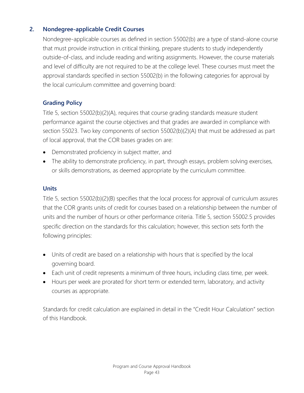# **2. Nondegree-applicable Credit Courses**

Nondegree-applicable courses as defined in section 55002(b) are a type of stand-alone course that must provide instruction in critical thinking, prepare students to study independently outside-of-class, and include reading and writing assignments. However, the course materials and level of difficulty are not required to be at the college level. These courses must meet the approval standards specified in section 55002(b) in the following categories for approval by the local curriculum committee and governing board:

# **Grading Policy**

Title 5, section 55002(b)(2)(A), requires that course grading standards measure student performance against the course objectives and that grades are awarded in compliance with section 55023. Two key components of section 55002(b)(2)(A) that must be addressed as part of local approval, that the COR bases grades on are:

- Demonstrated proficiency in subject matter, and
- The ability to demonstrate proficiency, in part, through essays, problem solving exercises, or skills demonstrations, as deemed appropriate by the curriculum committee.

## **Units**

Title 5, section 55002(b)(2)(B) specifies that the local process for approval of curriculum assures that the COR grants units of credit for courses based on a relationship between the number of units and the number of hours or other performance criteria. Title 5, section 55002.5 provides specific direction on the standards for this calculation; however, this section sets forth the following principles:

- Units of credit are based on a relationship with hours that is specified by the local governing board.
- Each unit of credit represents a minimum of three hours, including class time, per week.
- Hours per week are prorated for short term or extended term, laboratory, and activity courses as appropriate.

Standards for credit calculation are explained in detail in the "Credit Hour Calculation" section of this Handbook.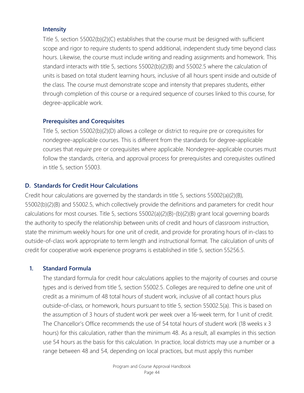#### **Intensity**

Title 5, section 55002(b)(2)(C) establishes that the course must be designed with sufficient scope and rigor to require students to spend additional, independent study time beyond class hours. Likewise, the course must include writing and reading assignments and homework. This standard interacts with title 5, sections 55002(b)(2)(B) and 55002.5 where the calculation of units is based on total student learning hours, inclusive of all hours spent inside and outside of the class. The course must demonstrate scope and intensity that prepares students, either through completion of this course or a required sequence of courses linked to this course, for degree-applicable work.

#### **Prerequisites and Corequisites**

Title 5, section 55002(b)(2)(D) allows a college or district to require pre or corequisites for nondegree-applicable courses. This is different from the standards for degree-applicable courses that *require* pre or corequisites where applicable. Nondegree-applicable courses must follow the standards, criteria, and approval process for prerequisites and corequisites outlined in title 5, section 55003.

# **D. Standards for Credit Hour Calculations**

Credit hour calculations are governed by the standards in title 5, sections 55002(a)(2)(B), 55002(b)(2)(B) and 55002.5, which collectively provide the definitions and parameters for credit hour calculations for most courses. Title 5, sections 55002(a)(2)(B)-(b)(2)(B) grant local governing boards the authority to specify the relationship between units of credit and hours of classroom instruction, state the minimum weekly hours for one unit of credit, and provide for prorating hours of in-class to outside-of-class work appropriate to term length and instructional format. The calculation of units of credit for cooperative work experience programs is established in title 5, section 55256.5.

## **1. Standard Formula**

The standard formula for credit hour calculations applies to the majority of courses and course types and is derived from title 5, section 55002.5. Colleges are required to define one unit of credit as a minimum of 48 total hours of student work, inclusive of all contact hours plus outside-of-class, or homework, hours pursuant to title 5, section 55002.5(a). This is based on the assumption of 3 hours of student work per week over a 16-week term, for 1 unit of credit. The Chancellor's Office recommends the use of 54 total hours of student work (18 weeks x 3 hours) for this calculation, rather than the minimum 48. As a result, all examples in this section use 54 hours as the basis for this calculation. In practice, local districts may use a number or a range between 48 and 54, depending on local practices, but must apply this number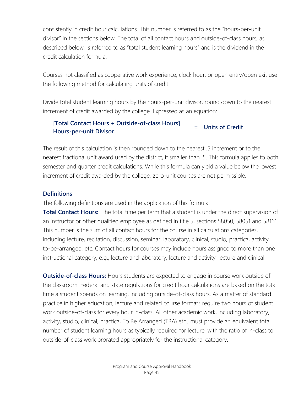consistently in credit hour calculations. This number is referred to as the "hours-per-unit divisor" in the sections below. The total of all contact hours and outside-of-class hours, as described below, is referred to as "total student learning hours" and is the dividend in the credit calculation formula.

Courses not classified as cooperative work experience, clock hour, or open entry/open exit use the following method for calculating units of credit:

Divide total student learning hours by the hours-per-unit divisor, round down to the nearest increment of credit awarded by the college. Expressed as an equation:

## **[Total Contact Hours + Outside-of-class Hours] Hours-per-unit Divisor <sup>=</sup> Units of Credit**

The result of this calculation is then rounded down to the nearest 5 increment or to the nearest fractional unit award used by the district, if smaller than .5. This formula applies to both semester and quarter credit calculations. While this formula can yield a value below the lowest increment of credit awarded by the college, zero-unit courses are not permissible.

# **Definitions**

The following definitions are used in the application of this formula:

**Total Contact Hours:** The total time per term that a student is under the direct supervision of an instructor or other qualified employee as defined in title 5, sections 58050, 58051 and 58161. This number is the sum of all contact hours for the course in all calculations categories, including lecture, recitation, discussion, seminar, laboratory, clinical, studio, practica, activity, to-be-arranged, etc. Contact hours for courses may include hours assigned to more than one instructional category, e.g., lecture and laboratory, lecture and activity, lecture and clinical.

**Outside-of-class Hours:** Hours students are expected to engage in course work outside of the classroom. Federal and state regulations for credit hour calculations are based on the total time a student spends on learning, including outside-of-class hours. As a matter of standard practice in higher education, lecture and related course formats require two hours of student work outside-of-class for every hour in-class. All other academic work, including laboratory, activity, studio, clinical, practica, To Be Arranged (TBA) etc., must provide an equivalent total number of student learning hours as typically required for lecture, with the ratio of in-class to outside-of-class work prorated appropriately for the instructional category.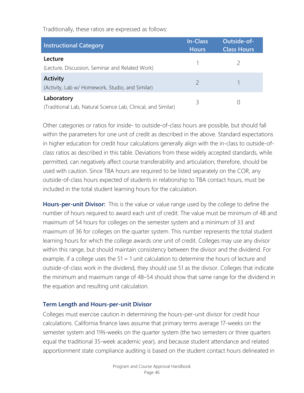Traditionally, these ratios are expressed as follows:

| <b>Instructional Category</b>                                               | <b>In-Class</b><br><b>Hours</b> | Outside-of-<br><b>Class Hours</b> |
|-----------------------------------------------------------------------------|---------------------------------|-----------------------------------|
| Lecture<br>(Lecture, Discussion, Seminar and Related Work)                  |                                 |                                   |
| <b>Activity</b><br>(Activity, Lab w/ Homework, Studio, and Similar)         |                                 |                                   |
| Laboratory<br>(Traditional Lab, Natural Science Lab, Clinical, and Similar) | 3                               |                                   |

Other categories or ratios for inside- to outside-of-class hours are possible, but should fall within the parameters for one unit of credit as described in the above. Standard expectations in higher education for credit hour calculations generally align with the in-class to outside-ofclass ratios as described in this table. Deviations from these widely accepted standards, while permitted, can negatively affect course transferability and articulation; therefore, should be used with caution. Since TBA hours are required to be listed separately on the COR, any outside-of-class hours expected of students in relationship to TBA contact hours, must be included in the total student learning hours for the calculation.

**Hours-per-unit Divisor:** This is the value or value range used by the college to define the number of hours required to award each unit of credit. The value must be minimum of 48 and maximum of 54 hours for colleges on the semester system and a minimum of 33 and maximum of 36 for colleges on the quarter system. This number represents the total student learning hours for which the college awards one unit of credit. Colleges may use any divisor within this range, but should maintain consistency between the divisor and the dividend. For example, if a college uses the 51 = 1 unit calculation to determine the hours of lecture and outside-of-class work in the dividend, they should use 51 as the divisor. Colleges that indicate the minimum and maximum range of 48–54 should show that same range for the dividend in the equation and resulting unit calculation.

#### **Term Length and Hours-per-unit Divisor**

Colleges must exercise caution in determining the hours-per-unit divisor for credit hour calculations. California finance laws assume that primary terms average 17-weeks on the semester system and 11⅔-weeks on the quarter system (the two semesters or three quarters equal the traditional 35-week academic year), and because student attendance and related apportionment state compliance auditing is based on the student contact hours delineated in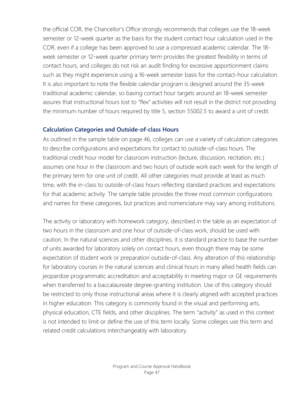the official COR, the Chancellor's Office strongly recommends that colleges use the 18-week semester or 12-week quarter as the basis for the student contact hour calculation used in the COR, even if a college has been approved to use a compressed academic calendar. The 18 week semester or 12-week quarter primary term provides the greatest flexibility in terms of contact hours, and colleges do not risk an audit finding for excessive apportionment claims such as they might experience using a 16-week semester basis for the contact-hour calculation. It is also important to note the flexible calendar program is designed around the 35-week traditional academic calendar, so basing contact hour targets around an 18-week semester assures that instructional hours lost to "flex" activities will not result in the district not providing the minimum number of hours required by title 5, section 55002.5 to award a unit of credit.

## **Calculation Categories and Outside-of-class Hours**

As outlined in the sample table on page 46, colleges can use a variety of calculation categories to describe configurations and expectations for contact to outside-of-class hours. The traditional credit hour model for classroom instruction (lecture, discussion, recitation, etc.) assumes one hour in the classroom and two hours of outside work each week for the length of the primary term for one unit of credit. All other categories must provide at least as much time, with the in-class to outside-of-class hours reflecting standard practices and expectations for that academic activity. The sample table provides the three most common configurations and names for these categories, but practices and nomenclature may vary among institutions.

The activity or laboratory with homework category, described in the table as an expectation of two hours in the classroom and one hour of outside-of-class work, should be used with caution. In the natural sciences and other disciplines, it is standard practice to base the number of units awarded for laboratory solely on contact hours, even though there may be some expectation of student work or preparation outside-of-class. Any alteration of this relationship for laboratory courses in the natural sciences and clinical hours in many allied health fields can jeopardize programmatic accreditation and acceptability in meeting major or GE requirements when transferred to a baccalaureate degree-granting institution. Use of this category should be restricted to only those instructional areas where it is clearly aligned with accepted practices in higher education. This category is commonly found in the visual and performing arts, physical education, CTE fields, and other disciplines. The term "activity" as used in this context is not intended to limit or define the use of this term locally. Some colleges use this term and related credit calculations interchangeably with laboratory.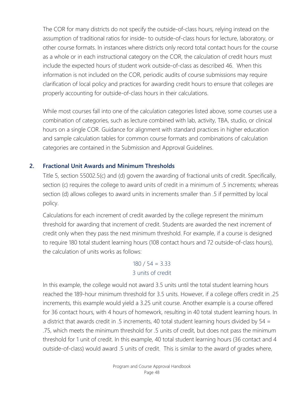The COR for many districts do not specify the outside-of-class hours, relying instead on the assumption of traditional ratios for inside- to outside-of-class hours for lecture, laboratory, or other course formats. In instances where districts only record total contact hours for the course as a whole or in each instructional category on the COR, the calculation of credit hours must include the expected hours of student work outside-of-class as described 46. When this information is not included on the COR, periodic audits of course submissions may require clarification of local policy and practices for awarding credit hours to ensure that colleges are properly accounting for outside-of-class hours in their calculations.

While most courses fall into one of the calculation categories listed above, some courses use a combination of categories, such as lecture combined with lab, activity, TBA, studio, or clinical hours on a single COR. Guidance for alignment with standard practices in higher education and sample calculation tables for common course formats and combinations of calculation categories are contained in the Submission and Approval Guidelines.

## **2. Fractional Unit Awards and Minimum Thresholds**

Title 5, section 55002.5(c) and (d) govern the awarding of fractional units of credit. Specifically, section (c) requires the college to award units of credit in a minimum of .5 increments; whereas section (d) allows colleges to award units in increments smaller than .5 if permitted by local policy.

Calculations for each increment of credit awarded by the college represent the minimum threshold for awarding that increment of credit. Students are awarded the next increment of credit only when they pass the next minimum threshold. For example, if a course is designed to require 180 total student learning hours (108 contact hours and 72 outside-of-class hours), the calculation of units works as follows:

# $180 / 54 = 3.33$ 3 units of credit

In this example, the college would not award 3.5 units until the total student learning hours reached the 189-hour minimum threshold for 3.5 units. However, if a college offers credit in .25 increments, this example would yield a 3.25 unit course. Another example is a course offered for 36 contact hours, with 4 hours of homework, resulting in 40 total student learning hours. In a district that awards credit in .5 increments, 40 total student learning hours divided by 54 = .75, which meets the minimum threshold for .5 units of credit, but does not pass the minimum threshold for 1 unit of credit. In this example, 40 total student learning hours (36 contact and 4 outside-of-class) would award .5 units of credit. This is similar to the award of grades where,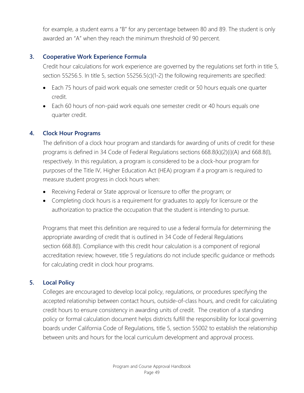for example, a student earns a "B" for any percentage between 80 and 89. The student is only awarded an "A" when they reach the minimum threshold of 90 percent.

## **3. Cooperative Work Experience Formula**

Credit hour calculations for work experience are governed by the regulations set forth in title 5, section 55256.5. In title 5, section 55256.5(c)(1-2) the following requirements are specified:

- Each 75 hours of paid work equals one semester credit or 50 hours equals one quarter credit.
- Each 60 hours of non-paid work equals one semester credit or 40 hours equals one quarter credit.

## **4. Clock Hour Programs**

The definition of a clock hour program and standards for awarding of units of credit for these programs is defined in 34 Code of Federal Regulations sections 668.8(k)(2)(i)(A) and 668.8(l), respectively. In this regulation, a program is considered to be a clock-hour program for purposes of the Title IV, Higher Education Act (HEA) program if a program is required to measure student progress in clock hours when:

- Receiving Federal or State approval or licensure to offer the program; or
- Completing clock hours is a requirement for graduates to apply for licensure or the authorization to practice the occupation that the student is intending to pursue.

Programs that meet this definition are required to use a federal formula for determining the appropriate awarding of credit that is outlined in 34 Code of Federal Regulations section 668.8(l). Compliance with this credit hour calculation is a component of regional accreditation review; however, title 5 regulations do not include specific guidance or methods for calculating credit in clock hour programs.

## **5. Local Policy**

Colleges are encouraged to develop local policy, regulations, or procedures specifying the accepted relationship between contact hours, outside-of-class hours, and credit for calculating credit hours to ensure consistency in awarding units of credit. The creation of a standing policy or formal calculation document helps districts fulfill the responsibility for local governing boards under California Code of Regulations, title 5, section 55002 to establish the relationship between units and hours for the local curriculum development and approval process.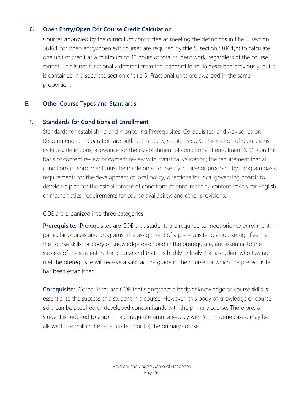## **6. Open Entry/Open Exit Course Credit Calculation**

Courses approved by the curriculum committee as meeting the definitions in title 5, section 58164, for open entry/open exit courses are required by title 5, section 58164(b) to calculate one unit of credit as a minimum of 48 hours of total student work, regardless of the course format. This is not functionally different from the standard formula described previously, but it is contained in a separate section of title 5. Fractional units are awarded in the same proportion.

# **E. Other Course Types and Standards**

## **1. Standards for Conditions of Enrollment**

Standards for establishing and monitoring Prerequisites, Corequisites, and Advisories on Recommended Preparation are outlined in title 5, section 55003. This section of regulations includes: definitions; allowance for the establishment of conditions of enrollment (COE) on the basis of content review or content review with statistical validation; the requirement that all conditions of enrollment must be made on a course-by-course or program-by-program basis; requirements for the development of local policy; directions for local governing boards to develop a plan for the establishment of conditions of enrollment by content review for English or mathematics; requirements for course availability; and other provisions.

COE are organized into three categories:

**Prerequisite:** Prerequisites are COE that students are required to meet prior to enrollment in particular courses and programs. The assignment of a prerequisite to a course signifies that the course skills, or body of knowledge described in the prerequisite, are essential to the success of the student in that course and that it is highly unlikely that a student who has not met the prerequisite will receive a satisfactory grade in the course for which the prerequisite has been established.

**Corequisite:** Corequisites are COE that signify that a body of knowledge or course skills is essential to the success of a student in a course. However, this body of knowledge or course skills can be acquired or developed concomitantly with the primary course. Therefore, a student is required to enroll in a corequisite simultaneously with (or, in some cases, may be allowed to enroll in the corequisite prior to) the primary course.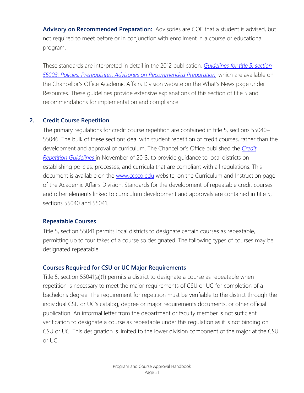**Advisory on Recommended Preparation:** Advisories are COE that a student is advised, but not required to meet before or in conjunction with enrollment in a course or educational program.

These standards are interpreted in detail in the 2012 publication, *[Guidelines for title 5,](http://extranet.cccco.edu/Portals/1/AA/Prerequisites/Prerequisites_Guidelines_55003%20Final.pdf) section [55003: Policies, Prerequisites, Advisories on Recommended Preparation,](http://extranet.cccco.edu/Portals/1/AA/Prerequisites/Prerequisites_Guidelines_55003%20Final.pdf)* which are available on the Chancellor's Office Academic Affairs Division website on the What's News page under Resources. These guidelines provide extensive explanations of this section of title 5 and recommendations for implementation and compliance.

## **2. Credit Course Repetition**

The primary regulations for credit course repetition are contained in title 5, sections 55040– 55046. The bulk of these sections deal with student repetition of credit courses, rather than the development and approval of curriculum. The Chancellor's Office published the *[Credit](http://extranet.cccco.edu/Portals/1/AA/Credit/2013Files/CreditCourseRepetitionGuidelinesFinal.pdf)  [Repetition Guidelines](http://extranet.cccco.edu/Portals/1/AA/Credit/2013Files/CreditCourseRepetitionGuidelinesFinal.pdf)* in November of 2013, to provide guidance to local districts on establishing policies, processes, and curricula that are compliant with all regulations. This document is available on the [www.cccco.edu](http://www.cccco.edu/) website, on the Curriculum and Instruction page of the Academic Affairs Division. Standards for the development of repeatable credit courses and other elements linked to curriculum development and approvals are contained in title 5, sections 55040 and 55041.

#### **Repeatable Courses**

Title 5, section 55041 permits local districts to designate certain courses as repeatable, permitting up to four takes of a course so designated. The following types of courses may be designated repeatable:

#### **Courses Required for CSU or UC Major Requirements**

Title 5, section 55041(a)(1) permits a district to designate a course as repeatable when repetition is necessary to meet the major requirements of CSU or UC for completion of a bachelor's degree. The requirement for repetition must be verifiable to the district through the individual CSU or UC's catalog, degree or major requirements documents, or other official publication. An informal letter from the department or faculty member is not sufficient verification to designate a course as repeatable under this regulation as it is not binding on CSU or UC. This designation is limited to the lower division component of the major at the CSU or UC.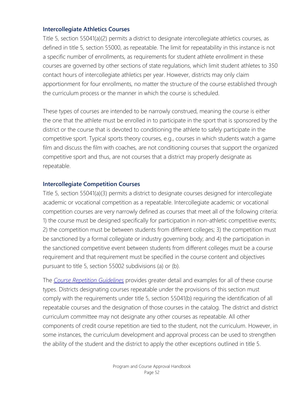#### **Intercollegiate Athletics Courses**

Title 5, section 55041(a)(2) permits a district to designate intercollegiate athletics courses, as defined in title 5, section 55000, as repeatable. The limit for repeatability in this instance is not a specific number of enrollments, as requirements for student athlete enrollment in these courses are governed by other sections of state regulations, which limit student athletes to 350 contact hours of intercollegiate athletics per year. However, districts may only claim apportionment for four enrollments, no matter the structure of the course established through the curriculum process or the manner in which the course is scheduled.

These types of courses are intended to be narrowly construed, meaning the course is either the one that the athlete must be enrolled in to participate in the sport that is sponsored by the district or the course that is devoted to conditioning the athlete to safely participate in the competitive sport. Typical sports theory courses, e.g., courses in which students watch a game film and discuss the film with coaches, are not conditioning courses that support the organized competitive sport and thus, are not courses that a district may properly designate as repeatable.

## **Intercollegiate Competition Courses**

Title 5, section 55041(a)(3) permits a district to designate courses designed for intercollegiate academic or vocational competition as a repeatable. Intercollegiate academic or vocational competition courses are very narrowly defined as courses that meet all of the following criteria: 1) the course must be designed specifically for participation in non-athletic competitive events; 2) the competition must be between students from different colleges; 3) the competition must be sanctioned by a formal collegiate or industry governing body; and 4) the participation in the sanctioned competitive event between students from different colleges must be a course requirement and that requirement must be specified in the course content and objectives pursuant to title 5, section 55002 subdivisions (a) or (b).

The *[Course Repetition Guidelines](http://extranet.cccco.edu/Portals/1/AA/Credit/2013Files/CreditCourseRepetitionGuidelinesFinal.pdf)* provides greater detail and examples for all of these course types. Districts designating courses repeatable under the provisions of this section must comply with the requirements under title 5, section 55041(b) requiring the identification of all repeatable courses and the designation of those courses in the catalog. The district and district curriculum committee may not designate any other courses as repeatable. All other components of credit course repetition are tied to the student, not the curriculum. However, in some instances, the curriculum development and approval process can be used to strengthen the ability of the student and the district to apply the other exceptions outlined in title 5.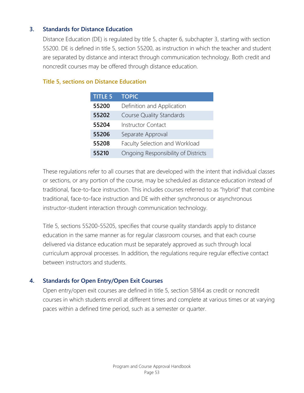## **3. Standards for Distance Education**

Distance Education (DE) is regulated by title 5, chapter 6, subchapter 3, starting with section 55200. DE is defined in title 5, section 55200, as instruction in which the teacher and student are separated by distance and interact through communication technology. Both credit and noncredit courses may be offered through distance education.

## **Title 5, sections on Distance Education**

| <b>TITLE 5</b> | <b>TOPIC</b>                        |
|----------------|-------------------------------------|
| 55200          | Definition and Application          |
| 55202          | <b>Course Quality Standards</b>     |
| 55204          | <b>Instructor Contact</b>           |
| 55206          | Separate Approval                   |
| 55208          | Faculty Selection and Workload      |
| 55210          | Ongoing Responsibility of Districts |

These regulations refer to all courses that are developed with the intent that individual classes or sections, or any portion of the course, may be scheduled as distance education instead of traditional, face-to-face instruction. This includes courses referred to as "hybrid" that combine traditional, face-to-face instruction and DE with either synchronous or asynchronous instructor-student interaction through communication technology.

Title 5, sections 55200-55205, specifies that course quality standards apply to distance education in the same manner as for regular classroom courses, and that each course delivered via distance education must be separately approved as such through local curriculum approval processes. In addition, the regulations require regular effective contact between instructors and students.

#### **4. Standards for Open Entry/Open Exit Courses**

Open entry/open exit courses are defined in title 5, section 58164 as credit or noncredit courses in which students enroll at different times and complete at various times or at varying paces within a defined time period, such as a semester or quarter.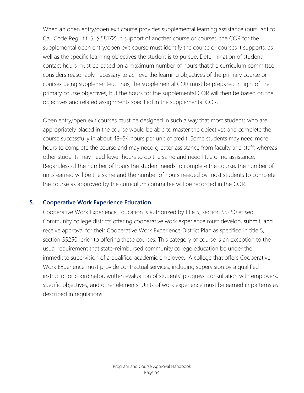When an open entry/open exit course provides supplemental learning assistance (pursuant to Cal. Code Reg., tit. 5, § 58172) in support of another course or courses, the COR for the supplemental open entry/open exit course must identify the course or courses it supports, as well as the specific learning objectives the student is to pursue. Determination of student contact hours must be based on a maximum number of hours that the curriculum committee considers reasonably necessary to achieve the learning objectives of the primary course or courses being supplemented. Thus, the supplemental COR must be prepared in light of the primary course objectives, but the hours for the supplemental COR will then be based on the objectives and related assignments specified in the supplemental COR.

Open entry/open exit courses must be designed in such a way that most students who are appropriately placed in the course would be able to master the objectives and complete the course successfully in about 48–54 hours per unit of credit. Some students may need more hours to complete the course and may need greater assistance from faculty and staff; whereas other students may need fewer hours to do the same and need little or no assistance. Regardless of the number of hours the student needs to complete the course, the number of units earned will be the same and the number of hours needed by most students to complete the course as approved by the curriculum committee will be recorded in the COR.

#### **5. Cooperative Work Experience Education**

Cooperative Work Experience Education is authorized by title 5, section 55250 et seq. Community college districts offering cooperative work experience must develop, submit, and receive approval for their Cooperative Work Experience District Plan as specified in title 5, section 55250, prior to offering these courses. This category of course is an exception to the usual requirement that state-reimbursed community college education be under the immediate supervision of a qualified academic employee. A college that offers Cooperative Work Experience must provide contractual services, including supervision by a qualified instructor or coordinator, written evaluation of students' progress, consultation with employers, specific objectives, and other elements. Units of work experience must be earned in patterns as described in regulations.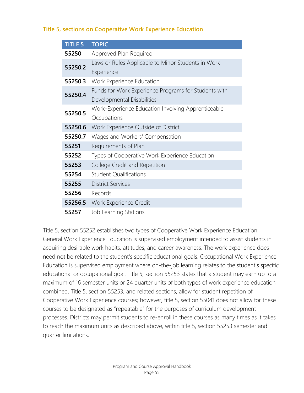## **Title 5, sections on Cooperative Work Experience Education**

| <b>TITLE 5</b> | <b>TOPIC</b>                                         |
|----------------|------------------------------------------------------|
| 55250          | Approved Plan Required                               |
| 55250.2        | Laws or Rules Applicable to Minor Students in Work   |
|                | Experience                                           |
| 55250.3        | Work Experience Education                            |
| 55250.4        | Funds for Work Experience Programs for Students with |
|                | Developmental Disabilities                           |
| 55250.5        | Work-Experience Education Involving Apprenticeable   |
|                | Occupations                                          |
| 55250.6        | Work Experience Outside of District                  |
| 55250.7        | Wages and Workers' Compensation                      |
| 55251          | Requirements of Plan                                 |
| 55252          | Types of Cooperative Work Experience Education       |
| 55253          | College Credit and Repetition                        |
| 55254          | <b>Student Qualifications</b>                        |
| 55255          | <b>District Services</b>                             |
| 55256          | Records                                              |
| 55256.5        | Work Experience Credit                               |
|                |                                                      |

**55257** Job Learning Stations

Title 5, section 55252 establishes two types of Cooperative Work Experience Education. General Work Experience Education is supervised employment intended to assist students in acquiring desirable work habits, attitudes, and career awareness. The work experience does need not be related to the student's specific educational goals. Occupational Work Experience Education is supervised employment where on-the-job learning relates to the student's specific educational or occupational goal. Title 5, section 55253 states that a student may earn up to a maximum of 16 semester units or 24 quarter units of both types of work experience education combined. Title 5, section 55253, and related sections, allow for student repetition of Cooperative Work Experience courses; however, title 5, section 55041 does not allow for these courses to be designated as "repeatable" for the purposes of curriculum development processes. Districts may permit students to re-enroll in these courses as many times as it takes to reach the maximum units as described above, within title 5, section 55253 semester and quarter limitations.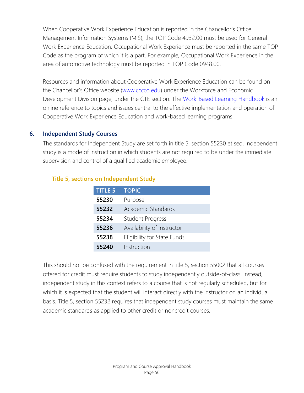When Cooperative Work Experience Education is reported in the Chancellor's Office Management Information Systems (MIS), the TOP Code 4932.00 must be used for General Work Experience Education. Occupational Work Experience must be reported in the same TOP Code as the program of which it is a part. For example, Occupational Work Experience in the area of automotive technology must be reported in TOP Code 0948.00.

Resources and information about Cooperative Work Experience Education can be found on the Chancellor's Office website [\(www.cccco.edu\)](http://www.cccco.edu/) under the Workforce and Economic Development Division page, under the CTE section. The [Work-Based Learning Handbook](http://cacareerbriefs.com/wp-content/uploads/new-handbook-1.pdf) is an online reference to topics and issues central to the effective implementation and operation of Cooperative Work Experience Education and work-based learning programs.

#### **6. Independent Study Courses**

The standards for Independent Study are set forth in title 5, section 55230 et seq. Independent study is a mode of instruction in which students are not required to be under the immediate supervision and control of a qualified academic employee.

| <b>TITLE 5</b> | <b>TOPIC</b>                |
|----------------|-----------------------------|
| 55230          | Purpose                     |
| 55232          | Academic Standards          |
| 55234          | <b>Student Progress</b>     |
| 55236          | Availability of Instructor  |
| 55238          | Eligibility for State Funds |
| 55240          | Instruction                 |

#### **Title 5, sections on Independent Study**

This should not be confused with the requirement in title 5, section 55002 that all courses offered for credit must require students to study independently outside-of-class. Instead, independent study in this context refers to a course that is not regularly scheduled, but for which it is expected that the student will interact directly with the instructor on an individual basis. Title 5, section 55232 requires that independent study courses must maintain the same academic standards as applied to other credit or noncredit courses.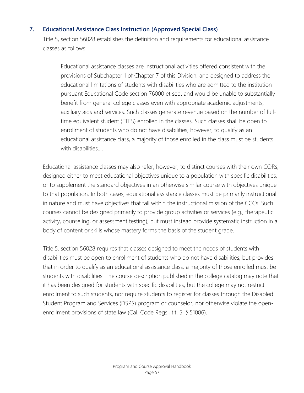## **7. Educational Assistance Class Instruction (Approved Special Class)**

Title 5, section 56028 establishes the definition and requirements for educational assistance classes as follows:

Educational assistance classes are instructional activities offered consistent with the provisions of Subchapter 1 of Chapter 7 of this Division, and designed to address the educational limitations of students with disabilities who are admitted to the institution pursuant Educational Code section 76000 et seq. and would be unable to substantially benefit from general college classes even with appropriate academic adjustments, auxiliary aids and services. Such classes generate revenue based on the number of fulltime equivalent student (FTES) enrolled in the classes. Such classes shall be open to enrollment of students who do not have disabilities; however, to qualify as an educational assistance class, a majority of those enrolled in the class must be students with disabilities….

Educational assistance classes may also refer, however, to distinct courses with their own CORs, designed either to meet educational objectives unique to a population with specific disabilities, or to supplement the standard objectives in an otherwise similar course with objectives unique to that population. In both cases, educational assistance classes must be primarily instructional in nature and must have objectives that fall within the instructional mission of the CCCs. Such courses cannot be designed primarily to provide group activities or services (e.g., therapeutic activity, counseling, or assessment testing), but must instead provide systematic instruction in a body of content or skills whose mastery forms the basis of the student grade.

Title 5, section 56028 requires that classes designed to meet the needs of students with disabilities must be open to enrollment of students who do not have disabilities, but provides that in order to qualify as an educational assistance class, a majority of those enrolled must be students with disabilities. The course description published in the college catalog may note that it has been designed for students with specific disabilities, but the college may not restrict enrollment to such students, nor require students to register for classes through the Disabled Student Program and Services (DSPS) program or counselor, nor otherwise violate the openenrollment provisions of state law (Cal. Code Regs., tit. 5, § 51006).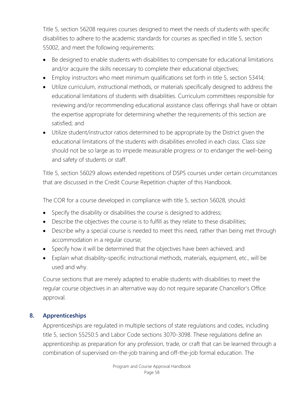Title 5, section 56208 requires courses designed to meet the needs of students with specific disabilities to adhere to the academic standards for courses as specified in title 5, section 55002, and meet the following requirements:

- Be designed to enable students with disabilities to compensate for educational limitations and/or acquire the skills necessary to complete their educational objectives;
- Employ instructors who meet minimum qualifications set forth in title 5, section 53414;
- Utilize curriculum, instructional methods, or materials specifically designed to address the educational limitations of students with disabilities. Curriculum committees responsible for reviewing and/or recommending educational assistance class offerings shall have or obtain the expertise appropriate for determining whether the requirements of this section are satisfied; and
- Utilize student/instructor ratios determined to be appropriate by the District given the educational limitations of the students with disabilities enrolled in each class. Class size should not be so large as to impede measurable progress or to endanger the well-being and safety of students or staff.

Title 5, section 56029 allows extended repetitions of DSPS courses under certain circumstances that are discussed in the Credit Course Repetition chapter of this Handbook.

The COR for a course developed in compliance with title 5, section 56028, should:

- Specify the disability or disabilities the course is designed to address;
- Describe the objectives the course is to fulfill as they relate to these disabilities;
- Describe why a special course is needed to meet this need, rather than being met through accommodation in a regular course;
- Specify how it will be determined that the objectives have been achieved; and
- Explain what disability-specific instructional methods, materials, equipment, etc., will be used and why.

Course sections that are merely adapted to enable students with disabilities to meet the regular course objectives in an alternative way do not require separate Chancellor's Office approval.

# **8. Apprenticeships**

Apprenticeships are regulated in multiple sections of state regulations and codes, including title 5, section 55250.5 and Labor Code sections 3070-3098. These regulations define an apprenticeship as preparation for any profession, trade, or craft that can be learned through a combination of supervised on-the-job training and off-the-job formal education. The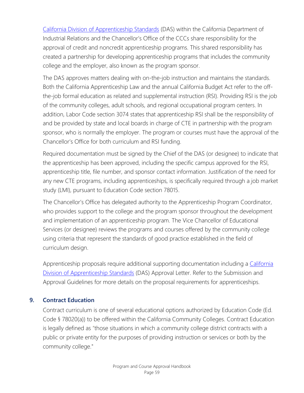[California Division of Apprenticeship Standards](http://www.dir.ca.gov/das/das.html) (DAS) within the California Department of Industrial Relations and the Chancellor's Office of the CCCs share responsibility for the approval of credit and noncredit apprenticeship programs. This shared responsibility has created a partnership for developing apprenticeship programs that includes the community college and the employer, also known as the program sponsor.

The DAS approves matters dealing with on-the-job instruction and maintains the standards. Both the California Apprenticeship Law and the annual California Budget Act refer to the offthe-job formal education as related and supplemental instruction (RSI). Providing RSI is the job of the community colleges, adult schools, and regional occupational program centers. In addition, Labor Code section 3074 states that apprenticeship RSI shall be the responsibility of and be provided by state and local boards in charge of CTE in partnership with the program sponsor, who is normally the employer. The program or courses must have the approval of the Chancellor's Office for both curriculum and RSI funding.

Required documentation must be signed by the Chief of the DAS (or designee) to indicate that the apprenticeship has been approved, including the specific campus approved for the RSI, apprenticeship title, file number, and sponsor contact information. Justification of the need for any new CTE programs, including apprenticeships, is specifically required through a job market study (LMI), pursuant to Education Code section 78015.

The Chancellor's Office has delegated authority to the Apprenticeship Program Coordinator, who provides support to the college and the program sponsor throughout the development and implementation of an apprenticeship program. The Vice Chancellor of Educational Services (or designee) reviews the programs and courses offered by the community college using criteria that represent the standards of good practice established in the field of curriculum design.

Apprenticeship proposals require additional supporting documentation including a [California](http://www.dir.ca.gov/das/das.html)  [Division of Apprenticeship Standards](http://www.dir.ca.gov/das/das.html) (DAS) Approval Letter. Refer to the Submission and Approval Guidelines for more details on the proposal requirements for apprenticeships.

## **9. Contract Education**

Contract curriculum is one of several educational options authorized by Education Code (Ed. Code § 78020(a)) to be offered within the California Community Colleges. Contract Education is legally defined as "those situations in which a community college district contracts with a public or private entity for the purposes of providing instruction or services or both by the community college."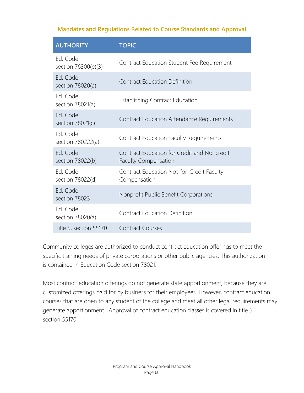## **Mandates and Regulations Related to Course Standards and Approval**

| <b>AUTHORITY</b>                | <b>TOPIC</b>                                                               |
|---------------------------------|----------------------------------------------------------------------------|
| Ed. Code<br>section 76300(e)(3) | Contract Education Student Fee Requirement                                 |
| Ed. Code<br>section 78020(a)    | <b>Contract Education Definition</b>                                       |
| Ed. Code<br>section 78021(a)    | <b>Establishing Contract Education</b>                                     |
| Ed. Code<br>section 78021(c)    | Contract Education Attendance Requirements                                 |
| Ed. Code<br>section 780222(a)   | <b>Contract Education Faculty Requirements</b>                             |
| Ed. Code<br>section 78022(b)    | Contract Education for Credit and Noncredit<br><b>Faculty Compensation</b> |
| Ed. Code<br>section 78022(d)    | Contract Education Not-for-Credit Faculty<br>Compensation                  |
| Ed. Code<br>section 78023       | Nonprofit Public Benefit Corporations                                      |
| Ed. Code<br>section 78020(a)    | <b>Contract Education Definition</b>                                       |
| Title 5, section 55170          | <b>Contract Courses</b>                                                    |

Community colleges are authorized to conduct contract education offerings to meet the specific training needs of private corporations or other public agencies. This authorization is contained in Education Code section 78021.

Most contract education offerings do not generate state apportionment, because they are customized offerings paid for by business for their employees. However, contract education courses that are open to any student of the college and meet all other legal requirements may generate apportionment. Approval of contract education classes is covered in title 5, section 55170.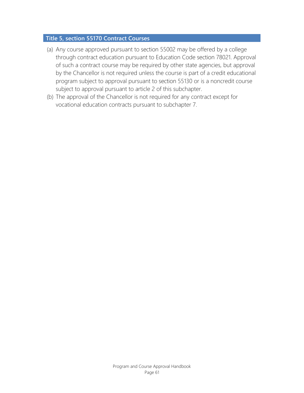#### **Title 5, section 55170 Contract Courses**

- (a) Any course approved pursuant to section 55002 may be offered by a college through contract education pursuant to Education Code section 78021. Approval of such a contract course may be required by other state agencies, but approval by the Chancellor is not required unless the course is part of a credit educational program subject to approval pursuant to section 55130 or is a noncredit course subject to approval pursuant to article 2 of this subchapter.
- (b) The approval of the Chancellor is not required for any contract except for vocational education contracts pursuant to subchapter 7.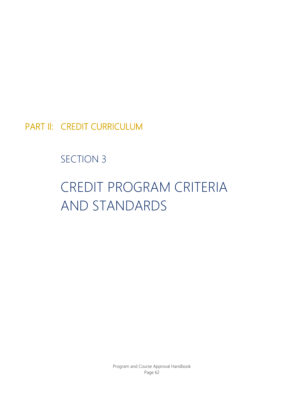PART Il: CREDIT CURRICULUM

SECTION 3

# CREDIT PROGRAM CRITERIA AND STANDARDS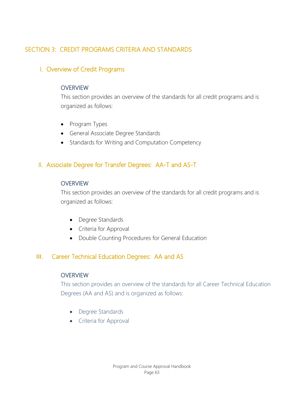# SECTION 3: CREDIT PROGRAMS CRITERIA AND STANDARDS

# I. Overview of Credit Programs

#### **OVERVIEW**

This section provides an overview of the standards for all credit programs and is organized as follows:

- Program Types
- General Associate Degree Standards
- Standards for Writing and Computation Competency

# II. Associate Degree for Transfer Degrees: AA-T and AS-T

## **OVERVIEW**

This section provides an overview of the standards for all credit programs and is organized as follows:

- Degree Standards
- Criteria for Approval
- Double Counting Procedures for General Education

## **III.** Career Technical Education Degrees: AA and AS

#### **OVERVIEW**

This section provides an overview of the standards for all Career Technical Education Degrees (AA and AS) and is organized as follows:

- Degree Standards
- Criteria for Approval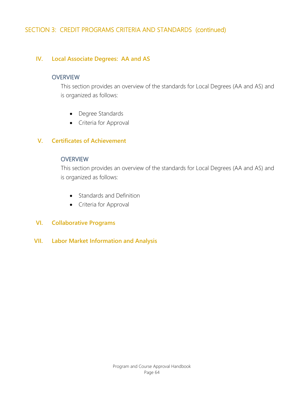# SECTION 3: CREDIT PROGRAMS CRITERIA AND STANDARDS (continued)

#### **IV. Local Associate Degrees: AA and AS**

#### **OVERVIEW**

This section provides an overview of the standards for Local Degrees (AA and AS) and is organized as follows:

- Degree Standards
- Criteria for Approval

#### **V. Certificates of Achievement**

#### **OVERVIEW**

This section provides an overview of the standards for Local Degrees (AA and AS) and is organized as follows:

- Standards and Definition
- Criteria for Approval

#### **VI. Collaborative Programs**

**VII. Labor Market Information and Analysis**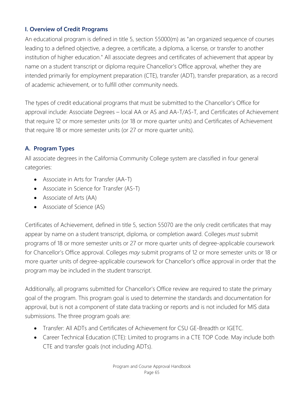## **I. Overview of Credit Programs**

An educational program is defined in title 5, section 55000(m) as "an organized sequence of courses leading to a defined objective, a degree, a certificate, a diploma, a license, or transfer to another institution of higher education." All associate degrees and certificates of achievement that appear by name on a student transcript or diploma require Chancellor's Office approval, whether they are intended primarily for employment preparation (CTE), transfer (ADT), transfer preparation, as a record of academic achievement, or to fulfill other community needs.

The types of credit educational programs that must be submitted to the Chancellor's Office for approval include: Associate Degrees – local AA or AS and AA-T/AS-T, and Certificates of Achievement that require 12 or more semester units (or 18 or more quarter units) and Certificates of Achievement that require 18 or more semester units (or 27 or more quarter units).

# **A. Program Types**

All associate degrees in the California Community College system are classified in four general categories:

- Associate in Arts for Transfer (AA-T)
- Associate in Science for Transfer (AS-T)
- Associate of Arts (AA)
- Associate of Science (AS)

Certificates of Achievement, defined in title 5, section 55070 are the only credit certificates that may appear by name on a student transcript, diploma, or completion award. Colleges *must* submit programs of 18 or more semester units or 27 or more quarter units of degree-applicable coursework for Chancellor's Office approval. Colleges *may* submit programs of 12 or more semester units or 18 or more quarter units of degree-applicable coursework for Chancellor's office approval in order that the program may be included in the student transcript.

Additionally, all programs submitted for Chancellor's Office review are required to state the primary goal of the program. This program goal is used to determine the standards and documentation for approval, but is not a component of state data tracking or reports and is not included for MIS data submissions. The three program goals are:

- Transfer: All ADTs and Certificates of Achievement for CSU GE-Breadth or IGETC.
- Career Technical Education (CTE): Limited to programs in a CTE TOP Code. May include both CTE and transfer goals (not including ADTs).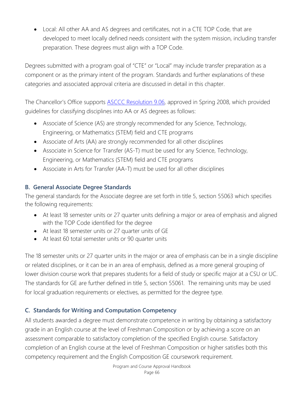• Local: All other AA and AS degrees and certificates, not in a CTE TOP Code, that are developed to meet locally defined needs consistent with the system mission, including transfer preparation. These degrees must align with a TOP Code.

Degrees submitted with a program goal of "CTE" or "Local" may include transfer preparation as a component or as the primary intent of the program. Standards and further explanations of these categories and associated approval criteria are discussed in detail in this chapter.

The Chancellor's Office supports **ASCCC Resolution 9.06**, approved in Spring 2008, which provided guidelines for classifying disciplines into AA or AS degrees as follows:

- Associate of Science (AS) are strongly recommended for any Science, Technology, Engineering, or Mathematics (STEM) field and CTE programs
- Associate of Arts (AA) are strongly recommended for all other disciplines
- Associate in Science for Transfer (AS-T) must be used for any Science, Technology, Engineering, or Mathematics (STEM) field and CTE programs
- Associate in Arts for Transfer (AA-T) must be used for all other disciplines

# **B. General Associate Degree Standards**

The general standards for the Associate degree are set forth in title 5, section 55063 which specifies the following requirements:

- At least 18 semester units or 27 quarter units defining a major or area of emphasis and aligned with the TOP Code identified for the degree
- At least 18 semester units or 27 quarter units of GE
- At least 60 total semester units or 90 quarter units

The 18 semester units or 27 quarter units in the major or area of emphasis can be in a single discipline or related disciplines, or it can be in an area of emphasis, defined as a more general grouping of lower division course work that prepares students for a field of study or specific major at a CSU or UC. The standards for GE are further defined in title 5, section 55061. The remaining units may be used for local graduation requirements or electives, as permitted for the degree type.

# **C. Standards for Writing and Computation Competency**

All students awarded a degree must demonstrate competence in writing by obtaining a satisfactory grade in an English course at the level of Freshman Composition or by achieving a score on an assessment comparable to satisfactory completion of the specified English course. Satisfactory completion of an English course at the level of Freshman Composition or higher satisfies both this competency requirement and the English Composition GE coursework requirement.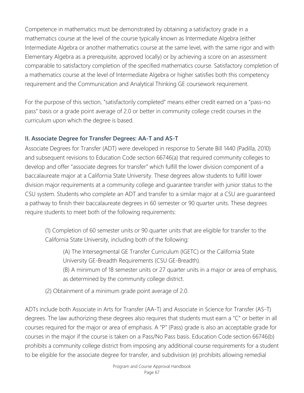Competence in mathematics must be demonstrated by obtaining a satisfactory grade in a mathematics course at the level of the course typically known as Intermediate Algebra (either Intermediate Algebra or another mathematics course at the same level, with the same rigor and with Elementary Algebra as a prerequisite, approved locally) or by achieving a score on an assessment comparable to satisfactory completion of the specified mathematics course. Satisfactory completion of a mathematics course at the level of Intermediate Algebra or higher satisfies both this competency requirement and the Communication and Analytical Thinking GE coursework requirement.

For the purpose of this section, "satisfactorily completed" means either credit earned on a "pass-no pass" basis or a grade point average of 2.0 or better in community college credit courses in the curriculum upon which the degree is based.

# **II. Associate Degree for Transfer Degrees: AA-T and AS-T**

Associate Degrees for Transfer (ADT) were developed in response to Senate Bill 1440 (Padilla, 2010) and subsequent revisions to Education Code section 66746(a) that required community colleges to develop and offer "associate degrees for transfer" which fulfill the lower division component of a baccalaureate major at a California State University. These degrees allow students to fulfill lower division major requirements at a community college and guarantee transfer with junior status to the CSU system. Students who complete an ADT and transfer to a similar major at a CSU are guaranteed a pathway to finish their baccalaureate degrees in 60 semester or 90 quarter units. These degrees require students to meet both of the following requirements:

(1) Completion of 60 semester units or 90 quarter units that are eligible for transfer to the California State University, including both of the following:

(A) The Intersegmental GE Transfer Curriculum (IGETC) or the California State University GE-Breadth Requirements (CSU GE-Breadth).

(B) A minimum of 18 semester units or 27 quarter units in a major or area of emphasis, as determined by the community college district.

(2) Obtainment of a minimum grade point average of 2.0.

ADTs include both Associate in Arts for Transfer (AA-T) and Associate in Science for Transfer (AS-T) degrees. The law authorizing these degrees also requires that students must earn a "C" or better in all courses required for the major or area of emphasis. A "P" (Pass) grade is also an acceptable grade for courses in the major if the course is taken on a Pass/No Pass basis. Education Code section 66746(b) prohibits a community college district from imposing any additional course requirements for a student to be eligible for the associate degree for transfer, and subdivision (e) prohibits allowing remedial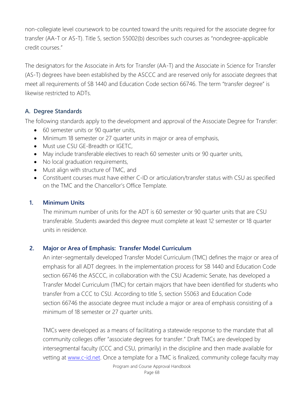non-collegiate level coursework to be counted toward the units required for the associate degree for transfer (AA-T or AS-T). Title 5, section 55002(b) describes such courses as "nondegree-applicable credit courses."

The designators for the Associate in Arts for Transfer (AA-T) and the Associate in Science for Transfer (AS-T) degrees have been established by the ASCCC and are reserved only for associate degrees that meet all requirements of SB 1440 and Education Code section 66746. The term "transfer degree" is likewise restricted to ADTs.

# **A. Degree Standards**

The following standards apply to the development and approval of the Associate Degree for Transfer:

- 60 semester units or 90 quarter units,
- Minimum 18 semester or 27 quarter units in major or area of emphasis,
- Must use CSU GE-Breadth or IGETC,
- May include transferable electives to reach 60 semester units or 90 quarter units,
- No local graduation requirements,
- Must align with structure of TMC, and
- Constituent courses must have either C-ID or articulation/transfer status with CSU as specified on the TMC and the Chancellor's Office Template.

# **1. Minimum Units**

The minimum number of units for the ADT is 60 semester or 90 quarter units that are CSU transferable. Students awarded this degree must complete at least 12 semester or 18 quarter units in residence.

# **2. Major or Area of Emphasis: Transfer Model Curriculum**

An inter-segmentally developed Transfer Model Curriculum (TMC) defines the major or area of emphasis for all ADT degrees. In the implementation process for SB 1440 and Education Code section 66746 the ASCCC, in collaboration with the CSU Academic Senate, has developed a Transfer Model Curriculum (TMC) for certain majors that have been identified for students who transfer from a CCC to CSU. According to title 5, section 55063 and Education Code section 66746 the associate degree must include a major or area of emphasis consisting of a minimum of 18 semester or 27 quarter units.

TMCs were developed as a means of facilitating a statewide response to the mandate that all community colleges offer "associate degrees for transfer." Draft TMCs are developed by intersegmental faculty (CCC and CSU, primarily) in the discipline and then made available for vetting at [www.c-id.net.](http://www.c-id.net/) Once a template for a TMC is finalized, community college faculty may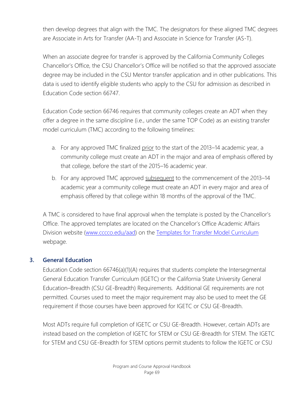then develop degrees that align with the TMC. The designators for these aligned TMC degrees are Associate in Arts for Transfer (AA-T) and Associate in Science for Transfer (AS-T).

When an associate degree for transfer is approved by the California Community Colleges Chancellor's Office, the CSU Chancellor's Office will be notified so that the approved associate degree may be included in the CSU Mentor transfer application and in other publications. This data is used to identify eligible students who apply to the CSU for admission as described in Education Code section 66747.

Education Code section 66746 requires that community colleges create an ADT when they offer a degree in the same discipline (i.e., under the same TOP Code) as an existing transfer model curriculum (TMC) according to the following timelines:

- a. For any approved TMC finalized prior to the start of the 2013–14 academic year, a community college must create an ADT in the major and area of emphasis offered by that college, before the start of the 2015–16 academic year.
- b. For any approved TMC approved subsequent to the commencement of the 2013–14 academic year a community college must create an ADT in every major and area of emphasis offered by that college within 18 months of the approval of the TMC.

A TMC is considered to have final approval when the template is posted by the Chancellor's Office. The approved templates are located on the Chancellor's Office Academic Affairs Division website [\(www.cccco.edu/aad\)](http://www.cccco.edu/aad) on the [Templates for Transfer Model Curriculum](http://extranet.cccco.edu/Divisions/AcademicAffairs/CurriculumandInstructionUnit/TemplatesForApprovedTransferModelCurriculum.aspx) webpage.

## **3. General Education**

Education Code section 66746(a)(1)(A) requires that students complete the Intersegmental General Education Transfer Curriculum (IGETC) or the California State University General Education–Breadth (CSU GE-Breadth) Requirements. Additional GE requirements are not permitted. Courses used to meet the major requirement may also be used to meet the GE requirement if those courses have been approved for IGETC or CSU GE-Breadth.

Most ADTs require full completion of IGETC or CSU GE-Breadth. However, certain ADTs are instead based on the completion of IGETC for STEM or CSU GE-Breadth for STEM. The IGETC for STEM and CSU GE-Breadth for STEM options permit students to follow the IGETC or CSU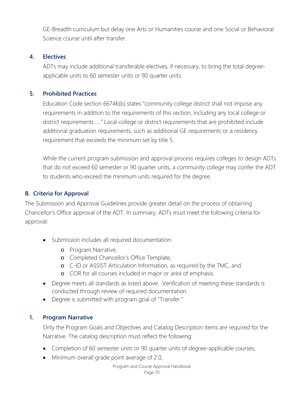GE-Breadth curriculum but delay one Arts or Humanities course and one Social or Behavioral Science course until after transfer.

# **4. Electives**

ADTs may include additional transferable electives, if necessary, to bring the total degreeapplicable units to 60 semester units or 90 quarter units.

# **5. Prohibited Practices**

Education Code section 66746(b) states "community college district shall not impose any requirements in addition to the requirements of this section, including any local college or district requirements …." Local college or district requirements that are prohibited include additional graduation requirements, such as additional GE requirements or a residency requirement that exceeds the minimum set by title 5.

While the current program submission and approval process requires colleges to design ADTs that do not exceed 60 semester or 90 quarter units, a community college may confer the ADT to students who exceed the minimum units required for the degree.

# **B. Criteria for Approval**

The Submission and Approval Guidelines provide greater detail on the process of obtaining Chancellor's Office approval of the ADT. In summary, ADTs must meet the following criteria for approval:

- Submission includes all required documentation:
	- o Program Narrative,
	- o Completed Chancellor's Office Template,
	- o C-ID or ASSIST Articulation Information, as required by the TMC, and
	- o COR for all courses included in major or area of emphasis.
- Degree meets all standards as listed above. Verification of meeting these standards is conducted through review of required documentation.
- Degree is submitted with program goal of "Transfer."

## **1. Program Narrative**

Only the Program Goals and Objectives and Catalog Description items are required for the Narrative. The catalog description must reflect the following:

- Completion of 60 semester units or 90 quarter units of degree-applicable courses,
- Minimum overall grade point average of 2.0,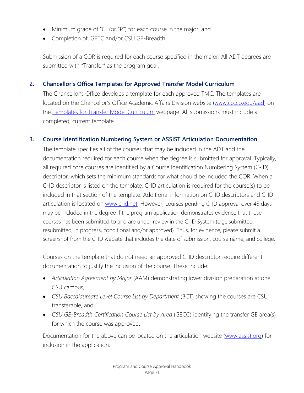- Minimum grade of "C" (or "P") for each course in the major, and
- Completion of IGETC and/or CSU GE-Breadth.

Submission of a COR is required for each course specified in the major. All ADT degrees are submitted with "Transfer" as the program goal.

# **2. Chancellor's Office Templates for Approved Transfer Model Curriculum**

The Chancellor's Office develops a template for each approved TMC. The templates are located on the Chancellor's Office Academic Affairs Division website [\(www.cccco.edu/aad\)](http://www.cccco.edu/aad) on the [Templates for Transfer Model Curriculum](http://extranet.cccco.edu/Divisions/AcademicAffairs/CurriculumandInstructionUnit/TemplatesForApprovedTransferModelCurriculum.aspx) webpage. All submissions must include a completed, current template.

## **3. Course Identification Numbering System or ASSIST Articulation Documentation**

The template specifies all of the courses that may be included in the ADT and the documentation required for each course when the degree is submitted for approval. Typically, all required core courses are identified by a Course Identification Numbering System (C-ID) descriptor, which sets the minimum standards for what should be included the COR. When a C-ID descriptor is listed on the template, C-ID articulation is required for the course(s) to be included in that section of the template. Additional information on C-ID descriptors and C-ID articulation is located on [www.c-id.net.](http://www.c-id.net/) However, courses pending C-ID approval over 45 days may be included in the degree if the program application demonstrates evidence that those courses has been submitted to and are under review in the C-ID System (e.g., submitted, resubmitted, in progress, conditional and/or approved). Thus, for evidence, please submit a screenshot from the C-ID website that includes the date of submission, course name, and college.

Courses on the template that do not need an approved C-ID descriptor require different documentation to justify the inclusion of the course. These include:

- *Articulation Agreement by Major* (AAM) demonstrating lower division preparation at one CSU campus,
- *CSU Baccalaureate Level Course List by Department* (BCT) showing the courses are CSU transferable, and
- *CSU GE-Breadth Certification Course List by Area* (GECC) identifying the transfer GE area(s) for which the course was approved.

Documentation for the above can be located on the articulation website [\(www.assist.org\)](http://www.assist.org/) for inclusion in the application.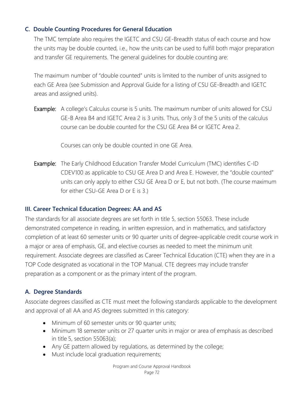# **C. Double Counting Procedures for General Education**

The TMC template also requires the IGETC and CSU GE-Breadth status of each course and how the units may be double counted, i.e., how the units can be used to fulfill both major preparation and transfer GE requirements. The general guidelines for double counting are:

The maximum number of "double counted" units is limited to the number of units assigned to each GE Area (see Submission and Approval Guide for a listing of CSU GE-Breadth and IGETC areas and assigned units).

Example: A college's Calculus course is 5 units. The maximum number of units allowed for CSU GE-B Area B4 and IGETC Area 2 is 3 units. Thus, only 3 of the 5 units of the calculus course can be double counted for the CSU GE Area B4 or IGETC Area 2.

Courses can only be double counted in one GE Area.

Example: The Early Childhood Education Transfer Model Curriculum (TMC) identifies C-ID CDEV100 as applicable to CSU GE Area D and Area E. However, the "double counted" units can only apply to either CSU GE Area D or E, but not both. (The course maximum for either CSU-GE Area D or E is 3.)

# **III. Career Technical Education Degrees: AA and AS**

The standards for all associate degrees are set forth in title 5, section 55063. These include demonstrated competence in reading, in written expression, and in mathematics, and satisfactory completion of at least 60 semester units or 90 quarter units of degree-applicable credit course work in a major or area of emphasis, GE, and elective courses as needed to meet the minimum unit requirement. Associate degrees are classified as Career Technical Education (CTE) when they are in a TOP Code designated as vocational in the TOP Manual. CTE degrees may include transfer preparation as a component or as the primary intent of the program.

# **A. Degree Standards**

Associate degrees classified as CTE must meet the following standards applicable to the development and approval of all AA and AS degrees submitted in this category:

- Minimum of 60 semester units or 90 quarter units;
- Minimum 18 semester units or 27 quarter units in major or area of emphasis as described in title 5, section 55063(a);
- Any GE pattern allowed by regulations, as determined by the college;
- Must include local graduation requirements;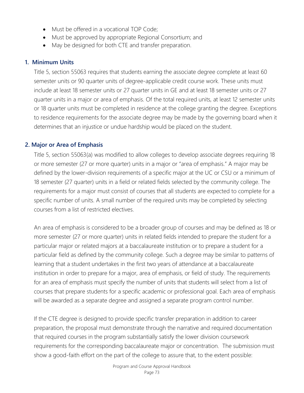- Must be offered in a vocational TOP Code;
- Must be approved by appropriate Regional Consortium; and
- May be designed for both CTE and transfer preparation.

#### **1. Minimum Units**

Title 5, section 55063 requires that students earning the associate degree complete at least 60 semester units or 90 quarter units of degree-applicable credit course work. These units must include at least 18 semester units or 27 quarter units in GE and at least 18 semester units or 27 quarter units in a major or area of emphasis. Of the total required units, at least 12 semester units or 18 quarter units must be completed in residence at the college granting the degree. Exceptions to residence requirements for the associate degree may be made by the governing board when it determines that an injustice or undue hardship would be placed on the student.

#### **2. Major or Area of Emphasis**

Title 5, section 55063(a) was modified to allow colleges to develop associate degrees requiring 18 or more semester (27 or more quarter) units in a major or "area of emphasis." A major may be defined by the lower-division requirements of a specific major at the UC or CSU or a minimum of 18 semester (27 quarter) units in a field or related fields selected by the community college. The requirements for a major must consist of courses that all students are expected to complete for a specific number of units. A small number of the required units may be completed by selecting courses from a list of restricted electives.

An area of emphasis is considered to be a broader group of courses and may be defined as 18 or more semester (27 or more quarter) units in related fields intended to prepare the student for a particular major or related majors at a baccalaureate institution or to prepare a student for a particular field as defined by the community college. Such a degree may be similar to patterns of learning that a student undertakes in the first two years of attendance at a baccalaureate institution in order to prepare for a major, area of emphasis, or field of study. The requirements for an area of emphasis must specify the number of units that students will select from a list of courses that prepare students for a specific academic or professional goal. Each area of emphasis will be awarded as a separate degree and assigned a separate program control number.

If the CTE degree is designed to provide specific transfer preparation in addition to career preparation, the proposal must demonstrate through the narrative and required documentation that required courses in the program substantially satisfy the lower division coursework requirements for the corresponding baccalaureate major or concentration. The submission must show a good-faith effort on the part of the college to assure that, to the extent possible: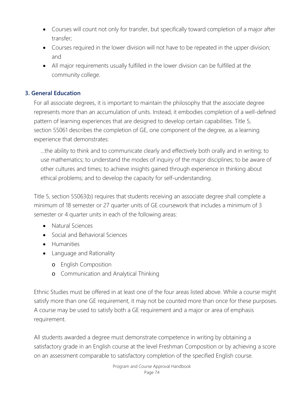- Courses will count not only for transfer, but specifically toward completion of a major after transfer;
- Courses required in the lower division will not have to be repeated in the upper division; and
- All major requirements usually fulfilled in the lower division can be fulfilled at the community college.

# **3. General Education**

For all associate degrees, it is important to maintain the philosophy that the associate degree represents more than an accumulation of units. Instead, it embodies completion of a well-defined pattern of learning experiences that are designed to develop certain capabilities. Title 5, section 55061 describes the completion of GE, one component of the degree, as a learning experience that demonstrates:

…the ability to think and to communicate clearly and effectively both orally and in writing; to use mathematics; to understand the modes of inquiry of the major disciplines; to be aware of other cultures and times; to achieve insights gained through experience in thinking about ethical problems; and to develop the capacity for self-understanding.

Title 5, section 55063(b) requires that students receiving an associate degree shall complete a minimum of 18 semester or 27 quarter units of GE coursework that includes a minimum of 3 semester or 4 quarter units in each of the following areas:

- Natural Sciences
- Social and Behavioral Sciences
- Humanities
- Language and Rationality
	- o English Composition
	- o Communication and Analytical Thinking

Ethnic Studies must be offered in at least one of the four areas listed above. While a course might satisfy more than one GE requirement, it may not be counted more than once for these purposes. A course may be used to satisfy both a GE requirement and a major or area of emphasis requirement.

All students awarded a degree must demonstrate competence in writing by obtaining a satisfactory grade in an English course at the level Freshman Composition or by achieving a score on an assessment comparable to satisfactory completion of the specified English course.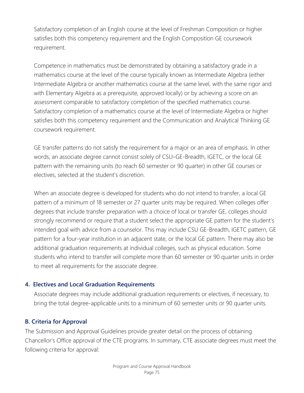Satisfactory completion of an English course at the level of Freshman Composition or higher satisfies both this competency requirement and the English Composition GE coursework requirement.

Competence in mathematics must be demonstrated by obtaining a satisfactory grade in a mathematics course at the level of the course typically known as Intermediate Algebra (either Intermediate Algebra or another mathematics course at the same level, with the same rigor and with Elementary Algebra as a prerequisite, approved locally) or by achieving a score on an assessment comparable to satisfactory completion of the specified mathematics course. Satisfactory completion of a mathematics course at the level of Intermediate Algebra or higher satisfies both this competency requirement and the Communication and Analytical Thinking GE coursework requirement.

GE transfer patterns do not satisfy the requirement for a major or an area of emphasis. In other words, an associate degree cannot consist solely of CSU–GE-Breadth, IGETC, or the local GE pattern with the remaining units (to reach 60 semester or 90 quarter) in other GE courses or electives, selected at the student's discretion.

When an associate degree is developed for students who do not intend to transfer, a local GE pattern of a minimum of 18 semester or 27 quarter units may be required. When colleges offer degrees that include transfer preparation with a choice of local or transfer GE, colleges should strongly recommend or require that a student select the appropriate GE pattern for the student's intended goal with advice from a counselor. This may include CSU GE-Breadth, IGETC pattern, GE pattern for a four-year institution in an adjacent state, or the local GE pattern. There may also be additional graduation requirements at individual colleges, such as physical education. Some students who intend to transfer will complete more than 60 semester or 90 quarter units in order to meet all requirements for the associate degree.

#### **4. Electives and Local Graduation Requirements**

Associate degrees may include additional graduation requirements or electives, if necessary, to bring the total degree-applicable units to a minimum of 60 semester units or 90 quarter units.

# **B. Criteria for Approval**

The Submission and Approval Guidelines provide greater detail on the process of obtaining Chancellor's Office approval of the CTE programs. In summary, CTE associate degrees must meet the following criteria for approval: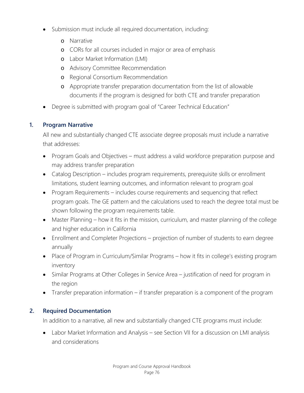- Submission must include all required documentation, including:
	- o Narrative
	- o CORs for all courses included in major or area of emphasis
	- o Labor Market Information (LMI)
	- o Advisory Committee Recommendation
	- o Regional Consortium Recommendation
	- o Appropriate transfer preparation documentation from the list of allowable documents if the program is designed for both CTE and transfer preparation
- Degree is submitted with program goal of "Career Technical Education"

# **1. Program Narrative**

All new and substantially changed CTE associate degree proposals must include a narrative that addresses:

- Program Goals and Objectives must address a valid workforce preparation purpose and may address transfer preparation
- Catalog Description includes program requirements, prerequisite skills or enrollment limitations, student learning outcomes, and information relevant to program goal
- Program Requirements includes course requirements and sequencing that reflect program goals. The GE pattern and the calculations used to reach the degree total must be shown following the program requirements table.
- Master Planning how it fits in the mission, curriculum, and master planning of the college and higher education in California
- Enrollment and Completer Projections projection of number of students to earn degree annually
- Place of Program in Curriculum/Similar Programs how it fits in college's existing program inventory
- Similar Programs at Other Colleges in Service Area justification of need for program in the region
- Transfer preparation information if transfer preparation is a component of the program

# **2. Required Documentation**

In addition to a narrative, all new and substantially changed CTE programs must include:

Labor Market Information and Analysis - see Section VII for a discussion on LMI analysis and considerations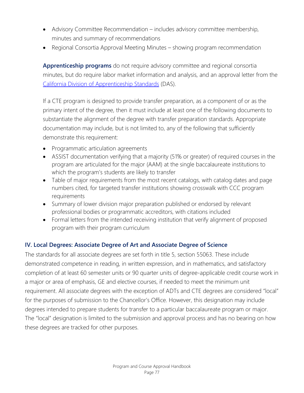- Advisory Committee Recommendation includes advisory committee membership, minutes and summary of recommendations
- Regional Consortia Approval Meeting Minutes showing program recommendation

**Apprenticeship programs** do not require advisory committee and regional consortia minutes, but do require labor market information and analysis, and an approval letter from the [California Division of Apprenticeship Standards](http://www.dir.ca.gov/das/das.html) (DAS).

If a CTE program is designed to provide transfer preparation, as a component of or as the primary intent of the degree, then it must include at least one of the following documents to substantiate the alignment of the degree with transfer preparation standards. Appropriate documentation may include, but is not limited to, any of the following that sufficiently demonstrate this requirement:

- Programmatic articulation agreements
- ASSIST documentation verifying that a majority (51% or greater) of required courses in the program are articulated for the major (AAM) at the single baccalaureate institutions to which the program's students are likely to transfer
- Table of major requirements from the most recent catalogs, with catalog dates and page numbers cited, for targeted transfer institutions showing crosswalk with CCC program requirements
- Summary of lower division major preparation published or endorsed by relevant professional bodies or programmatic accreditors, with citations included
- Formal letters from the intended receiving institution that verify alignment of proposed program with their program curriculum

# **IV. Local Degrees: Associate Degree of Art and Associate Degree of Science**

The standards for all associate degrees are set forth in title 5, section 55063. These include demonstrated competence in reading, in written expression, and in mathematics, and satisfactory completion of at least 60 semester units or 90 quarter units of degree-applicable credit course work in a major or area of emphasis, GE and elective courses, if needed to meet the minimum unit requirement. All associate degrees with the exception of ADTs and CTE degrees are considered "local" for the purposes of submission to the Chancellor's Office. However, this designation may include degrees intended to prepare students for transfer to a particular baccalaureate program or major. The "local" designation is limited to the submission and approval process and has no bearing on how these degrees are tracked for other purposes.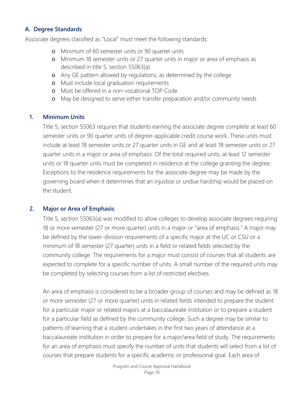#### **A. Degree Standards**

Associate degrees classified as "Local" must meet the following standards:

- o Minimum of 60 semester units or 90 quarter units
- o Minimum 18 semester units or 27 quarter units in major or area of emphasis as described in title 5, section 55063(a)
- o Any GE pattern allowed by regulations, as determined by the college
- o Must include local graduation requirements
- o Must be offered in a non-vocational TOP Code
- o May be designed to serve either transfer preparation and/or community needs

#### **1. Minimum Units**

Title 5, section 55063 requires that students earning the associate degree complete at least 60 semester units or 90 quarter units of degree-applicable credit course work. These units must include at least 18 semester units or 27 quarter units in GE and at least 18 semester units or 27 quarter units in a major or area of emphasis. Of the total required units, at least 12 semester units or 18 quarter units must be completed in residence at the college granting the degree. Exceptions to the residence requirements for the associate degree may be made by the governing board when it determines that an injustice or undue hardship would be placed on the student.

# **2. Major or Area of Emphasis**

Title 5, section 55063(a) was modified to allow colleges to develop associate degrees requiring 18 or more semester (27 or more quarter) units in a major or "area of emphasis." A major may be defined by the lower-division requirements of a specific major at the UC or CSU or a minimum of 18 semester (27 quarter) units in a field or related fields selected by the community college. The requirements for a major must consist of courses that all students are expected to complete for a specific number of units. A small number of the required units may be completed by selecting courses from a list of restricted electives.

An area of emphasis is considered to be a broader group of courses and may be defined as 18 or more semester (27 or more quarter) units in related fields intended to prepare the student for a particular major or related majors at a baccalaureate institution or to prepare a student for a particular field as defined by the community college. Such a degree may be similar to patterns of learning that a student undertakes in the first two years of attendance at a baccalaureate institution in order to prepare for a major/area field of study. The requirements for an area of emphasis must specify the number of units that students will select from a list of courses that prepare students for a specific academic or professional goal. Each area of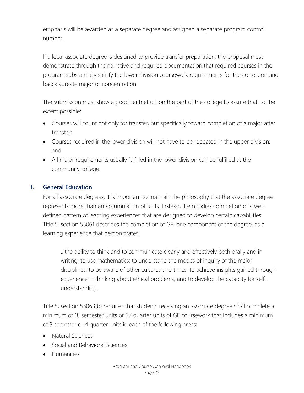emphasis will be awarded as a separate degree and assigned a separate program control number.

If a local associate degree is designed to provide transfer preparation, the proposal must demonstrate through the narrative and required documentation that required courses in the program substantially satisfy the lower division coursework requirements for the corresponding baccalaureate major or concentration.

The submission must show a good-faith effort on the part of the college to assure that, to the extent possible:

- Courses will count not only for transfer, but specifically toward completion of a major after transfer;
- Courses required in the lower division will not have to be repeated in the upper division; and
- All major requirements usually fulfilled in the lower division can be fulfilled at the community college.

# **3. General Education**

For all associate degrees, it is important to maintain the philosophy that the associate degree represents more than an accumulation of units. Instead, it embodies completion of a welldefined pattern of learning experiences that are designed to develop certain capabilities. Title 5, section 55061 describes the completion of GE, one component of the degree, as a learning experience that demonstrates:

…the ability to think and to communicate clearly and effectively both orally and in writing; to use mathematics; to understand the modes of inquiry of the major disciplines; to be aware of other cultures and times; to achieve insights gained through experience in thinking about ethical problems; and to develop the capacity for selfunderstanding.

Title 5, section 55063(b) requires that students receiving an associate degree shall complete a minimum of 18 semester units or 27 quarter units of GE coursework that includes a minimum of 3 semester or 4 quarter units in each of the following areas:

- Natural Sciences
- Social and Behavioral Sciences
- Humanities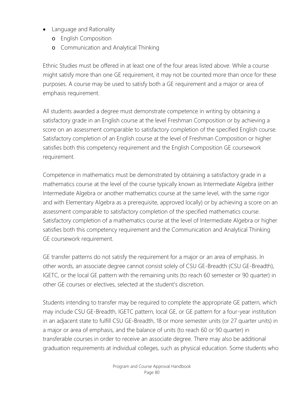- Language and Rationality
	- o English Composition
	- o Communication and Analytical Thinking

Ethnic Studies must be offered in at least one of the four areas listed above. While a course might satisfy more than one GE requirement, it may not be counted more than once for these purposes. A course may be used to satisfy both a GE requirement and a major or area of emphasis requirement.

All students awarded a degree must demonstrate competence in writing by obtaining a satisfactory grade in an English course at the level Freshman Composition or by achieving a score on an assessment comparable to satisfactory completion of the specified English course. Satisfactory completion of an English course at the level of Freshman Composition or higher satisfies both this competency requirement and the English Composition GE coursework requirement.

Competence in mathematics must be demonstrated by obtaining a satisfactory grade in a mathematics course at the level of the course typically known as Intermediate Algebra (either Intermediate Algebra or another mathematics course at the same level, with the same rigor and with Elementary Algebra as a prerequisite, approved locally) or by achieving a score on an assessment comparable to satisfactory completion of the specified mathematics course. Satisfactory completion of a mathematics course at the level of Intermediate Algebra or higher satisfies both this competency requirement and the Communication and Analytical Thinking GE coursework requirement.

GE transfer patterns do not satisfy the requirement for a major or an area of emphasis. In other words, an associate degree cannot consist solely of CSU GE-Breadth (CSU GE-Breadth), IGETC, or the local GE pattern with the remaining units (to reach 60 semester or 90 quarter) in other GE courses or electives, selected at the student's discretion.

Students intending to transfer may be required to complete the appropriate GE pattern, which may include CSU GE-Breadth, IGETC pattern, local GE, or GE pattern for a four-year institution in an adjacent state to fulfill CSU GE-Breadth, 18 or more semester units (or 27 quarter units) in a major or area of emphasis, and the balance of units (to reach 60 or 90 quarter) in transferable courses in order to receive an associate degree. There may also be additional graduation requirements at individual colleges, such as physical education. Some students who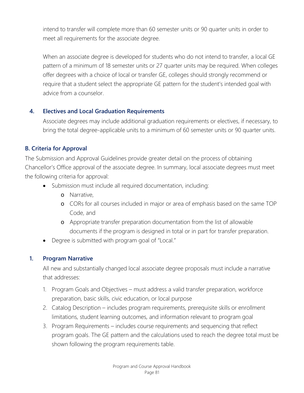intend to transfer will complete more than 60 semester units or 90 quarter units in order to meet all requirements for the associate degree.

When an associate degree is developed for students who do not intend to transfer, a local GE pattern of a minimum of 18 semester units or 27 quarter units may be required. When colleges offer degrees with a choice of local or transfer GE, colleges should strongly recommend or require that a student select the appropriate GE pattern for the student's intended goal with advice from a counselor.

# **4. Electives and Local Graduation Requirements**

Associate degrees may include additional graduation requirements or electives, if necessary, to bring the total degree-applicable units to a minimum of 60 semester units or 90 quarter units.

# **B. Criteria for Approval**

The Submission and Approval Guidelines provide greater detail on the process of obtaining Chancellor's Office approval of the associate degree. In summary, local associate degrees must meet the following criteria for approval:

- Submission must include all required documentation, including:
	- o Narrative,
	- o CORs for all courses included in major or area of emphasis based on the same TOP Code, and
	- o Appropriate transfer preparation documentation from the list of allowable documents if the program is designed in total or in part for transfer preparation.
- Degree is submitted with program goal of "Local."

# **1. Program Narrative**

All new and substantially changed local associate degree proposals must include a narrative that addresses:

- 1. Program Goals and Objectives must address a valid transfer preparation, workforce preparation, basic skills, civic education, or local purpose
- 2. Catalog Description includes program requirements, prerequisite skills or enrollment limitations, student learning outcomes, and information relevant to program goal
- 3. Program Requirements includes course requirements and sequencing that reflect program goals. The GE pattern and the calculations used to reach the degree total must be shown following the program requirements table.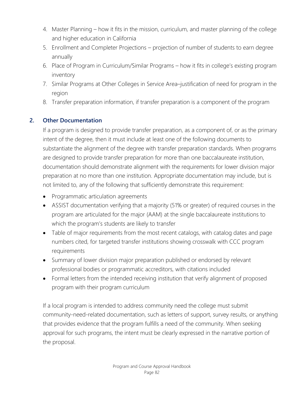- 4. Master Planning how it fits in the mission, curriculum, and master planning of the college and higher education in California
- 5. Enrollment and Completer Projections projection of number of students to earn degree annually
- 6. Place of Program in Curriculum/Similar Programs how it fits in college's existing program inventory
- 7. Similar Programs at Other Colleges in Service Area–justification of need for program in the region
- 8. Transfer preparation information, if transfer preparation is a component of the program

# **2. Other Documentation**

If a program is designed to provide transfer preparation, as a component of, or as the primary intent of the degree, then it must include at least one of the following documents to substantiate the alignment of the degree with transfer preparation standards. When programs are designed to provide transfer preparation for more than one baccalaureate institution, documentation should demonstrate alignment with the requirements for lower division major preparation at no more than one institution. Appropriate documentation may include, but is not limited to, any of the following that sufficiently demonstrate this requirement:

- Programmatic articulation agreements
- ASSIST documentation verifying that a majority (51% or greater) of required courses in the program are articulated for the major (AAM) at the single baccalaureate institutions to which the program's students are likely to transfer
- Table of major requirements from the most recent catalogs, with catalog dates and page numbers cited, for targeted transfer institutions showing crosswalk with CCC program requirements
- Summary of lower division major preparation published or endorsed by relevant professional bodies or programmatic accreditors, with citations included
- Formal letters from the intended receiving institution that verify alignment of proposed program with their program curriculum

If a local program is intended to address community need the college must submit community-need-related documentation, such as letters of support, survey results, or anything that provides evidence that the program fulfills a need of the community. When seeking approval for such programs, the intent must be clearly expressed in the narrative portion of the proposal.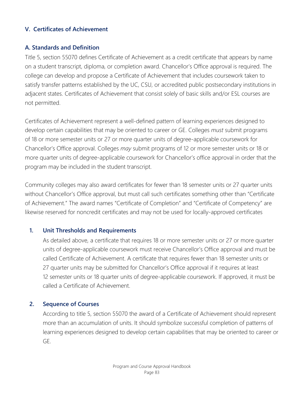#### **V. Certificates of Achievement**

#### **A. Standards and Definition**

Title 5, section 55070 defines Certificate of Achievement as a credit certificate that appears by name on a student transcript, diploma, or completion award. Chancellor's Office approval is required. The college can develop and propose a Certificate of Achievement that includes coursework taken to satisfy transfer patterns established by the UC, CSU, or accredited public postsecondary institutions in adjacent states. Certificates of Achievement that consist solely of basic skills and/or ESL courses are not permitted.

Certificates of Achievement represent a well-defined pattern of learning experiences designed to develop certain capabilities that may be oriented to career or GE. Colleges *must* submit programs of 18 or more semester units or 27 or more quarter units of degree-applicable coursework for Chancellor's Office approval. Colleges *may* submit programs of 12 or more semester units or 18 or more quarter units of degree-applicable coursework for Chancellor's office approval in order that the program may be included in the student transcript.

Community colleges may also award certificates for fewer than 18 semester units or 27 quarter units without Chancellor's Office approval, but must call such certificates something other than "Certificate of Achievement." The award names "Certificate of Completion" and "Certificate of Competency" are likewise reserved for noncredit certificates and may not be used for locally-approved certificates

#### **1. Unit Thresholds and Requirements**

As detailed above, a certificate that requires 18 or more semester units or 27 or more quarter units of degree-applicable coursework must receive Chancellor's Office approval and must be called Certificate of Achievement. A certificate that requires fewer than 18 semester units or 27 quarter units may be submitted for Chancellor's Office approval if it requires at least 12 semester units or 18 quarter units of degree-applicable coursework. If approved, it must be called a Certificate of Achievement.

#### **2. Sequence of Courses**

According to title 5, section 55070 the award of a Certificate of Achievement should represent more than an accumulation of units. It should symbolize successful completion of patterns of learning experiences designed to develop certain capabilities that may be oriented to career or GE.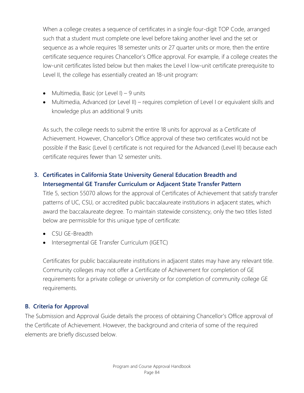When a college creates a sequence of certificates in a single four-digit TOP Code, arranged such that a student must complete one level before taking another level and the set or sequence as a whole requires 18 semester units or 27 quarter units or more, then the entire certificate sequence requires Chancellor's Office approval. For example, if a college creates the low-unit certificates listed below but then makes the Level I low-unit certificate prerequisite to Level II, the college has essentially created an 18-unit program:

- Multimedia, Basic (or Level I) 9 units
- Multimedia, Advanced (or Level II) requires completion of Level I or equivalent skills and knowledge plus an additional 9 units

As such, the college needs to submit the entire 18 units for approval as a Certificate of Achievement. However, Chancellor's Office approval of these two certificates would not be possible if the Basic (Level I) certificate is not required for the Advanced (Level II) because each certificate requires fewer than 12 semester units.

# **3. Certificates in California State University General Education Breadth and Intersegmental GE Transfer Curriculum or Adjacent State Transfer Pattern**

Title 5, section 55070 allows for the approval of Certificates of Achievement that satisfy transfer patterns of UC, CSU, or accredited public baccalaureate institutions in adjacent states, which award the baccalaureate degree. To maintain statewide consistency, only the two titles listed below are permissible for this unique type of certificate:

- CSU GE-Breadth
- Intersegmental GE Transfer Curriculum (IGETC)

Certificates for public baccalaureate institutions in adjacent states may have any relevant title. Community colleges may not offer a Certificate of Achievement for completion of GE requirements for a private college or university or for completion of community college GE requirements.

# **B. Criteria for Approval**

The Submission and Approval Guide details the process of obtaining Chancellor's Office approval of the Certificate of Achievement. However, the background and criteria of some of the required elements are briefly discussed below.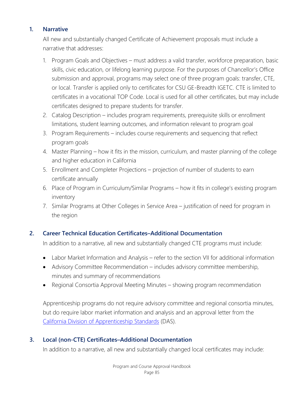#### **1. Narrative**

All new and substantially changed Certificate of Achievement proposals must include a narrative that addresses:

- 1. Program Goals and Objectives must address a valid transfer, workforce preparation, basic skills, civic education, or lifelong learning purpose. For the purposes of Chancellor's Office submission and approval, programs may select one of three program goals: transfer, CTE, or local. Transfer is applied only to certificates for CSU GE-Breadth IGETC. CTE is limited to certificates in a vocational TOP Code. Local is used for all other certificates, but may include certificates designed to prepare students for transfer.
- 2. Catalog Description includes program requirements, prerequisite skills or enrollment limitations, student learning outcomes, and information relevant to program goal
- 3. Program Requirements includes course requirements and sequencing that reflect program goals
- 4. Master Planning how it fits in the mission, curriculum, and master planning of the college and higher education in California
- 5. Enrollment and Completer Projections projection of number of students to earn certificate annually
- 6. Place of Program in Curriculum/Similar Programs how it fits in college's existing program inventory
- 7. Similar Programs at Other Colleges in Service Area justification of need for program in the region

# **2. Career Technical Education Certificates–Additional Documentation**

In addition to a narrative, all new and substantially changed CTE programs must include:

- Labor Market Information and Analysis refer to the section VII for additional information
- Advisory Committee Recommendation includes advisory committee membership, minutes and summary of recommendations
- Regional Consortia Approval Meeting Minutes showing program recommendation

Apprenticeship programs do not require advisory committee and regional consortia minutes, but do require labor market information and analysis and an approval letter from the [California Division of Apprenticeship Standards](http://www.dir.ca.gov/das/das.html) (DAS).

# **3. Local (non-CTE) Certificates–Additional Documentation**

In addition to a narrative, all new and substantially changed local certificates may include: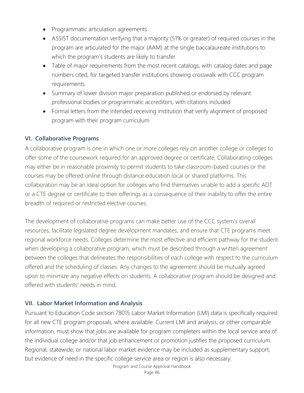- Programmatic articulation agreements
- ASSIST documentation verifying that a majority (51% or greater) of required courses in the program are articulated for the major (AAM) at the single baccalaureate institutions to which the program's students are likely to transfer
- Table of major requirements from the most recent catalogs, with catalog dates and page numbers cited, for targeted transfer institutions showing crosswalk with CCC program requirements
- Summary of lower division major preparation published or endorsed by relevant professional bodies or programmatic accreditors, with citations included
- Formal letters from the intended receiving institution that verify alignment of proposed program with their program curriculum

# **VI. Collaborative Programs**

A collaborative program is one in which one or more colleges rely on another college or colleges to offer some of the coursework required for an approved degree or certificate. Collaborating colleges may either be in reasonable proximity to permit students to take classroom-based courses or the courses may be offered online through distance education local or shared platforms. This collaboration may be an ideal option for colleges who find themselves unable to add a specific ADT or a CTE degree or certificate to their offerings as a consequence of their inability to offer the entire breadth of required or restricted elective courses.

The development of collaborative programs can make better use of the CCC system's overall resources, facilitate legislated degree development mandates, and ensure that CTE programs meet regional workforce needs. Colleges determine the most effective and efficient pathway for the student when developing a collaborative program, which must be described through a written agreement between the colleges that delineates the responsibilities of each college with respect to the curriculum offered and the scheduling of classes. Any changes to the agreement should be mutually agreed upon to minimize any negative effects on students. A collaborative program should be designed and offered with students' needs in mind.

# **VII. Labor Market Information and Analysis**

Pursuant to Education Code section 78015 Labor Market Information (LMI) data is specifically required for all new CTE program proposals, where available. Current LMI and analysis, or other comparable information, must show that jobs are available for program completers within the local service area of the individual college and/or that job enhancement or promotion justifies the proposed curriculum. Regional, statewide, or national labor market evidence may be included as supplementary support, but evidence of need in the specific college service area or region is also necessary.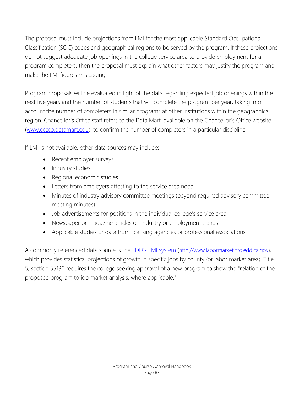The proposal must include projections from LMI for the most applicable Standard Occupational Classification (SOC) codes and geographical regions to be served by the program. If these projections do not suggest adequate job openings in the college service area to provide employment for all program completers, then the proposal must explain what other factors may justify the program and make the LMI figures misleading.

Program proposals will be evaluated in light of the data regarding expected job openings within the next five years and the number of students that will complete the program per year, taking into account the number of completers in similar programs at other institutions within the geographical region. Chancellor's Office staff refers to the Data Mart, available on the Chancellor's Office website [\(www.cccco.datamart.edu\)](http://www.cccco.datamart.edu/), to confirm the number of completers in a particular discipline.

If LMI is not available, other data sources may include:

- Recent employer surveys
- Industry studies
- Regional economic studies
- Letters from employers attesting to the service area need
- Minutes of industry advisory committee meetings (beyond required advisory committee meeting minutes)
- Job advertisements for positions in the individual college's service area
- Newspaper or magazine articles on industry or employment trends
- Applicable studies or data from licensing agencies or professional associations

A commonly referenced data source is the **EDD's LMI system** [\(http://www.labormarketinfo.edd.ca.gov\)](http://www.labormarketinfo.edd.ca.gov/), which provides statistical projections of growth in specific jobs by county (or labor market area). Title 5, section 55130 requires the college seeking approval of a new program to show the "relation of the proposed program to job market analysis, where applicable."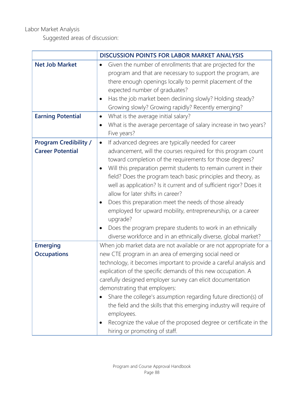# Labor Market Analysis

Suggested areas of discussion:

|                              | <b>DISCUSSION POINTS FOR LABOR MARKET ANALYSIS</b>                            |  |
|------------------------------|-------------------------------------------------------------------------------|--|
| <b>Net Job Market</b>        | Given the number of enrollments that are projected for the<br>$\bullet$       |  |
|                              | program and that are necessary to support the program, are                    |  |
|                              | there enough openings locally to permit placement of the                      |  |
|                              | expected number of graduates?                                                 |  |
|                              | Has the job market been declining slowly? Holding steady?<br>$\bullet$        |  |
|                              | Growing slowly? Growing rapidly? Recently emerging?                           |  |
| <b>Earning Potential</b>     | What is the average initial salary?<br>$\bullet$                              |  |
|                              | What is the average percentage of salary increase in two years?<br>$\bullet$  |  |
|                              | Five years?                                                                   |  |
| <b>Program Credibility /</b> | If advanced degrees are typically needed for career<br>$\bullet$              |  |
| <b>Career Potential</b>      | advancement, will the courses required for this program count                 |  |
|                              | toward completion of the requirements for those degrees?                      |  |
|                              | Will this preparation permit students to remain current in their<br>$\bullet$ |  |
|                              | field? Does the program teach basic principles and theory, as                 |  |
|                              | well as application? Is it current and of sufficient rigor? Does it           |  |
|                              | allow for later shifts in career?                                             |  |
|                              | Does this preparation meet the needs of those already<br>٠                    |  |
|                              | employed for upward mobility, entrepreneurship, or a career                   |  |
|                              | upgrade?                                                                      |  |
|                              | Does the program prepare students to work in an ethnically<br>$\bullet$       |  |
|                              | diverse workforce and in an ethnically diverse, global market?                |  |
| <b>Emerging</b>              | When job market data are not available or are not appropriate for a           |  |
| <b>Occupations</b>           | new CTE program in an area of emerging social need or                         |  |
|                              | technology, it becomes important to provide a careful analysis and            |  |
|                              | explication of the specific demands of this new occupation. A                 |  |
|                              | carefully designed employer survey can elicit documentation                   |  |
|                              | demonstrating that employers:                                                 |  |
|                              | Share the college's assumption regarding future direction(s) of               |  |
|                              | the field and the skills that this emerging industry will require of          |  |
|                              | employees.                                                                    |  |
|                              | Recognize the value of the proposed degree or certificate in the<br>$\bullet$ |  |
|                              | hiring or promoting of staff.                                                 |  |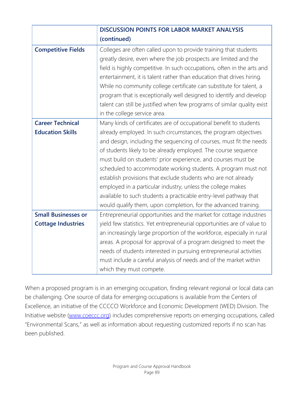|                            | <b>DISCUSSION POINTS FOR LABOR MARKET ANALYSIS</b>                       |
|----------------------------|--------------------------------------------------------------------------|
|                            | (continued)                                                              |
| <b>Competitive Fields</b>  | Colleges are often called upon to provide training that students         |
|                            | greatly desire, even where the job prospects are limited and the         |
|                            | field is highly competitive. In such occupations, often in the arts and  |
|                            | entertainment, it is talent rather than education that drives hiring.    |
|                            | While no community college certificate can substitute for talent, a      |
|                            | program that is exceptionally well designed to identify and develop      |
|                            | talent can still be justified when few programs of similar quality exist |
|                            | in the college service area.                                             |
| <b>Career Technical</b>    | Many kinds of certificates are of occupational benefit to students       |
| <b>Education Skills</b>    | already employed. In such circumstances, the program objectives          |
|                            | and design, including the sequencing of courses, must fit the needs      |
|                            | of students likely to be already employed. The course sequence           |
|                            | must build on students' prior experience, and courses must be            |
|                            | scheduled to accommodate working students. A program must not            |
|                            | establish provisions that exclude students who are not already           |
|                            | employed in a particular industry, unless the college makes              |
|                            | available to such students a practicable entry-level pathway that        |
|                            | would qualify them, upon completion, for the advanced training.          |
| <b>Small Businesses or</b> | Entrepreneurial opportunities and the market for cottage industries      |
| <b>Cottage Industries</b>  | yield few statistics. Yet entrepreneurial opportunities are of value to  |
|                            | an increasingly large proportion of the workforce, especially in rural   |
|                            | areas. A proposal for approval of a program designed to meet the         |
|                            | needs of students interested in pursuing entrepreneurial activities      |
|                            | must include a careful analysis of needs and of the market within        |
|                            | which they must compete.                                                 |

When a proposed program is in an emerging occupation, finding relevant regional or local data can be challenging. One source of data for emerging occupations is available from the Centers of Excellence, an initiative of the CCCCO Workforce and Economic Development (WED) Division. The Initiative website [\(www.coeccc.org\)](http://www.coeccc.org/) includes comprehensive reports on emerging occupations, called "Environmental Scans," as well as information about requesting customized reports if no scan has been published.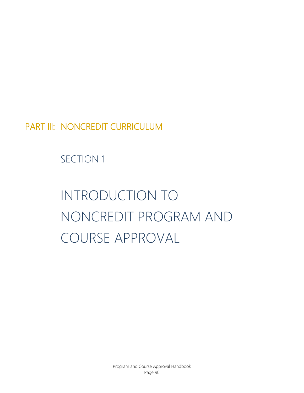PART III: NONCREDIT CURRICULUM

SECTION 1

# INTRODUCTION TO NONCREDIT PROGRAM AND COURSE APPROVAL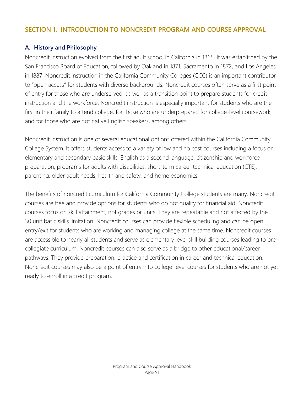# **SECTION 1. INTRODUCTION TO NONCREDIT PROGRAM AND COURSE APPROVAL**

# **A. History and Philosophy**

Noncredit instruction evolved from the first adult school in California in 1865. It was established by the San Francisco Board of Education, followed by Oakland in 1871, Sacramento in 1872, and Los Angeles in 1887. Noncredit instruction in the California Community Colleges (CCC) is an important contributor to "open access" for students with diverse backgrounds. Noncredit courses often serve as a first point of entry for those who are underserved, as well as a transition point to prepare students for credit instruction and the workforce. Noncredit instruction is especially important for students who are the first in their family to attend college, for those who are underprepared for college-level coursework, and for those who are not native English speakers, among others.

Noncredit instruction is one of several educational options offered within the California Community College System. It offers students access to a variety of low and no cost courses including a focus on elementary and secondary basic skills, English as a second language, citizenship and workforce preparation, programs for adults with disabilities, short-term career technical education (CTE), parenting, older adult needs, health and safety, and home economics.

The benefits of noncredit curriculum for California Community College students are many. Noncredit courses are free and provide options for students who do not qualify for financial aid. Noncredit courses focus on skill attainment, not grades or units. They are repeatable and not affected by the 30 unit basic skills limitation. Noncredit courses can provide flexible scheduling and can be open entry/exit for students who are working and managing college at the same time. Noncredit courses are accessible to nearly all students and serve as elementary level skill building courses leading to precollegiate curriculum. Noncredit courses can also serve as a bridge to other educational/career pathways. They provide preparation, practice and certification in career and technical education. Noncredit courses may also be a point of entry into college-level courses for students who are not yet ready to enroll in a credit program.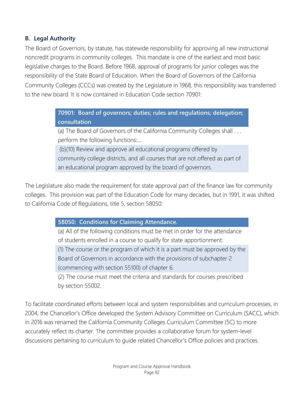# **B. Legal Authority**

The Board of Governors, by statute, has statewide responsibility for approving all new instructional noncredit programs in community colleges. This mandate is one of the earliest and most basic legislative charges to the Board. Before 1968, approval of programs for junior colleges was the responsibility of the State Board of Education. When the Board of Governors of the California Community Colleges (CCCs) was created by the Legislature in 1968, this responsibility was transferred to the new board. It is now contained in Education Code section 70901:

> **70901: Board of governors; duties; rules and regulations; delegation; consultation**

> (a) The Board of Governors of the California Community Colleges shall . . . perform the following functions:…

> (b)(10) Review and approve all educational programs offered by community college districts, and all courses that are not offered as part of an educational program approved by the board of governors.

The Legislature also made the requirement for state approval part of the finance law for community colleges. This provision was part of the Education Code for many decades, but in 1991, it was shifted to California Code of Regulations, title 5, section 58050:

#### **58050: Conditions for Claiming Attendance.**

(a) All of the following conditions must be met in order for the attendance of students enrolled in a course to qualify for state apportionment:

(1) The course or the program of which it is a part must be approved by the Board of Governors in accordance with the provisions of subchapter 2 (commencing with section 55100) of chapter 6.

(2) The course must meet the criteria and standards for courses prescribed by section 55002.

To facilitate coordinated efforts between local and system responsibilities and curriculum processes, in 2004, the Chancellor's Office developed the System Advisory Committee on Curriculum (SACC), which in 2016 was renamed the California Community Colleges Curriculum Committee (5C) to more accurately reflect its charter. The committee provides a collaborative forum for system-level discussions pertaining to curriculum to guide related Chancellor's Office policies and practices.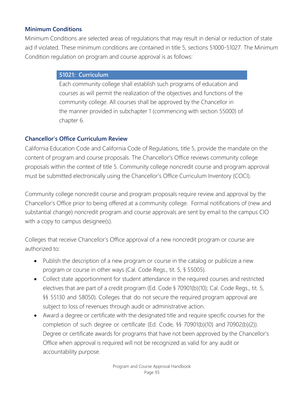### **Minimum Conditions**

Minimum Conditions are selected areas of regulations that may result in denial or reduction of state aid if violated. These minimum conditions are contained in title 5, sections 51000-51027. The Minimum Condition regulation on program and course approval is as follows:

#### **51021: Curriculum**

Each community college shall establish such programs of education and courses as will permit the realization of the objectives and functions of the community college. All courses shall be approved by the Chancellor in the manner provided in subchapter 1 (commencing with section 55000) of chapter 6.

# **Chancellor's Office Curriculum Review**

California Education Code and California Code of Regulations, title 5, provide the mandate on the content of program and course proposals. The Chancellor's Office reviews community college proposals within the context of title 5. Community college noncredit course and program approval must be submitted electronically using the Chancellor's Office Curriculum Inventory (COCI).

Community college noncredit course and program proposals require review and approval by the Chancellor's Office prior to being offered at a community college. Formal notifications of (new and substantial change) noncredit program and course approvals are sent by email to the campus CIO with a copy to campus designee(s).

Colleges that receive Chancellor's Office approval of a new noncredit program or course are authorized to:

- Publish the description of a new program or course in the catalog or publicize a new program or course in other ways (Cal. Code Regs., tit. 5, § 55005).
- Collect state apportionment for student attendance in the required courses and restricted electives that are part of a credit program (Ed. Code § 70901(b)(10); Cal. Code Regs., tit. 5, §§ 55130 and 58050). Colleges that do not secure the required program approval are subject to loss of revenues through audit or administrative action.
- Award a degree or certificate with the designated title and require specific courses for the completion of such degree or certificate (Ed. Code, §§ 70901(b)(10) and 70902(b)(2)). Degree or certificate awards for programs that have not been approved by the Chancellor's Office when approval is required will not be recognized as valid for any audit or accountability purpose.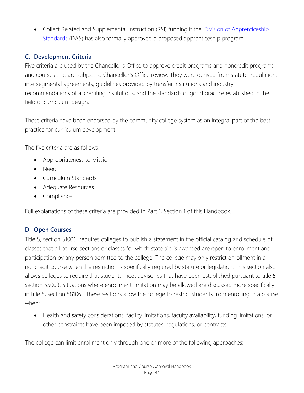• Collect Related and Supplemental Instruction (RSI) funding if the *[Division of Apprenticeship](http://www.dir.ca.gov/das/das.html)* [Standards](http://www.dir.ca.gov/das/das.html) (DAS) has also formally approved a proposed apprenticeship program.

# **C. Development Criteria**

Five criteria are used by the Chancellor's Office to approve credit programs and noncredit programs and courses that are subject to Chancellor's Office review. They were derived from statute, regulation, intersegmental agreements, guidelines provided by transfer institutions and industry, recommendations of accrediting institutions, and the standards of good practice established in the field of curriculum design.

These criteria have been endorsed by the community college system as an integral part of the best practice for curriculum development.

The five criteria are as follows:

- Appropriateness to Mission
- Need
- Curriculum Standards
- Adequate Resources
- Compliance

Full explanations of these criteria are provided in Part 1, Section 1 of this Handbook.

# **D. Open Courses**

Title 5, section 51006, requires colleges to publish a statement in the official catalog and schedule of classes that all course sections or classes for which state aid is awarded are open to enrollment and participation by any person admitted to the college. The college may only restrict enrollment in a noncredit course when the restriction is specifically required by statute or legislation. This section also allows colleges to require that students meet advisories that have been established pursuant to title 5, section 55003. Situations where enrollment limitation may be allowed are discussed more specifically in title 5, section 58106. These sections allow the college to restrict students from enrolling in a course when:

• Health and safety considerations, facility limitations, faculty availability, funding limitations, or other constraints have been imposed by statutes, regulations, or contracts.

The college can limit enrollment only through one or more of the following approaches: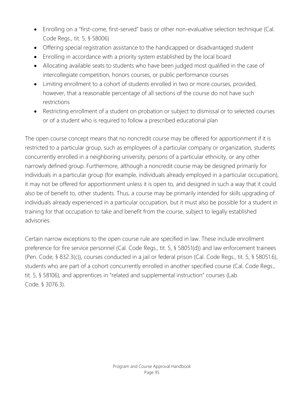- Enrolling on a "first-come, first-served" basis or other non-evaluative selection technique (Cal. Code Regs., tit. 5, § 58006)
- Offering special registration assistance to the handicapped or disadvantaged student
- Enrolling in accordance with a priority system established by the local board
- Allocating available seats to students who have been judged most qualified in the case of intercollegiate competition, honors courses, or public performance courses
- Limiting enrollment to a cohort of students enrolled in two or more courses, provided, however, that a reasonable percentage of all sections of the course do not have such restrictions
- Restricting enrollment of a student on probation or subject to dismissal or to selected courses or of a student who is required to follow a prescribed educational plan

The open course concept means that no noncredit course may be offered for apportionment if it is restricted to a particular group, such as employees of a particular company or organization, students concurrently enrolled in a neighboring university, persons of a particular ethnicity, or any other narrowly defined group. Furthermore, although a noncredit course may be designed primarily for individuals in a particular group (for example, individuals already employed in a particular occupation), it may not be offered for apportionment unless it is open to, and designed in such a way that it could also be of benefit to, other students. Thus, a course may be primarily intended for skills upgrading of individuals already experienced in a particular occupation, but it must also be possible for a student in training for that occupation to take and benefit from the course, subject to legally established advisories.

Certain narrow exceptions to the open course rule are specified in law. These include enrollment preference for fire service personnel (Cal. Code Regs., tit. 5, § 58051(d)) and law enforcement trainees (Pen. Code, § 832.3(c)), courses conducted in a jail or federal prison (Cal. Code Regs., tit. 5, § 58051.6), students who are part of a cohort concurrently enrolled in another specified course (Cal. Code Regs., tit. 5, § 58106), and apprentices in "related and supplemental instruction" courses (Lab. Code, § 3076.3).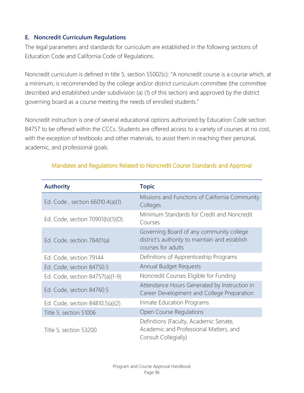# **E. Noncredit Curriculum Regulations**

The legal parameters and standards for curriculum are established in the following sections of Education Code and California Code of Regulations.

Noncredit curriculum is defined in title 5, section 55002(c): "A noncredit course is a course which, at a minimum, is recommended by the college and/or district curriculum committee (the committee described and established under subdivision (a) (1) of this section) and approved by the district governing board as a course meeting the needs of enrolled students."

Noncredit instruction is one of several educational options authorized by Education Code section 84757 to be offered within the CCCs. Students are offered access to a variety of courses at no cost, with the exception of textbooks and other materials, to assist them in reaching their personal, academic, and professional goals.

| <b>Authority</b>                 | <b>Topic</b>                                                                                                     |
|----------------------------------|------------------------------------------------------------------------------------------------------------------|
| Ed. Code, section 66010.4(a)(1)  | Missions and Functions of California Community<br>Colleges                                                       |
| Ed. Code, section 70901(b)(1)(D) | Minimum Standards for Credit and Noncredit<br>Courses                                                            |
| Ed. Code, section 78401(a)       | Governing Board of any community college<br>district's authority to maintain and establish<br>courses for adults |
| Ed. Code, section 79144          | Definitions of Apprenticeship Programs                                                                           |
| Ed. Code, section 84750.5        | Annual Budget Requests                                                                                           |
| Ed. Code, section 84757(a)(1-9)  | Noncredit Courses Eligible for Funding                                                                           |
| Ed. Code, section 84760.5        | Attendance Hours Generated by Instruction in<br>Career Development and College Preparation                       |
| Ed. Code, section 84810.5(a)(2)  | Inmate Education Programs                                                                                        |
| Title 5, section 51006           | Open Course Regulations                                                                                          |
| Title 5, section 53200           | Definitions (Faculty, Academic Senate,<br>Academic and Professional Matters, and<br>Consult Collegially)         |

# Mandates and Regulations Related to Noncredit Course Standards and Approval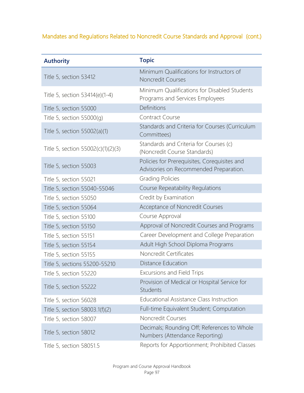# Mandates and Regulations Related to Noncredit Course Standards and Approval (cont.)

| <b>Authority</b>                   | <b>Topic</b>                                                                           |
|------------------------------------|----------------------------------------------------------------------------------------|
| Title 5, section 53412             | Minimum Qualifications for Instructors of<br><b>Noncredit Courses</b>                  |
| Title 5, section 53414(e)(1-4)     | Minimum Qualifications for Disabled Students<br>Programs and Services Employees        |
| Title 5, section 55000             | Definitions                                                                            |
| Title 5, section $55000(g)$        | Contract Course                                                                        |
| Title 5, section 55002(a)(1)       | Standards and Criteria for Courses (Curriculum<br>Committees)                          |
| Title 5, section 55002(c)(1)(2)(3) | Standards and Criteria for Courses (c)<br>(Noncredit Course Standards)                 |
| Title 5, section 55003             | Policies for Prerequisites, Corequisites and<br>Advisories on Recommended Preparation. |
| Title 5, section 55021             | <b>Grading Policies</b>                                                                |
| Title 5, section 55040-55046       | Course Repeatability Regulations                                                       |
| Title 5, section 55050             | Credit by Examination                                                                  |
| Title 5, section 55064             | Acceptance of Noncredit Courses                                                        |
| Title 5, section 55100             | Course Approval                                                                        |
| Title 5, section 55150             | Approval of Noncredit Courses and Programs                                             |
| Title 5, section 55151             | Career Development and College Preparation                                             |
| Title 5, section 55154             | Adult High School Diploma Programs                                                     |
| Title 5, section 55155             | Noncredit Certificates                                                                 |
| Title 5, sections 55200-55210      | Distance Education                                                                     |
| Title 5, section 55220             | <b>Excursions and Field Trips</b>                                                      |
| Title 5, section 55222             | Provision of Medical or Hospital Service for<br>Students                               |
| Title 5, section 56028             | Educational Assistance Class Instruction                                               |
| Title 5, section 58003.1(f)(2)     | Full-time Equivalent Student; Computation                                              |
| Title 5, section 58007             | Noncredit Courses                                                                      |
| Title 5, section 58012             | Decimals; Rounding Off; References to Whole<br>Numbers (Attendance Reporting)          |
| Title 5, section 58051.5           | Reports for Apportionment; Prohibited Classes                                          |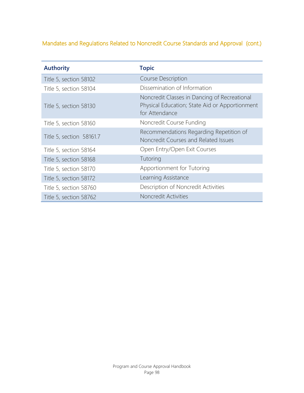# Mandates and Regulations Related to Noncredit Course Standards and Approval (cont.)

| <b>Authority</b>         | <b>Topic</b>                                                                                                     |
|--------------------------|------------------------------------------------------------------------------------------------------------------|
| Title 5, section 58102   | <b>Course Description</b>                                                                                        |
| Title 5, section 58104   | Dissemination of Information                                                                                     |
| Title 5, section 58130   | Noncredit Classes in Dancing of Recreational<br>Physical Education; State Aid or Apportionment<br>for Attendance |
| Title 5, section 58160   | Noncredit Course Funding                                                                                         |
| Title 5, section 58161.7 | Recommendations Regarding Repetition of<br>Noncredit Courses and Related Issues                                  |
| Title 5, section 58164   | Open Entry/Open Exit Courses                                                                                     |
| Title 5, section 58168   | Tutoring                                                                                                         |
| Title 5, section 58170   | Apportionment for Tutoring                                                                                       |
| Title 5, section 58172   | Learning Assistance                                                                                              |
| Title 5, section 58760   | Description of Noncredit Activities                                                                              |
| Title 5, section 58762   | Noncredit Activities                                                                                             |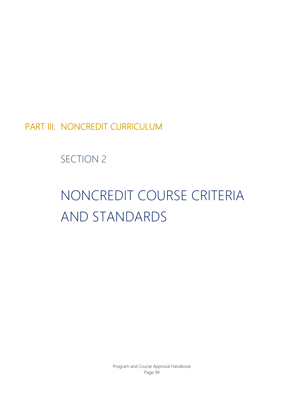PART III: NONCREDIT CURRICULUM

SECTION 2

# NONCREDIT COURSE CRITERIA AND STANDARDS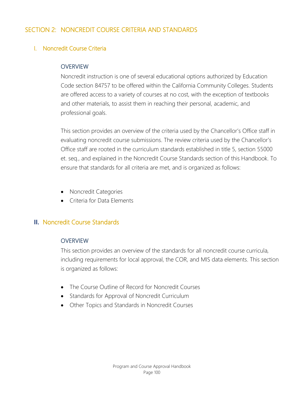# SECTION 2: NONCREDIT COURSE CRITERIA AND STANDARDS

# I. Noncredit Course Criteria

#### **OVERVIEW**

Noncredit instruction is one of several educational options authorized by Education Code section 84757 to be offered within the California Community Colleges. Students are offered access to a variety of courses at no cost, with the exception of textbooks and other materials, to assist them in reaching their personal, academic, and professional goals.

This section provides an overview of the criteria used by the Chancellor's Office staff in evaluating noncredit course submissions. The review criteria used by the Chancellor's Office staff are rooted in the curriculum standards established in title 5, section 55000 et. seq., and explained in the Noncredit Course Standards section of this Handbook. To ensure that standards for all criteria are met, and is organized as follows:

- Noncredit Categories
- Criteria for Data Elements

# **II.** Noncredit Course Standards

#### **OVERVIEW**

This section provides an overview of the standards for all noncredit course curricula, including requirements for local approval, the COR, and MIS data elements. This section is organized as follows:

- The Course Outline of Record for Noncredit Courses
- Standards for Approval of Noncredit Curriculum
- Other Topics and Standards in Noncredit Courses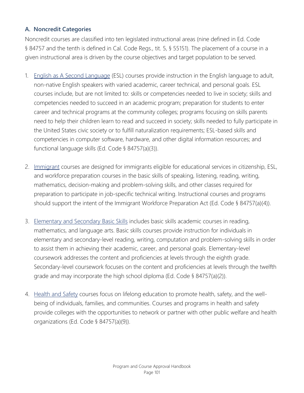# **A. Noncredit Categories**

Noncredit courses are classified into ten legislated instructional areas (nine defined in Ed. Code § 84757 and the tenth is defined in Cal. Code Regs., tit. 5, § 55151). The placement of a course in a given instructional area is driven by the course objectives and target population to be served.

- 1. English as A Second Language (ESL) courses provide instruction in the English language to adult, non-native English speakers with varied academic, career technical, and personal goals. ESL courses include, but are not limited to: skills or competencies needed to live in society; skills and competencies needed to succeed in an academic program; preparation for students to enter career and technical programs at the community colleges; programs focusing on skills parents need to help their children learn to read and succeed in society; skills needed to fully participate in the United States civic society or to fulfill naturalization requirements; ESL-based skills and competencies in computer software, hardware, and other digital information resources; and functional language skills (Ed. Code § 84757(a)(3)).
- 2. Immigrant courses are designed for immigrants eligible for educational services in citizenship, ESL, and workforce preparation courses in the basic skills of speaking, listening, reading, writing, mathematics, decision-making and problem-solving skills, and other classes required for preparation to participate in job-specific technical writing. Instructional courses and programs should support the intent of the Immigrant Workforce Preparation Act (Ed. Code § 84757(a)(4)).
- 3. Elementary and Secondary Basic Skills includes basic skills academic courses in reading, mathematics, and language arts. Basic skills courses provide instruction for individuals in elementary and secondary-level reading, writing, computation and problem-solving skills in order to assist them in achieving their academic, career, and personal goals. Elementary-level coursework addresses the content and proficiencies at levels through the eighth grade. Secondary-level coursework focuses on the content and proficiencies at levels through the twelfth grade and may incorporate the high school diploma (Ed. Code § 84757(a)(2)).
- 4. Health and Safety courses focus on lifelong education to promote health, safety, and the wellbeing of individuals, families, and communities. Courses and programs in health and safety provide colleges with the opportunities to network or partner with other public welfare and health organizations (Ed. Code § 84757(a)(9)).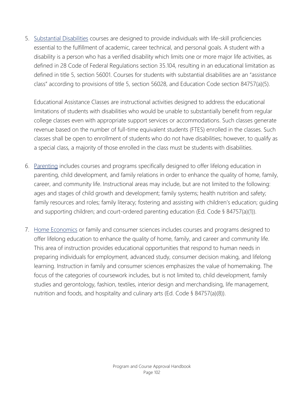5. Substantial Disabilities courses are designed to provide individuals with life-skill proficiencies essential to the fulfillment of academic, career technical, and personal goals. A student with a disability is a person who has a verified disability which limits one or more major life activities, as defined in 28 Code of Federal Regulations section 35.104, resulting in an educational limitation as defined in title 5, section 56001. Courses for students with substantial disabilities are an "assistance class" according to provisions of title 5, section 56028, and Education Code section 84757(a)(5).

Educational Assistance Classes are instructional activities designed to address the educational limitations of students with disabilities who would be unable to substantially benefit from regular college classes even with appropriate support services or accommodations. Such classes generate revenue based on the number of full-time equivalent students (FTES) enrolled in the classes. Such classes shall be open to enrollment of students who do not have disabilities; however, to qualify as a special class, a majority of those enrolled in the class must be students with disabilities.

- 6. Parenting includes courses and programs specifically designed to offer lifelong education in parenting, child development, and family relations in order to enhance the quality of home, family, career, and community life. Instructional areas may include, but are not limited to the following: ages and stages of child growth and development; family systems; health nutrition and safety; family resources and roles; family literacy; fostering and assisting with children's education; guiding and supporting children; and court-ordered parenting education (Ed. Code § 84757(a)(1)).
- 7. Home Economics or family and consumer sciences includes courses and programs designed to offer lifelong education to enhance the quality of home, family, and career and community life. This area of instruction provides educational opportunities that respond to human needs in preparing individuals for employment, advanced study, consumer decision making, and lifelong learning. Instruction in family and consumer sciences emphasizes the value of homemaking. The focus of the categories of coursework includes, but is not limited to, child development, family studies and gerontology, fashion, textiles, interior design and merchandising, life management, nutrition and foods, and hospitality and culinary arts (Ed. Code § 84757(a)(8)).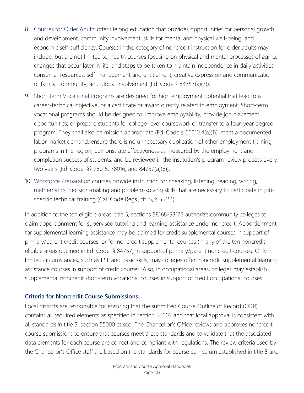- 8. Courses for Older Adults offer lifelong education that provides opportunities for personal growth and development, community involvement, skills for mental and physical well-being, and economic self-sufficiency. Courses in the category of noncredit instruction for older adults may include, but are not limited to, health courses focusing on physical and mental processes of aging, changes that occur later in life, and steps to be taken to maintain independence in daily activities; consumer resources, self-management and entitlement; creative expression and communication; or family, community, and global involvement (Ed. Code § 84757(a)(7)).
- 9. Short-term Vocational Programs are designed for high employment potential that lead to a career-technical objective, or a certificate or award directly related to employment. Short-term vocational programs should be designed to: improve employability; provide job placement opportunities; or prepare students for college-level coursework or transfer to a four-year degree program. They shall also be mission appropriate (Ed. Code § 66010.4(a)(1)), meet a documented labor market demand, ensure there is no unnecessary duplication of other employment training programs in the region, demonstrate effectiveness as measured by the employment and completion success of students, and be reviewed in the institution's program review process every two years (Ed. Code, §§ 78015, 78016, and 84757(a)(6)).
- 10. Workforce Preparation courses provide instruction for speaking, listening, reading, writing, mathematics, decision-making and problem-solving skills that are necessary to participate in jobspecific technical training (Cal. Code Regs., tit. 5, § 55151).

In addition to the ten eligible areas, title 5, sections 58168-58172 authorize community colleges to claim apportionment for supervised tutoring and learning assistance under noncredit. Apportionment for supplemental learning assistance may be claimed for credit supplemental courses in support of primary/parent credit courses, or for noncredit supplemental courses (in any of the ten noncredit eligible areas outlined in Ed. Code, § 84757) in support of primary/parent noncredit courses. Only in limited circumstances, such as ESL and basic skills, may colleges offer noncredit supplemental learning assistance courses in support of credit courses. Also, in occupational areas, colleges may establish supplemental noncredit short-term vocational courses in support of credit occupational courses.

#### **Criteria for Noncredit Course Submissions**

Local districts are responsible for ensuring that the submitted Course Outline of Record (COR) contains all required elements as specified in section 55002 and that local approval is consistent with all standards in title 5, section 55000 et seq. The Chancellor's Office reviews and approves noncredit course submissions to ensure that courses meet these standards and to validate that the associated data elements for each course are correct and compliant with regulations. The review criteria used by the Chancellor's Office staff are based on the standards for course curriculum established in title 5 and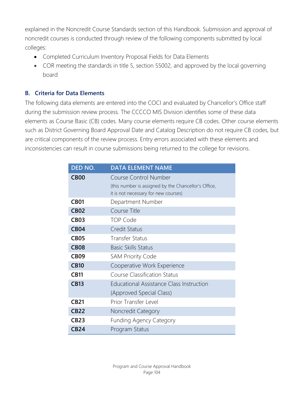explained in the Noncredit Course Standards section of this Handbook. Submission and approval of noncredit courses is conducted through review of the following components submitted by local colleges:

- Completed Curriculum Inventory Proposal Fields for Data Elements
- COR meeting the standards in title 5, section 55002, and approved by the local governing board

# **B. Criteria for Data Elements**

The following data elements are entered into the COCI and evaluated by Chancellor's Office staff during the submission review process. The CCCCO MIS Division identifies some of these data elements as Course Basic (CB) codes. Many course elements require CB codes. Other course elements such as District Governing Board Approval Date and Catalog Description do not require CB codes, but are critical components of the review process. Entry errors associated with these elements and inconsistencies can result in course submissions being returned to the college for revisions.

| DED NO.     | <b>DATA ELEMENT NAME</b>                             |
|-------------|------------------------------------------------------|
| <b>CB00</b> | <b>Course Control Number</b>                         |
|             | (this number is assigned by the Chancellor's Office, |
|             | it is not necessary for new courses)                 |
| <b>CB01</b> | Department Number                                    |
| <b>CB02</b> | Course Title                                         |
| <b>CB03</b> | <b>TOP Code</b>                                      |
| <b>CB04</b> | <b>Credit Status</b>                                 |
| <b>CB05</b> | <b>Transfer Status</b>                               |
| <b>CB08</b> | <b>Basic Skills Status</b>                           |
| <b>CB09</b> | <b>SAM Priority Code</b>                             |
| <b>CB10</b> | Cooperative Work Experience                          |
| <b>CB11</b> | <b>Course Classification Status</b>                  |
| <b>CB13</b> | <b>Educational Assistance Class Instruction</b>      |
|             | (Approved Special Class)                             |
| <b>CB21</b> | Prior Transfer Level                                 |
| <b>CB22</b> | Noncredit Category                                   |
| <b>CB23</b> | <b>Funding Agency Category</b>                       |
| CB24        | Program Status                                       |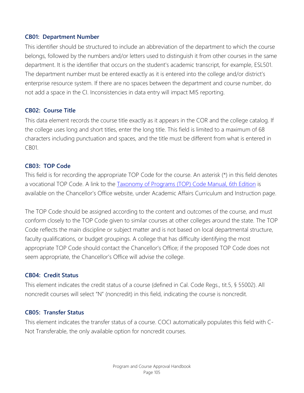#### **CB01: Department Number**

This identifier should be structured to include an abbreviation of the department to which the course belongs, followed by the numbers and/or letters used to distinguish it from other courses in the same department. It is the identifier that occurs on the student's academic transcript, for example, ESL501. The department number must be entered exactly as it is entered into the college and/or district's enterprise resource system. If there are no spaces between the department and course number, do not add a space in the CI. Inconsistencies in data entry will impact MIS reporting.

#### **CB02: Course Title**

This data element records the course title exactly as it appears in the COR and the college catalog. If the college uses long and short titles, enter the long title. This field is limited to a maximum of 68 characters including punctuation and spaces, and the title must be different from what is entered in CB01.

#### **CB03: TOP Code**

This field is for recording the appropriate TOP Code for the course. An asterisk (\*) in this field denotes a vocational TOP Code. A link to the **Taxonomy of Programs (TOP) Code Manual, 6th Edition** is available on the Chancellor's Office website, under Academic Affairs Curriculum and Instruction page.

The TOP Code should be assigned according to the content and outcomes of the course, and must conform closely to the TOP Code given to similar courses at other colleges around the state. The TOP Code reflects the main discipline or subject matter and is not based on local departmental structure, faculty qualifications, or budget groupings. A college that has difficulty identifying the most appropriate TOP Code should contact the Chancellor's Office; if the proposed TOP Code does not seem appropriate, the Chancellor's Office will advise the college.

#### **CB04: Credit Status**

This element indicates the credit status of a course (defined in Cal. Code Regs., tit.5, § 55002). All noncredit courses will select "N" (noncredit) in this field, indicating the course is noncredit.

#### **CB05: Transfer Status**

This element indicates the transfer status of a course. COCI automatically populates this field with C-Not Transferable, the only available option for noncredit courses.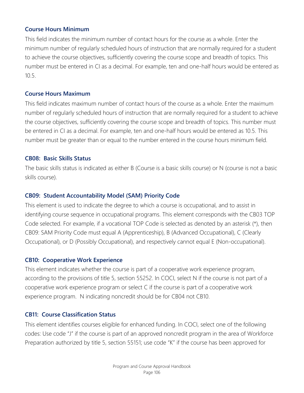#### **Course Hours Minimum**

This field indicates the minimum number of contact hours for the course as a whole. Enter the minimum number of regularly scheduled hours of instruction that are normally required for a student to achieve the course objectives, sufficiently covering the course scope and breadth of topics. This number must be entered in CI as a decimal. For example, ten and one-half hours would be entered as 10.5.

#### **Course Hours Maximum**

This field indicates maximum number of contact hours of the course as a whole. Enter the maximum number of regularly scheduled hours of instruction that are normally required for a student to achieve the course objectives, sufficiently covering the course scope and breadth of topics. This number must be entered in CI as a decimal. For example, ten and one-half hours would be entered as 10.5. This number must be greater than or equal to the number entered in the course hours minimum field.

#### **CB08: Basic Skills Status**

The basic skills status is indicated as either B (Course is a basic skills course) or N (course is not a basic skills course).

#### **CB09: Student Accountability Model (SAM) Priority Code**

This element is used to indicate the degree to which a course is occupational, and to assist in identifying course sequence in occupational programs. This element corresponds with the CB03 TOP Code selected. For example, if a vocational TOP Code is selected as denoted by an asterisk (\*), then CB09: SAM Priority Code must equal A (Apprenticeship), B (Advanced Occupational), C (Clearly Occupational), or D (Possibly Occupational), and respectively cannot equal E (Non-occupational).

#### **CB10: Cooperative Work Experience**

This element indicates whether the course is part of a cooperative work experience program, according to the provisions of title 5, section 55252. In COCI, select N if the course is not part of a cooperative work experience program or select C if the course is part of a cooperative work experience program. N indicating noncredit should be for CB04 not CB10.

#### **CB11: Course Classification Status**

This element identifies courses eligible for enhanced funding. In COCI, select one of the following codes: Use code "J" if the course is part of an approved noncredit program in the area of Workforce Preparation authorized by title 5, section 55151; use code "K" if the course has been approved for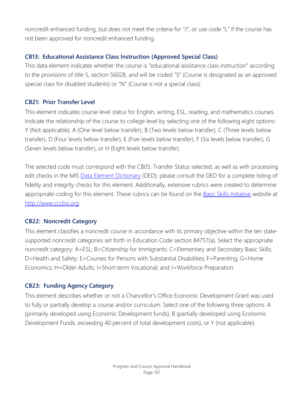noncredit enhanced funding, but does not meet the criteria for "J"; or use code "L" if the course has not been approved for noncredit enhanced funding.

# **CB13: Educational Assistance Class Instruction (Approved Special Class)**

This data element indicates whether the course is "educational assistance class instruction" according to the provisions of title 5, section 56028, and will be coded "S" (Course is designated as an approved special class for disabled students) or "N" (Course is not a special class).

# **CB21: Prior Transfer Level**

This element indicates course level status for English, writing, ESL, reading, and mathematics courses. Indicate the relationship of the course to college level by selecting one of the following eight options: Y (Not applicable), A (One level below transfer), B (Two levels below transfer), C (Three levels below transfer), D (Four levels below transfer), E (Five levels below transfer), F (Six levels below transfer), G (Seven levels below transfer), or H (Eight levels below transfer).

The selected code must correspond with the CB05: Transfer Status selected, as well as with processing edit checks in the MIS [Data Element Dictionary](http://extranet.cccco.edu/Divisions/TechResearchInfoSys/MIS/DED.aspx) (DED); please consult the DED for a complete listing of fidelity and integrity checks for this element. Additionally, extensive rubrics were created to determine appropriate coding for this element. These rubrics can be found on the **Basic Skills Initiative** website at [http://www.cccbsi.org.](http://www.cccbsi.org/)

# **CB22: Noncredit Category**

This element classifies a noncredit course in accordance with its primary objective within the ten statesupported noncredit categories set forth in Education Code section 84757(a). Select the appropriate noncredit category: A=ESL; B=Citizenship for Immigrants; C=Elementary and Secondary Basic Skills; D=Health and Safety; E=Courses for Persons with Substantial Disabilities; F=Parenting; G=Home Economics; H=Older Adults; I=Short-term Vocational; and J=Workforce Preparation.

# **CB23: Funding Agency Category**

This element describes whether or not a Chancellor's Office Economic Development Grant was used to fully or partially develop a course and/or curriculum. Select one of the following three options: A (primarily developed using Economic Development funds), B (partially developed using Economic Development Funds, exceeding 40 percent of total development costs), or Y (not applicable).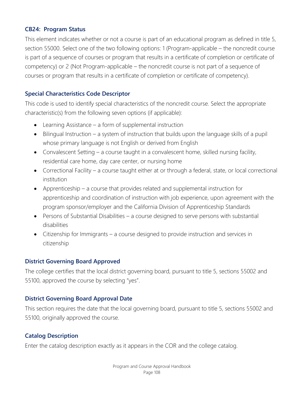#### **CB24: Program Status**

This element indicates whether or not a course is part of an educational program as defined in title 5, section 55000. Select one of the two following options: 1 (Program-applicable – the noncredit course is part of a sequence of courses or program that results in a certificate of completion or certificate of competency) or 2 (Not Program-applicable – the noncredit course is not part of a sequence of courses or program that results in a certificate of completion or certificate of competency).

#### **Special Characteristics Code Descriptor**

This code is used to identify special characteristics of the noncredit course. Select the appropriate characteristic(s) from the following seven options (if applicable):

- Learning Assistance a form of supplemental instruction
- Bilingual Instruction a system of instruction that builds upon the language skills of a pupil whose primary language is not English or derived from English
- Convalescent Setting a course taught in a convalescent home, skilled nursing facility, residential care home, day care center, or nursing home
- Correctional Facility a course taught either at or through a federal, state, or local correctional institution
- Apprenticeship a course that provides related and supplemental instruction for apprenticeship and coordination of instruction with job experience, upon agreement with the program sponsor/employer and the California Division of Apprenticeship Standards
- Persons of Substantial Disabilities a course designed to serve persons with substantial disabilities
- Citizenship for Immigrants a course designed to provide instruction and services in citizenship

#### **District Governing Board Approved**

The college certifies that the local district governing board, pursuant to title 5, sections 55002 and 55100, approved the course by selecting "yes".

#### **District Governing Board Approval Date**

This section requires the date that the local governing board, pursuant to title 5, sections 55002 and 55100, originally approved the course.

#### **Catalog Description**

Enter the catalog description exactly as it appears in the COR and the college catalog.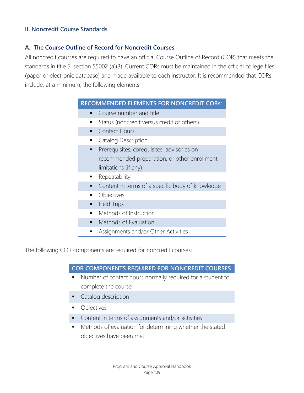#### **II. Noncredit Course Standards**

#### **A. The Course Outline of Record for Noncredit Courses**

All noncredit courses are required to have an official Course Outline of Record (COR) that meets the standards in title 5, section 55002 (a)(3). Current CORs must be maintained in the official college files (paper or electronic database) and made available to each instructor. It is recommended that CORs include, at a minimum, the following elements:

#### **RECOMMENDED ELEMENTS FOR NONCREDIT CORs:**

- Course number and title
- Status (noncredit versus credit or others)
- **Contact Hours**
- **Catalog Description**
- Prerequisites, corequisites, advisories on recommended preparation, or other enrollment limitations (if any)
- **Repeatability**
- Content in terms of a specific body of knowledge
- Objectives
- **Field Trips**
- **•** Methods of Instruction
- Methods of Evaluation
- Assignments and/or Other Activities

The following COR components are required for noncredit courses:

#### **COR COMPONENTS REQUIRED FOR NONCREDIT COURSES**

- Number of contact hours normally required for a student to complete the course
- Catalog description
- **•** Objectives
- Content in terms of assignments and/or activities
- Methods of evaluation for determining whether the stated objectives have been met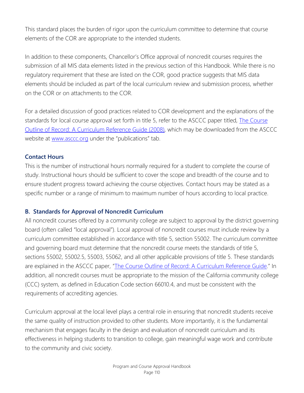This standard places the burden of rigor upon the curriculum committee to determine that course elements of the COR are appropriate to the intended students.

In addition to these components, Chancellor's Office approval of noncredit courses requires the submission of all MIS data elements listed in the previous section of this Handbook. While there is no regulatory requirement that these are listed on the COR, good practice suggests that MIS data elements should be included as part of the local curriculum review and submission process, whether on the COR or on attachments to the COR.

For a detailed discussion of good practices related to COR development and the explanations of the standards for local course approval set forth in title 5, refer to the ASCCC paper titled, The Course [Outline of Record: A Curriculum Reference Guide](http://www.asccc.org/sites/default/files/publications/Curriculum-paper_0.pdf) (2008), which may be downloaded from the ASCCC website at [www.asccc.org](http://www.asccc.org/) under the "publications" tab.

#### **Contact Hours**

This is the number of instructional hours normally required for a student to complete the course of study. Instructional hours should be sufficient to cover the scope and breadth of the course and to ensure student progress toward achieving the course objectives. Contact hours may be stated as a specific number or a range of minimum to maximum number of hours according to local practice.

#### **B. Standards for Approval of Noncredit Curriculum**

All noncredit courses offered by a community college are subject to approval by the district governing board (often called "local approval"). Local approval of noncredit courses must include review by a curriculum committee established in accordance with title 5, section 55002. The curriculum committee and governing board must determine that the noncredit course meets the standards of title 5, sections 55002, 55002.5, 55003, 55062, and all other applicable provisions of title 5. These standards are explained in the ASCCC paper, ["The Course Outline of Record: A Curriculum Reference Guide.](http://www.asccc.org/sites/default/files/publications/Curriculum-paper_0.pdf)" In addition, all noncredit courses must be appropriate to the mission of the California community college (CCC) system, as defined in Education Code section 66010.4, and must be consistent with the requirements of accrediting agencies.

Curriculum approval at the local level plays a central role in ensuring that noncredit students receive the same quality of instruction provided to other students. More importantly, it is the fundamental mechanism that engages faculty in the design and evaluation of noncredit curriculum and its effectiveness in helping students to transition to college, gain meaningful wage work and contribute to the community and civic society.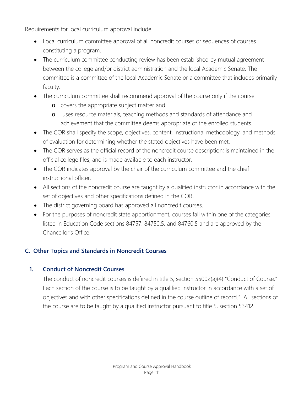Requirements for local curriculum approval include:

- Local curriculum committee approval of all noncredit courses or sequences of courses constituting a program.
- The curriculum committee conducting review has been established by mutual agreement between the college and/or district administration and the local Academic Senate. The committee is a committee of the local Academic Senate or a committee that includes primarily faculty.
- The curriculum committee shall recommend approval of the course only if the course:
	- o covers the appropriate subject matter and
	- o uses resource materials, teaching methods and standards of attendance and achievement that the committee deems appropriate of the enrolled students.
- The COR shall specify the scope, objectives, content, instructional methodology, and methods of evaluation for determining whether the stated objectives have been met.
- The COR serves as the official record of the noncredit course description; is maintained in the official college files; and is made available to each instructor.
- The COR indicates approval by the chair of the curriculum committee and the chief instructional officer.
- All sections of the noncredit course are taught by a qualified instructor in accordance with the set of objectives and other specifications defined in the COR.
- The district governing board has approved all noncredit courses.
- For the purposes of noncredit state apportionment, courses fall within one of the categories listed in Education Code sections 84757, 84750.5, and 84760.5 and are approved by the Chancellor's Office.

# **C. Other Topics and Standards in Noncredit Courses**

# **1. Conduct of Noncredit Courses**

The conduct of noncredit courses is defined in title 5, section 55002(a)(4) "Conduct of Course." Each section of the course is to be taught by a qualified instructor in accordance with a set of objectives and with other specifications defined in the course outline of record." All sections of the course are to be taught by a qualified instructor pursuant to title 5, section 53412.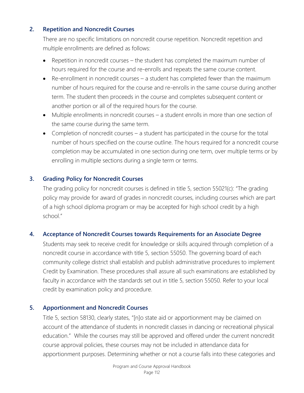#### **2. Repetition and Noncredit Courses**

There are no specific limitations on noncredit course repetition. Noncredit repetition and multiple enrollments are defined as follows:

- Repetition in noncredit courses the student has completed the maximum number of hours required for the course and re-enrolls and repeats the same course content.
- Re-enrollment in noncredit courses a student has completed fewer than the maximum number of hours required for the course and re-enrolls in the same course during another term. The student then proceeds in the course and completes subsequent content or another portion or all of the required hours for the course.
- Multiple enrollments in noncredit courses a student enrolls in more than one section of the same course during the same term.
- Completion of noncredit courses a student has participated in the course for the total number of hours specified on the course outline. The hours required for a noncredit course completion may be accumulated in one section during one term, over multiple terms or by enrolling in multiple sections during a single term or terms.

#### **3. Grading Policy for Noncredit Courses**

The grading policy for noncredit courses is defined in title 5, section 55021(c): "The grading policy may provide for award of grades in noncredit courses, including courses which are part of a high school diploma program or may be accepted for high school credit by a high school."

#### **4. Acceptance of Noncredit Courses towards Requirements for an Associate Degree**

Students may seek to receive credit for knowledge or skills acquired through completion of a noncredit course in accordance with title 5, section 55050. The governing board of each community college district shall establish and publish administrative procedures to implement Credit by Examination. These procedures shall assure all such examinations are established by faculty in accordance with the standards set out in title 5, section 55050. Refer to your local credit by examination policy and procedure.

#### **5. Apportionment and Noncredit Courses**

Title 5, section 58130, clearly states, "[n]o state aid or apportionment may be claimed on account of the attendance of students in noncredit classes in dancing or recreational physical education." While the courses may still be approved and offered under the current noncredit course approval policies, these courses may not be included in attendance data for apportionment purposes. Determining whether or not a course falls into these categories and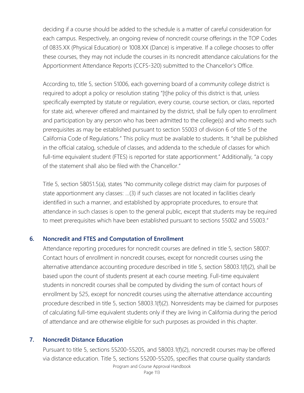deciding if a course should be added to the schedule is a matter of careful consideration for each campus. Respectively, an ongoing review of noncredit course offerings in the TOP Codes of 0835.XX (Physical Education) or 1008.XX (Dance) is imperative. If a college chooses to offer these courses, they may not include the courses in its noncredit attendance calculations for the Apportionment Attendance Reports (CCFS-320) submitted to the Chancellor's Office.

According to, title 5, section 51006, each governing board of a community college district is required to adopt a policy or resolution stating "[t]he policy of this district is that, unless specifically exempted by statute or regulation, every course, course section, or class, reported for state aid, wherever offered and maintained by the district, shall be fully open to enrollment and participation by any person who has been admitted to the college(s) and who meets such prerequisites as may be established pursuant to section 55003 of division 6 of title 5 of the California Code of Regulations." This policy must be available to students. It "shall be published in the official catalog, schedule of classes, and addenda to the schedule of classes for which full-time equivalent student (FTES) is reported for state apportionment." Additionally, "a copy of the statement shall also be filed with the Chancellor."

Title 5, section 58051.5(a), states "No community college district may claim for purposes of state apportionment any classes: …(3) if such classes are not located in facilities clearly identified in such a manner, and established by appropriate procedures, to ensure that attendance in such classes is open to the general public, except that students may be required to meet prerequisites which have been established pursuant to sections 55002 and 55003."

#### **6. Noncredit and FTES and Computation of Enrollment**

Attendance reporting procedures for noncredit courses are defined in title 5, section 58007: Contact hours of enrollment in noncredit courses, except for noncredit courses using the alternative attendance accounting procedure described in title 5, section 58003.1(f)(2), shall be based upon the count of students present at each course meeting. Full-time equivalent students in noncredit courses shall be computed by dividing the sum of contact hours of enrollment by 525, except for noncredit courses using the alternative attendance accounting procedure described in title 5, section 58003.1(f)(2). Nonresidents may be claimed for purposes of calculating full-time equivalent students only if they are living in California during the period of attendance and are otherwise eligible for such purposes as provided in this chapter.

#### **7. Noncredit Distance Education**

Pursuant to title 5, sections 55200-55205, and 58003.1(f)(2), noncredit courses may be offered via distance education. Title 5, sections 55200-55205, specifies that course quality standards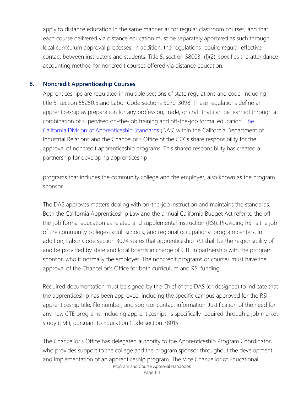apply to distance education in the same manner as for regular classroom courses, and that each course delivered via distance education must be separately approved as such through local curriculum approval processes. In addition, the regulations require regular effective contact between instructors and students. Title 5, section 58003.1(f)(2), specifies the attendance accounting method for noncredit courses offered via distance education.

#### **8. Noncredit Apprenticeship Courses**

Apprenticeships are regulated in multiple sections of state regulations and code, including title 5, section 55250.5 and Labor Code sections 3070-3098. These regulations define an apprenticeship as preparation for any profession, trade, or craft that can be learned through a combination of supervised on-the-job training and off-the-job formal education. [The](http://www.dir.ca.gov/das/das.html)  [California Division of Apprenticeship Standards](http://www.dir.ca.gov/das/das.html) (DAS) within the California Department of Industrial Relations and the Chancellor's Office of the CCCs share responsibility for the approval of noncredit apprenticeship programs. This shared responsibility has created a partnership for developing apprenticeship

programs that includes the community college and the employer, also known as the program sponsor.

The DAS approves matters dealing with on-the-job instruction and maintains the standards. Both the California Apprenticeship Law and the annual California Budget Act refer to the offthe-job formal education as related and supplemental instruction (RSI). Providing RSI is the job of the community colleges, adult schools, and regional occupational program centers. In addition, Labor Code section 3074 states that apprenticeship RSI shall be the responsibility of and be provided by state and local boards in charge of CTE in partnership with the program sponsor, who is normally the employer. The noncredit programs or courses must have the approval of the Chancellor's Office for both curriculum and RSI funding.

Required documentation must be signed by the Chief of the DAS (or designee) to indicate that the apprenticeship has been approved, including the specific campus approved for the RSI, apprenticeship title, file number, and sponsor contact information. Justification of the need for any new CTE programs, including apprenticeships, is specifically required through a job market study (LMI), pursuant to Education Code section 78015.

Program and Course Approval Handbook The Chancellor's Office has delegated authority to the Apprenticeship Program Coordinator, who provides support to the college and the program sponsor throughout the development and implementation of an apprenticeship program. The Vice Chancellor of Educational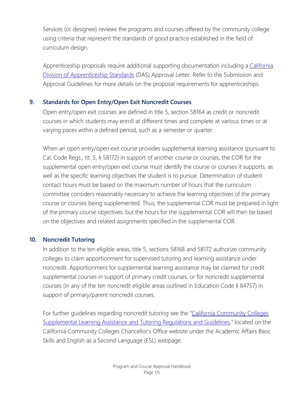Services (or designee) reviews the programs and courses offered by the community college using criteria that represent the standards of good practice established in the field of curriculum design.

Apprenticeship proposals require additional supporting documentation including a [California](http://www.dir.ca.gov/das/das.html)  [Division of Apprenticeship Standards](http://www.dir.ca.gov/das/das.html) (DAS) Approval Letter. Refer to the Submission and Approval Guidelines for more details on the proposal requirements for apprenticeships.

# **9. Standards for Open Entry/Open Exit Noncredit Courses**

Open entry/open exit courses are defined in title 5, section 58164 as credit or noncredit courses in which students may enroll at different times and complete at various times or at varying paces within a defined period, such as a semester or quarter.

When an open entry/open exit course provides supplemental learning assistance (pursuant to Cal. Code Regs., tit. 5, § 58172) in support of another course or courses, the COR for the supplemental open entry/open exit course must identify the course or courses it supports, as well as the specific learning objectives the student is to pursue. Determination of student contact hours must be based on the maximum number of hours that the curriculum committee considers reasonably necessary to achieve the learning objectives of the primary course or courses being supplemented. Thus, the supplemental COR must be prepared in light of the primary course objectives, but the hours for the supplemental COR will then be based on the objectives and related assignments specified in the supplemental COR.

#### **10. Noncredit Tutoring**

In addition to the ten eligible areas, title 5, sections 58168 and 58172 authorize community colleges to claim apportionment for supervised tutoring and learning assistance under noncredit. Apportionment for supplemental learning assistance may be claimed for credit supplemental courses in support of primary credit courses, or for noncredit supplemental courses (in any of the ten noncredit eligible areas outlined in Education Code § 84757) in support of primary/parent noncredit courses.

For further guidelines regarding noncredit tutoring see the "California Community Colleges [Supplemental Learning Assistance and Tutoring Regulations and Guidelines,](http://extranet.cccco.edu/Portals/1/AA/Credit/supplemental_learning_and_supervised_tutoring_regs_guidelines.pdf)" located on the California Community Colleges Chancellor's Office website under the Academic Affairs Basic Skills and English as a Second Language (ESL) webpage.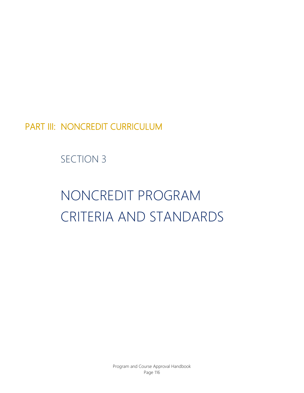PART III: NONCREDIT CURRICULUM

# SECTION 3

# NONCREDIT PROGRAM CRITERIA AND STANDARDS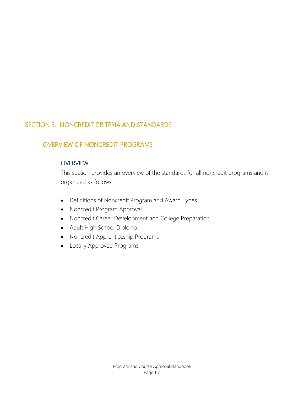# SECTION 3. NONCREDIT CRITERIA AND STANDARDS

# OVERVIEW OF NONCREDIT PROGRAMS

#### **OVERVIEW**

This section provides an overview of the standards for all noncredit programs and is organized as follows:

- Definitions of Noncredit Program and Award Types
- Noncredit Program Approval
- Noncredit Career Development and College Preparation
- Adult High School Diploma
- Noncredit Apprenticeship Programs
- Locally Approved Programs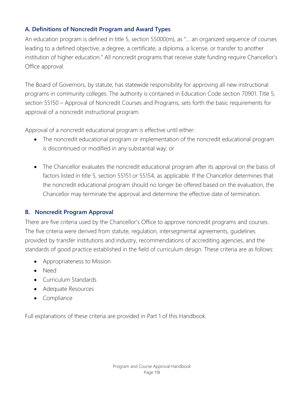#### **A. Definitions of Noncredit Program and Award Types**

An education program is defined in title 5, section 55000(m), as "… an organized sequence of courses leading to a defined objective, a degree, a certificate, a diploma, a license, or transfer to another institution of higher education." All noncredit programs that receive state funding require Chancellor's Office approval.

The Board of Governors, by statute, has statewide responsibility for approving all new instructional programs in community colleges. The authority is contained in Education Code section 70901. Title 5, section 55150 – Approval of Noncredit Courses and Programs, sets forth the basic requirements for approval of a noncredit instructional program.

Approval of a noncredit educational program is effective until either:

- The noncredit educational program or implementation of the noncredit educational program is discontinued or modified in any substantial way; or
- The Chancellor evaluates the noncredit educational program after its approval on the basis of factors listed in title 5, section 55151 or 55154, as applicable. If the Chancellor determines that the noncredit educational program should no longer be offered based on the evaluation, the Chancellor may terminate the approval and determine the effective date of termination.

# **B. Noncredit Program Approval**

There are five criteria used by the Chancellor's Office to approve noncredit programs and courses. The five criteria were derived from statute, regulation, intersegmental agreements, guidelines provided by transfer institutions and industry, recommendations of accrediting agencies, and the standards of good practice established in the field of curriculum design. These criteria are as follows:

- Appropriateness to Mission
- Need
- Curriculum Standards
- Adequate Resources
- Compliance

Full explanations of these criteria are provided in Part 1 of this Handbook.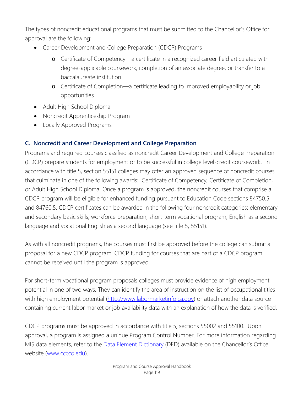The types of noncredit educational programs that must be submitted to the Chancellor's Office for approval are the following:

- Career Development and College Preparation (CDCP) Programs
	- o Certificate of Competency—a certificate in a recognized career field articulated with degree-applicable coursework, completion of an associate degree, or transfer to a baccalaureate institution
	- o Certificate of Completion—a certificate leading to improved employability or job opportunities
- Adult High School Diploma
- Noncredit Apprenticeship Program
- Locally Approved Programs

# **C. Noncredit and Career Development and College Preparation**

Programs and required courses classified as noncredit Career Development and College Preparation (CDCP) prepare students for employment or to be successful in college level-credit coursework. In accordance with title 5, section 55151 colleges may offer an approved sequence of noncredit courses that culminate in one of the following awards: Certificate of Competency, Certificate of Completion, or Adult High School Diploma. Once a program is approved, the noncredit courses that comprise a CDCP program will be eligible for enhanced funding pursuant to Education Code sections 84750.5 and 84760.5. CDCP certificates can be awarded in the following four noncredit categories: elementary and secondary basic skills, workforce preparation, short-term vocational program, English as a second language and vocational English as a second language (see title 5, 55151).

As with all noncredit programs, the courses must first be approved before the college can submit a proposal for a new CDCP program. CDCP funding for courses that are part of a CDCP program cannot be received until the program is approved.

For short-term vocational program proposals colleges must provide evidence of high employment potential in one of two ways. They can identify the area of instruction on the list of occupational titles with high employment potential [\(http://www.labormarketinfo.ca.gov\)](http://www.labormarketinfo.ca.gov/) or attach another data source containing current labor market or job availability data with an explanation of how the data is verified.

CDCP programs must be approved in accordance with title 5, sections 55002 and 55100. Upon approval, a program is assigned a unique Program Control Number. For more information regarding MIS data elements, refer to the **Data Element Dictionary** (DED) available on the Chancellor's Office website [\(www.cccco.edu\)](http://www.cccco.edu/).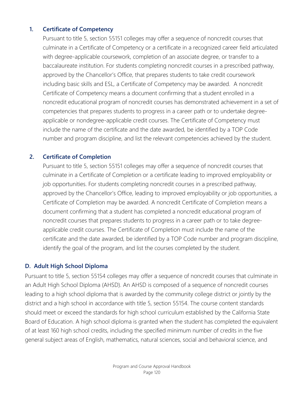#### **1. Certificate of Competency**

Pursuant to title 5, section 55151 colleges may offer a sequence of noncredit courses that culminate in a Certificate of Competency or a certificate in a recognized career field articulated with degree-applicable coursework, completion of an associate degree, or transfer to a baccalaureate institution. For students completing noncredit courses in a prescribed pathway, approved by the Chancellor's Office, that prepares students to take credit coursework including basic skills and ESL, a Certificate of Competency may be awarded. A noncredit Certificate of Competency means a document confirming that a student enrolled in a noncredit educational program of noncredit courses has demonstrated achievement in a set of competencies that prepares students to progress in a career path or to undertake degreeapplicable or nondegree-applicable credit courses. The Certificate of Competency must include the name of the certificate and the date awarded, be identified by a TOP Code number and program discipline, and list the relevant competencies achieved by the student.

#### **2. Certificate of Completion**

Pursuant to title 5, section 55151 colleges may offer a sequence of noncredit courses that culminate in a Certificate of Completion or a certificate leading to improved employability or job opportunities. For students completing noncredit courses in a prescribed pathway, approved by the Chancellor's Office, leading to improved employability or job opportunities, a Certificate of Completion may be awarded. A noncredit Certificate of Completion means a document confirming that a student has completed a noncredit educational program of noncredit courses that prepares students to progress in a career path or to take degreeapplicable credit courses. The Certificate of Completion must include the name of the certificate and the date awarded, be identified by a TOP Code number and program discipline, identify the goal of the program, and list the courses completed by the student.

#### **D. Adult High School Diploma**

Pursuant to title 5, section 55154 colleges may offer a sequence of noncredit courses that culminate in an Adult High School Diploma (AHSD). An AHSD is composed of a sequence of noncredit courses leading to a high school diploma that is awarded by the community college district or jointly by the district and a high school in accordance with title 5, section 55154. The course content standards should meet or exceed the standards for high school curriculum established by the California State Board of Education. A high school diploma is granted when the student has completed the equivalent of at least 160 high school credits, including the specified minimum number of credits in the five general subject areas of English, mathematics, natural sciences, social and behavioral science, and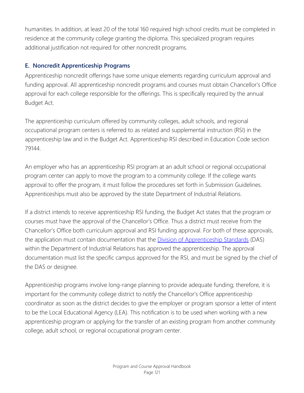humanities. In addition, at least 20 of the total 160 required high school credits must be completed in residence at the community college granting the diploma. This specialized program requires additional justification not required for other noncredit programs.

# **E. Noncredit Apprenticeship Programs**

Apprenticeship noncredit offerings have some unique elements regarding curriculum approval and funding approval. All apprenticeship noncredit programs and courses must obtain Chancellor's Office approval for each college responsible for the offerings. This is specifically required by the annual Budget Act.

The apprenticeship curriculum offered by community colleges, adult schools, and regional occupational program centers is referred to as related and supplemental instruction (RSI) in the apprenticeship law and in the Budget Act. Apprenticeship RSI described in Education Code section 79144.

An employer who has an apprenticeship RSI program at an adult school or regional occupational program center can apply to move the program to a community college. If the college wants approval to offer the program, it must follow the procedures set forth in Submission Guidelines. Apprenticeships must also be approved by the state Department of Industrial Relations.

If a district intends to receive apprenticeship RSI funding, the Budget Act states that the program or courses must have the approval of the Chancellor's Office. Thus a district must receive from the Chancellor's Office both curriculum approval and RSI funding approval. For both of these approvals, the application must contain documentation that the **Division of Apprenticeship Standards** (DAS) within the Department of Industrial Relations has approved the apprenticeship. The approval documentation must list the specific campus approved for the RSI, and must be signed by the chief of the DAS or designee.

Apprenticeship programs involve long-range planning to provide adequate funding; therefore, it is important for the community college district to notify the Chancellor's Office apprenticeship coordinator as soon as the district decides to give the employer or program sponsor a letter of intent to be the Local Educational Agency (LEA). This notification is to be used when working with a new apprenticeship program or applying for the transfer of an existing program from another community college, adult school, or regional occupational program center.